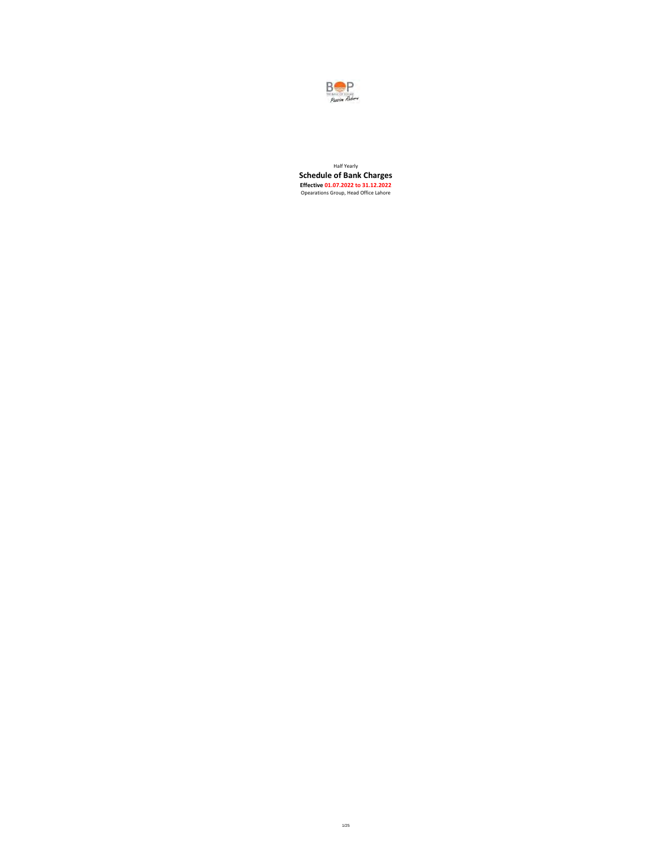

Half Yearly **Schedule of Bank Charges**<br>**Effective 01.07.2022 to 31.12.2022**<br>Opearations Group, Head Office Lahore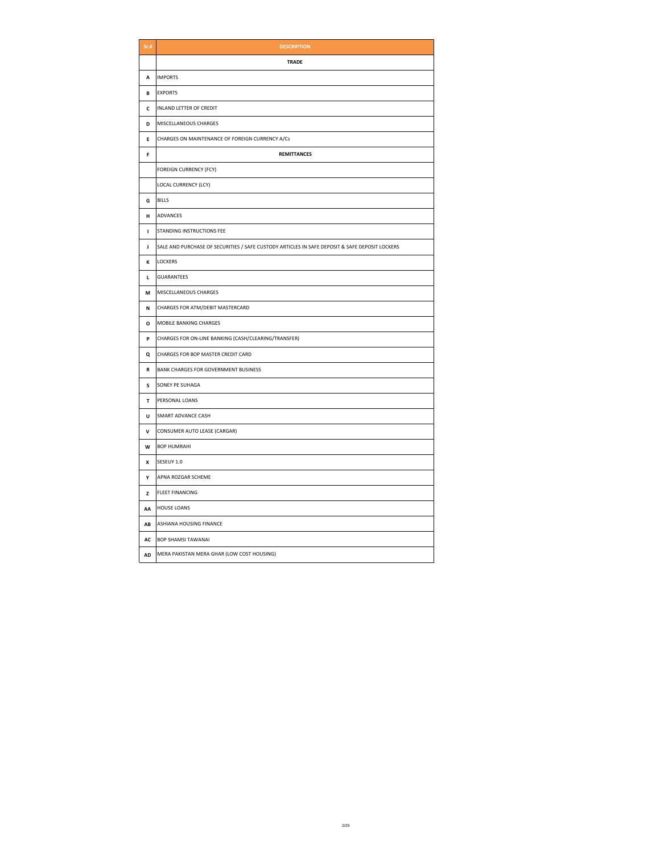| Sr.t.     | <b>DESCRIPTION</b>                                                                             |
|-----------|------------------------------------------------------------------------------------------------|
|           | <b>TRADE</b>                                                                                   |
| A         | <b>IMPORTS</b>                                                                                 |
| В         | <b>EXPORTS</b>                                                                                 |
| c         | INLAND LETTER OF CREDIT                                                                        |
| D         | MISCELLANEOUS CHARGES                                                                          |
| E         | CHARGES ON MAINTENANCE OF FOREIGN CURRENCY A/Cs                                                |
| F         | <b>REMITTANCES</b>                                                                             |
|           | <b>FOREIGN CURRENCY (FCY)</b>                                                                  |
|           | LOCAL CURRENCY (LCY)                                                                           |
| G         | <b>BILLS</b>                                                                                   |
| н         | ADVANCES                                                                                       |
| I.        | STANDING INSTRUCTIONS FEE                                                                      |
| J         | SALE AND PURCHASE OF SECURITIES / SAFE CUSTODY ARTICLES IN SAFE DEPOSIT & SAFE DEPOSIT LOCKERS |
| К         | <b>LOCKERS</b>                                                                                 |
| г         | <b>GUARANTEES</b>                                                                              |
| М         | MISCELLANEOUS CHARGES                                                                          |
| N         | CHARGES FOR ATM/DEBIT MASTERCARD                                                               |
| o         | MOBILE BANKING CHARGES                                                                         |
| P         | CHARGES FOR ON-LINE BANKING (CASH/CLEARING/TRANSFER)                                           |
| Q         | CHARGES FOR BOP MASTER CREDIT CARD                                                             |
| ${\bf R}$ | BANK CHARGES FOR GOVERNMENT BUSINESS                                                           |
| s         | SONEY PE SUHAGA                                                                                |
| T         | PERSONAL LOANS                                                                                 |
| U         | SMART ADVANCE CASH                                                                             |
| V         | CONSUMER AUTO LEASE (CARGAR)                                                                   |
| W         | <b>BOP HUMRAHI</b>                                                                             |
| x         | SESEUY 1.0                                                                                     |
| Y         | APNA ROZGAR SCHEME                                                                             |
| z         | <b>FLEET FINANCING</b>                                                                         |
| AA        | <b>HOUSE LOANS</b>                                                                             |
| AB        | ASHIANA HOUSING FINANCE                                                                        |
| AC        | <b>BOP SHAMSI TAWANAI</b>                                                                      |
| AD        | MERA PAKISTAN MERA GHAR (LOW COST HOUSING)                                                     |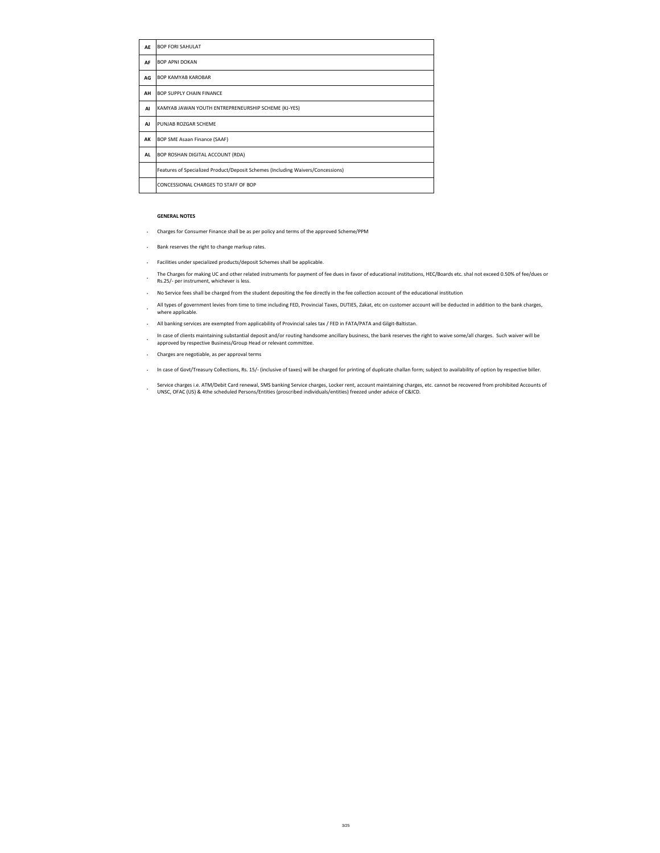| AE        | <b>BOP FORI SAHULAT</b>                                                         |
|-----------|---------------------------------------------------------------------------------|
| AF        | <b>BOP APNI DOKAN</b>                                                           |
| AG        | <b>BOP KAMYAB KAROBAR</b>                                                       |
| AH        | <b>BOP SUPPLY CHAIN FINANCE</b>                                                 |
| AI        | KAMYAB JAWAN YOUTH ENTREPRENEURSHIP SCHEME (KJ-YES)                             |
| <b>AJ</b> | PUNJAB ROZGAR SCHEME                                                            |
| AK        | BOP SME Asaan Finance (SAAF)                                                    |
| <b>AL</b> | BOP ROSHAN DIGITAL ACCOUNT (RDA)                                                |
|           | Features of Specialized Product/Deposit Schemes (Including Waivers/Concessions) |
|           | CONCESSIONAL CHARGES TO STAFF OF BOP                                            |

#### **GENERAL NOTES**

- **·** Charges for Consumer Finance shall be as per policy and terms of the approved Scheme/PPM
- **·** Bank reserves the right to change markup rates.
- **·** Facilities under specialized products/deposit Schemes shall be applicable.
- The Charges for making UC and other related instruments for payment of fee dues in favor of educational institutions, HEC/Boards etc. shal not exceed 0.50% of fee/dues or<br>Pe 3E / agriculture and wide purce is less Rs.25/- per instrument, whichever is less.
- **·** No Service fees shall be charged from the student depositing the fee directly in the fee collection account of the educational institution
- **·** All types of government levies from time to time including FED, Provincial Taxes, DUTIES, Zakat, etc on customer account will be deducted in addition to the bank charges, where applicable.
- **·** All banking services are exempted from applicability of Provincial sales tax / FED in FATA/PATA and Gilgit-Baltistan.
- **b** In case of clients maintaining substantial deposit and/or routing handsome ancillary business, the bank reserves the right to waive some/all charges. Such waiver will be some fall charges and the serves of consideratio
- approved by respective Business/Group Head or relevant committee.
- **·** Charges are negotiable, as per approval terms
- **·** In case of Govt/Treasury Collections, Rs. 15/- (inclusive of taxes) will be charged for printing of duplicate challan form; subject to availability of option by respective biller.
- **·** Service charges i.e. ATM/Debit Card renewal, SMS banking Service charges, Locker rent, account maintaining charges, etc. cannot be recovered from prohibited Accounts of UNSC, OFAC (US) & 4the scheduled Persons/Entities (proscribed individuals/entities) freezed under advice of C&ICD.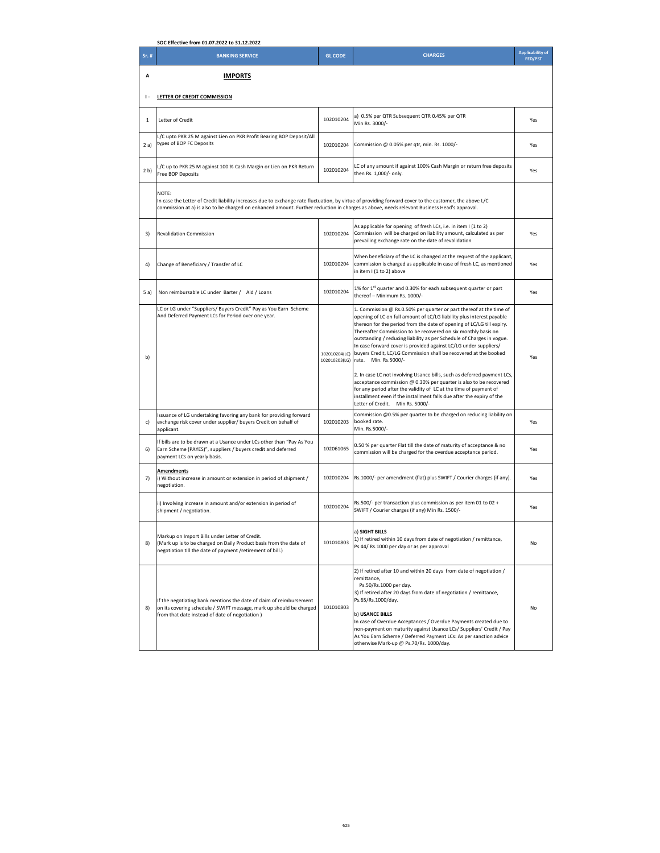|                | SOC Effective from 01.07.2022 to 31.12.2022                                                                                                                                                                                                                                                                   |                                |                                                                                                                                                                                                                                                                                                                                                                                                                                                                                                                                                                                                                                                                                                                                                                                                                                                                   |                                           |
|----------------|---------------------------------------------------------------------------------------------------------------------------------------------------------------------------------------------------------------------------------------------------------------------------------------------------------------|--------------------------------|-------------------------------------------------------------------------------------------------------------------------------------------------------------------------------------------------------------------------------------------------------------------------------------------------------------------------------------------------------------------------------------------------------------------------------------------------------------------------------------------------------------------------------------------------------------------------------------------------------------------------------------------------------------------------------------------------------------------------------------------------------------------------------------------------------------------------------------------------------------------|-------------------------------------------|
| Sr. #          | <b>BANKING SERVICE</b>                                                                                                                                                                                                                                                                                        | <b>GL CODE</b>                 | <b>CHARGES</b>                                                                                                                                                                                                                                                                                                                                                                                                                                                                                                                                                                                                                                                                                                                                                                                                                                                    | <b>Applicability of</b><br><b>FED/PST</b> |
| A              | <b>IMPORTS</b>                                                                                                                                                                                                                                                                                                |                                |                                                                                                                                                                                                                                                                                                                                                                                                                                                                                                                                                                                                                                                                                                                                                                                                                                                                   |                                           |
| $\mathsf{I}$   | LETTER OF CREDIT COMMISSION                                                                                                                                                                                                                                                                                   |                                |                                                                                                                                                                                                                                                                                                                                                                                                                                                                                                                                                                                                                                                                                                                                                                                                                                                                   |                                           |
| $\mathbf 1$    | Letter of Credit                                                                                                                                                                                                                                                                                              | 102010204                      | a) 0.5% per QTR Subsequent QTR 0.45% per QTR<br>Min Rs. 3000/-                                                                                                                                                                                                                                                                                                                                                                                                                                                                                                                                                                                                                                                                                                                                                                                                    | Yes                                       |
| 2a)            | L/C upto PKR 25 M against Lien on PKR Profit Bearing BOP Deposit/All<br>types of BOP FC Deposits                                                                                                                                                                                                              | 102010204                      | Commission @ 0.05% per qtr, min. Rs. 1000/-                                                                                                                                                                                                                                                                                                                                                                                                                                                                                                                                                                                                                                                                                                                                                                                                                       | Yes                                       |
| 2 <sub>b</sub> | L/C up to PKR 25 M against 100 % Cash Margin or Lien on PKR Return<br>Free BOP Deposits                                                                                                                                                                                                                       | 102010204                      | LC of any amount if against 100% Cash Margin or return free deposits<br>then Rs. 1,000/- only.                                                                                                                                                                                                                                                                                                                                                                                                                                                                                                                                                                                                                                                                                                                                                                    | Yes                                       |
|                | NOTE:<br>In case the Letter of Credit liability increases due to exchange rate fluctuation, by virtue of providing forward cover to the customer, the above L/C<br>commission at a) is also to be charged on enhanced amount. Further reduction in charges as above, needs relevant Business Head's approval. |                                |                                                                                                                                                                                                                                                                                                                                                                                                                                                                                                                                                                                                                                                                                                                                                                                                                                                                   |                                           |
| 3)             | <b>Revalidation Commission</b>                                                                                                                                                                                                                                                                                | 102010204                      | As applicable for opening of fresh LCs, i.e. in item I (1 to 2)<br>Commission will be charged on liability amount, calculated as per<br>prevailing exchange rate on the date of revalidation                                                                                                                                                                                                                                                                                                                                                                                                                                                                                                                                                                                                                                                                      | Yes                                       |
| 4)             | Change of Beneficiary / Transfer of LC                                                                                                                                                                                                                                                                        | 102010204                      | When beneficiary of the LC is changed at the request of the applicant,<br>commission is charged as applicable in case of fresh LC, as mentioned<br>in item I (1 to 2) above                                                                                                                                                                                                                                                                                                                                                                                                                                                                                                                                                                                                                                                                                       | Yes                                       |
| 5 a)           | Non reimbursable LC under Barter / Aid / Loans                                                                                                                                                                                                                                                                | 102010204                      | 1% for 1st quarter and 0.30% for each subsequent quarter or part<br>thereof - Minimum Rs. 1000/-                                                                                                                                                                                                                                                                                                                                                                                                                                                                                                                                                                                                                                                                                                                                                                  | Yes                                       |
| b)             | LC or LG under "Suppliers/ Buyers Credit" Pay as You Earn Scheme<br>And Deferred Payment LCs for Period over one year.                                                                                                                                                                                        | 102010204(LC)<br>102010203(LG) | 1. Commission @ Rs.0.50% per quarter or part thereof at the time of<br>opening of LC on full amount of LC/LG liability plus interest payable<br>thereon for the period from the date of opening of LC/LG till expiry.<br>Thereafter Commission to be recovered on six monthly basis on<br>outstanding / reducing liability as per Schedule of Charges in vogue.<br>In case forward cover is provided against LC/LG under suppliers/<br>buyers Credit, LC/LG Commission shall be recovered at the booked<br>rate. Min. Rs.5000/-<br>2. In case LC not involving Usance bills, such as deferred payment LCs,<br>acceptance commission @ 0.30% per quarter is also to be recovered<br>for any period after the validity of LC at the time of payment of<br>installment even if the installment falls due after the expiry of the<br>Letter of Credit. Min Rs. 5000/- | Yes                                       |
| c)             | Issuance of LG undertaking favoring any bank for providing forward<br>exchange risk cover under supplier/ buyers Credit on behalf of<br>applicant.                                                                                                                                                            | 102010203                      | Commission @0.5% per quarter to be charged on reducing liability on<br>booked rate.<br>Min. Rs.5000/-                                                                                                                                                                                                                                                                                                                                                                                                                                                                                                                                                                                                                                                                                                                                                             | Yes                                       |
| 6)             | If bills are to be drawn at a Usance under LCs other than "Pay As You<br>Earn Scheme (PAYES)", suppliers / buyers credit and deferred<br>payment LCs on yearly basis.                                                                                                                                         | 102061065                      | 0.50 % per quarter Flat till the date of maturity of acceptance & no<br>commission will be charged for the overdue acceptance period.                                                                                                                                                                                                                                                                                                                                                                                                                                                                                                                                                                                                                                                                                                                             | Yes                                       |
| 7)             | <b>Amendments</b><br>i) Without increase in amount or extension in period of shipment /<br>negotiation.                                                                                                                                                                                                       | 102010204                      | Rs.1000/- per amendment (flat) plus SWIFT / Courier charges (if any).                                                                                                                                                                                                                                                                                                                                                                                                                                                                                                                                                                                                                                                                                                                                                                                             | Yes                                       |
|                | ii) Involving increase in amount and/or extension in period of<br>shipment / negotiation.                                                                                                                                                                                                                     | 102010204                      | Rs.500/- per transaction plus commission as per item 01 to 02 +<br>SWIFT / Courier charges (if any) Min Rs. 1500/-                                                                                                                                                                                                                                                                                                                                                                                                                                                                                                                                                                                                                                                                                                                                                | Yes                                       |
| 8)             | Markup on Import Bills under Letter of Credit.<br>(Mark up is to be charged on Daily Product basis from the date of<br>negotiation till the date of payment /retirement of bill.)                                                                                                                             | 101010803                      | a) SIGHT BILLS<br>1) If retired within 10 days from date of negotiation / remittance,<br>Ps.44/ Rs.1000 per day or as per approval                                                                                                                                                                                                                                                                                                                                                                                                                                                                                                                                                                                                                                                                                                                                | No                                        |
| 8)             | If the negotiating bank mentions the date of claim of reimbursement<br>on its covering schedule / SWIFT message, mark up should be charged<br>from that date instead of date of negotiation)                                                                                                                  | 101010803                      | 2) If retired after 10 and within 20 days from date of negotiation /<br>remittance,<br>Ps.50/Rs.1000 per day.<br>3) If retired after 20 days from date of negotiation / remittance,<br>Ps.65/Rs.1000/day.<br>b) USANCE BILLS<br>In case of Overdue Acceptances / Overdue Payments created due to<br>non-payment on maturity against Usance LCs/ Suppliers' Credit / Pay<br>As You Earn Scheme / Deferred Payment LCs: As per sanction advice<br>otherwise Mark-up @ Ps.70/Rs. 1000/day.                                                                                                                                                                                                                                                                                                                                                                           | No                                        |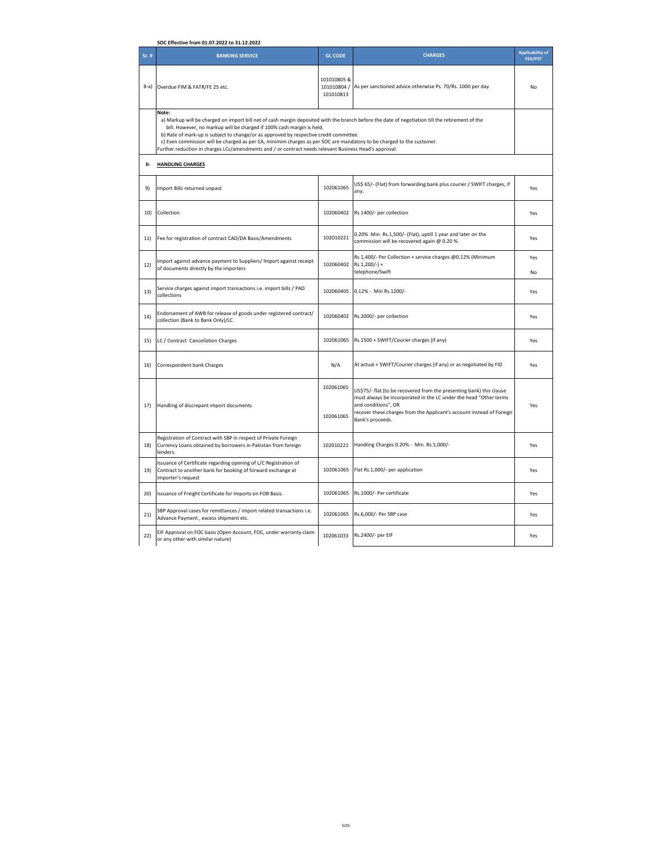|            | SOC Effective from 01.07.2022 to 31.12.2022                                                                                                                                                                                                                                                                                                                                                                                                                                                                                                                    |                                        |                                                                                                                                                                                                                                                               |                                           |
|------------|----------------------------------------------------------------------------------------------------------------------------------------------------------------------------------------------------------------------------------------------------------------------------------------------------------------------------------------------------------------------------------------------------------------------------------------------------------------------------------------------------------------------------------------------------------------|----------------------------------------|---------------------------------------------------------------------------------------------------------------------------------------------------------------------------------------------------------------------------------------------------------------|-------------------------------------------|
| Sr. #      | <b>BANKING SERVICE</b>                                                                                                                                                                                                                                                                                                                                                                                                                                                                                                                                         | <b>GL CODE</b>                         | <b>CHARGES</b>                                                                                                                                                                                                                                                | <b>Applicability of</b><br><b>FED/PST</b> |
| $8-a)$     | Overdue FIM & FATR/FE 25 etc.                                                                                                                                                                                                                                                                                                                                                                                                                                                                                                                                  | 101010805 &<br>101010804/<br>101010813 | As per sanctioned advice otherwise Ps. 70/Rs. 1000 per day                                                                                                                                                                                                    | No                                        |
|            | Note:<br>a) Markup will be charged on import bill net of cash margin deposited with the branch before the date of negotiation till the retirement of the<br>bill. However, no markup will be charged if 100% cash margin is held.<br>b) Rate of mark-up is subject to change/or as approved by respective credit committee.<br>c) Even commission will be charged as per CA, minimim charges as per SOC are mandatory to be charged to the customer.<br>Further reduction in charges LCs/amendments and / or contract needs relevant Business Head's approval. |                                        |                                                                                                                                                                                                                                                               |                                           |
| <b>II-</b> | <b>HANDLING CHARGES</b>                                                                                                                                                                                                                                                                                                                                                                                                                                                                                                                                        |                                        |                                                                                                                                                                                                                                                               |                                           |
| 9)         | Import Bills returned unpaid                                                                                                                                                                                                                                                                                                                                                                                                                                                                                                                                   | 102061065                              | US\$ 65/- (Flat) from forwarding bank plus courier / SWIFT charges, if<br>any.                                                                                                                                                                                | Yes                                       |
| 10)        | Collection                                                                                                                                                                                                                                                                                                                                                                                                                                                                                                                                                     | 102060402                              | Rs.1400/- per collection                                                                                                                                                                                                                                      | Yes                                       |
| 11)        | Fee for registration of contract CAD/DA Basis/Amendments                                                                                                                                                                                                                                                                                                                                                                                                                                                                                                       | 102010221                              | 0.20% Min. Rs.1,500/- (Flat), uptill 1 year and later on the<br>commission will be recovered again @ 0.20 %.                                                                                                                                                  | Yes                                       |
| 12)        | mport against advance payment to Suppliers/ Import against receipt<br>of documents directly by the importers                                                                                                                                                                                                                                                                                                                                                                                                                                                   | 102060402                              | Rs.1,400/- Per Collection + service charges @0.12% (Minimum<br>$Rs.1,200/-) +$<br>telephone/Swift                                                                                                                                                             | Yes<br>No                                 |
| 13)        | Service charges against import transactions i.e. import bills / PAD<br>collections                                                                                                                                                                                                                                                                                                                                                                                                                                                                             | 102060405                              | 0.12% - Min Rs.1200/-                                                                                                                                                                                                                                         | Yes                                       |
| 14)        | Endorsement of AWB for release of goods under registered contract/<br>collection (Bank to Bank Only)/LC.                                                                                                                                                                                                                                                                                                                                                                                                                                                       | 102060402                              | Rs.2000/- per collection                                                                                                                                                                                                                                      | Yes                                       |
| 15)        | LC / Contract Cancellation Charges                                                                                                                                                                                                                                                                                                                                                                                                                                                                                                                             | 102061065                              | Rs.1500 + SWIFT/Courier charges (if any)                                                                                                                                                                                                                      | Yes                                       |
| 16)        | Correspondent bank Charges                                                                                                                                                                                                                                                                                                                                                                                                                                                                                                                                     | N/A                                    | At actual + SWIFT/Courier charges (if any) or as negotiated by FID                                                                                                                                                                                            | Yes                                       |
| 17)        | Handling of discrepant import documents                                                                                                                                                                                                                                                                                                                                                                                                                                                                                                                        | 102061065<br>102061065                 | US\$75/- flat (to be recovered from the presenting bank) this clause<br>must always be incorporated in the LC under the head "Other terms<br>and conditions", OR<br>recover these charges from the Applicant's account instead of Foreign<br>Bank's proceeds. | Yes                                       |
| 18)        | Registration of Contract with SBP in respect of Private Foreign<br>Currency Loans obtained by borrowers in Pakistan from foreign<br>lenders.                                                                                                                                                                                                                                                                                                                                                                                                                   | 102010221                              | Handling Charges 0.20% - Min. Rs.5,000/-                                                                                                                                                                                                                      | Yes                                       |
| 19)        | Issuance of Certificate regarding opening of L/C Registration of<br>Contract to another bank for booking of forward exchange at<br>importer's request                                                                                                                                                                                                                                                                                                                                                                                                          | 102061065                              | Flat Rs.1,000/- per application                                                                                                                                                                                                                               | Yes                                       |
| 20)        | Issuance of Freight Certificate for Imports on FOB Basis.                                                                                                                                                                                                                                                                                                                                                                                                                                                                                                      | 102061065                              | Rs.1000/- Per certificate                                                                                                                                                                                                                                     | Yes                                       |
| 21)        | SBP Approval cases for remittances / import related transactions i.e.<br>Advance Payment, excess shipment etc.                                                                                                                                                                                                                                                                                                                                                                                                                                                 | 102061065                              | Rs.6,000/- Per SBP case                                                                                                                                                                                                                                       | Yes                                       |
| 22)        | EIF Approval on FOC basis (Open Account, FOC, under warranty claim<br>or any other with similar nature)                                                                                                                                                                                                                                                                                                                                                                                                                                                        | 102061033                              | Rs.2400/- per EIF                                                                                                                                                                                                                                             | Yes                                       |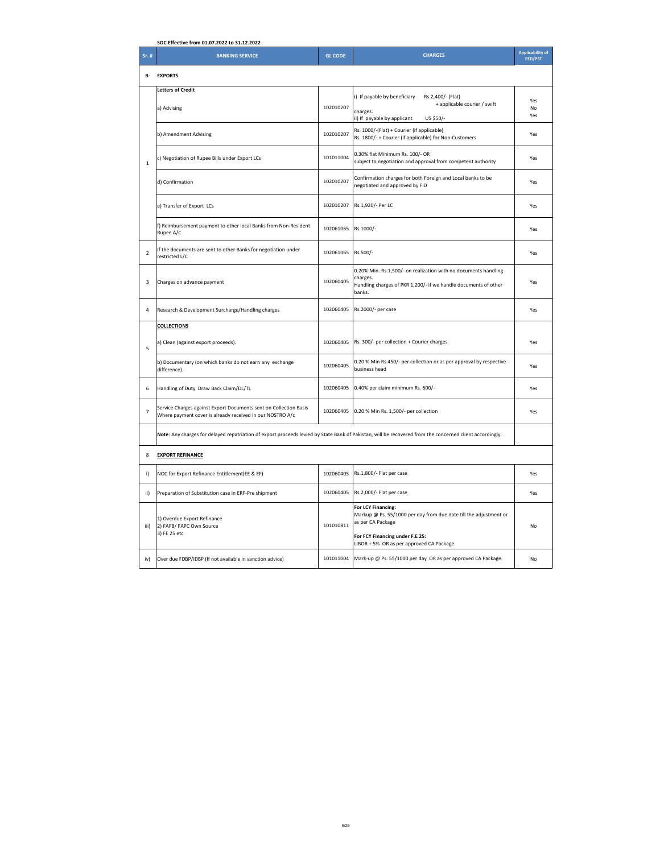|                | SOC Effective from 01.07.2022 to 31.12.2022                                                                                                              |                |                                                                                                                                                                                              |                                           |
|----------------|----------------------------------------------------------------------------------------------------------------------------------------------------------|----------------|----------------------------------------------------------------------------------------------------------------------------------------------------------------------------------------------|-------------------------------------------|
| Sr. #          | <b>BANKING SERVICE</b>                                                                                                                                   | <b>GL CODE</b> | <b>CHARGES</b>                                                                                                                                                                               | <b>Applicability of</b><br><b>FED/PST</b> |
| <b>B-</b>      | <b>EXPORTS</b>                                                                                                                                           |                |                                                                                                                                                                                              |                                           |
|                | <b>Letters of Credit</b><br>a) Advising                                                                                                                  | 102010207      | i) If payable by beneficiary<br>Rs.2,400/- (Flat)<br>+ applicable courier / swift<br>charges.<br>ii) If payable by applicant<br>US \$50/-                                                    | Yes<br>No<br>Yes                          |
|                | b) Amendment Advising                                                                                                                                    | 102010207      | Rs. 1000/-(Flat) + Courier (if applicable)<br>Rs. 1800/- + Courier (if applicable) for Non-Customers                                                                                         | Yes                                       |
| $\,1\,$        | c) Negotiation of Rupee Bills under Export LCs                                                                                                           | 101011004      | 0.30% flat Minimum Rs. 100/- OR<br>subject to negotiation and approval from competent authority                                                                                              | Yes                                       |
|                | d) Confirmation                                                                                                                                          | 102010207      | Confirmation charges for both Foreign and Local banks to be<br>negotiated and approved by FID                                                                                                | Yes                                       |
|                | e) Transfer of Export LCs                                                                                                                                | 102010207      | Rs.1,920/- Per LC                                                                                                                                                                            | Yes                                       |
|                | f) Reimbursement payment to other local Banks from Non-Resident<br>Rupee A/C                                                                             | 102061065      | Rs.1000/-                                                                                                                                                                                    | Yes                                       |
| $\mathbf 2$    | If the documents are sent to other Banks for negotiation under<br>restricted L/C                                                                         | 102061065      | Rs.500/-                                                                                                                                                                                     | Yes                                       |
| 3              | Charges on advance payment                                                                                                                               | 102060405      | 0.20% Min. Rs.1,500/- on realization with no documents handling<br>charges.<br>Handling charges of PKR 1,200/- if we handle documents of other<br>banks.                                     | Yes                                       |
| 4              | Research & Development Surcharge/Handling charges                                                                                                        | 102060405      | Rs.2000/- per case                                                                                                                                                                           | Yes                                       |
|                | <b>COLLECTIONS</b>                                                                                                                                       |                |                                                                                                                                                                                              |                                           |
| 5              | a) Clean (against export proceeds).                                                                                                                      | 102060405      | Rs. 300/- per collection + Courier charges                                                                                                                                                   | Yes                                       |
|                | b) Documentary (on which banks do not earn any exchange<br>difference).                                                                                  | 102060405      | 0.20 % Min Rs.450/- per collection or as per approval by respective<br>business head                                                                                                         | Yes                                       |
| 6              | Handling of Duty Draw Back Claim/DL/TL                                                                                                                   | 102060405      | 0.40% per claim minimum Rs. 600/-                                                                                                                                                            | Yes                                       |
| $\overline{7}$ | Service Charges against Export Documents sent on Collection Basis<br>Where payment cover is already received in our NOSTRO A/c                           | 102060405      | 0.20 % Min Rs. 1,500/- per collection                                                                                                                                                        | Yes                                       |
|                | Note: Any charges for delayed repatriation of export proceeds levied by State Bank of Pakistan, will be recovered from the concerned client accordingly. |                |                                                                                                                                                                                              |                                           |
| 8              | <b>EXPORT REFINANCE</b>                                                                                                                                  |                |                                                                                                                                                                                              |                                           |
| i)             | NOC for Export Refinance Entitlement(EE & EF)                                                                                                            | 102060405      | Rs.1,800/- Flat per case                                                                                                                                                                     | Yes                                       |
| ii)            | Preparation of Substitution case in ERF-Pre shipment                                                                                                     | 102060405      | Rs.2,000/- Flat per case                                                                                                                                                                     | Yes                                       |
| iii)           | 1) Overdue Export Refinance<br>2) FAFB/ FAPC Own Source<br>3) FE 25 etc                                                                                  | 101010811      | For LCY Financing:<br>Markup @ Ps. 55/1000 per day from due date till the adjustment or<br>as per CA Package<br>For FCY Financing under F.E 25:<br>LIBOR + 5% OR as per approved CA Package. | No                                        |
| iv)            | Over due FDBP/IDBP (If not available in sanction advice)                                                                                                 | 101011004      | Mark-up @ Ps. 55/1000 per day OR as per approved CA Package.                                                                                                                                 | No                                        |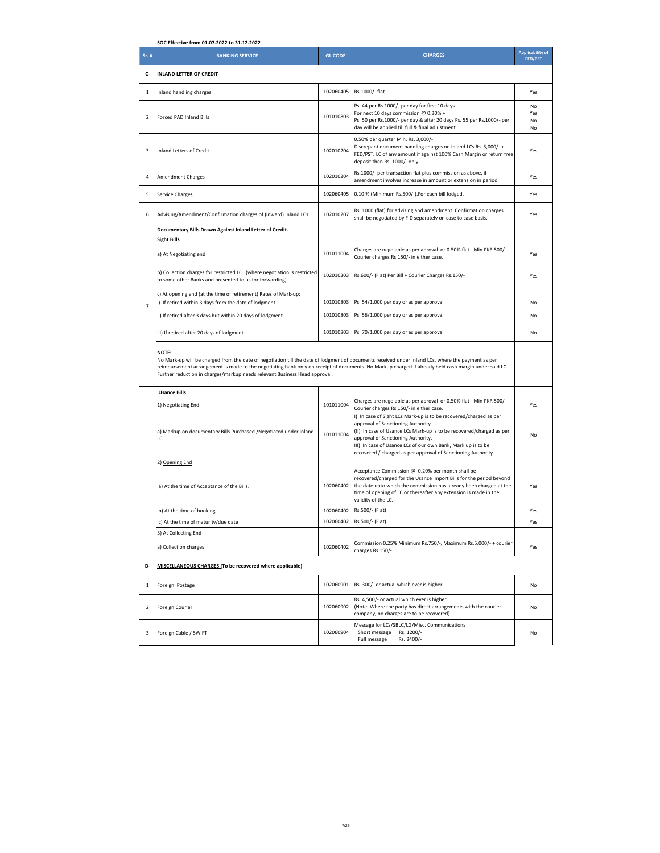|                | SOC Effective from 01.07.2022 to 31.12.2022                                                                                                                                                                                                                                                                                                                                                              |                |                                                                                                                                                                                                                                                                                                                                                        |                                           |
|----------------|----------------------------------------------------------------------------------------------------------------------------------------------------------------------------------------------------------------------------------------------------------------------------------------------------------------------------------------------------------------------------------------------------------|----------------|--------------------------------------------------------------------------------------------------------------------------------------------------------------------------------------------------------------------------------------------------------------------------------------------------------------------------------------------------------|-------------------------------------------|
| Sr. #          | <b>BANKING SERVICE</b>                                                                                                                                                                                                                                                                                                                                                                                   | <b>GL CODE</b> | <b>CHARGES</b>                                                                                                                                                                                                                                                                                                                                         | <b>Applicability of</b><br><b>FED/PST</b> |
| c-             | <b>INLAND LETTER OF CREDIT</b>                                                                                                                                                                                                                                                                                                                                                                           |                |                                                                                                                                                                                                                                                                                                                                                        |                                           |
| $\mathbf{1}$   | Inland handling charges                                                                                                                                                                                                                                                                                                                                                                                  | 102060405      | Rs.1000/- flat                                                                                                                                                                                                                                                                                                                                         | Yes                                       |
| $\overline{2}$ | Forced PAD Inland Bills                                                                                                                                                                                                                                                                                                                                                                                  | 101010803      | Ps. 44 per Rs.1000/- per day for first 10 days.<br>For next 10 days commission @ 0.30% +<br>Ps. 50 per Rs.1000/- per day & after 20 days Ps. 55 per Rs.1000/- per<br>day will be applied till full & final adjustment.                                                                                                                                 | No<br>Yes<br>No<br><b>No</b>              |
| 3              | Inland Letters of Credit                                                                                                                                                                                                                                                                                                                                                                                 | 102010204      | 0.50% per quarter Min. Rs. 3,000/-<br>Discrepant document handling charges on inland LCs Rs. 5,000/-+<br>FED/PST. LC of any amount if against 100% Cash Margin or return free<br>deposit then Rs. 1000/- only.                                                                                                                                         | Yes                                       |
| 4              | <b>Amendment Charges</b>                                                                                                                                                                                                                                                                                                                                                                                 | 102010204      | Rs.1000/- per transaction flat plus commission as above, if<br>amendment involves increase in amount or extension in period                                                                                                                                                                                                                            | Yes                                       |
| 5              | Service Charges                                                                                                                                                                                                                                                                                                                                                                                          | 102060405      | 0.10 % (Minimum Rs.500/-).For each bill lodged.                                                                                                                                                                                                                                                                                                        | Yes                                       |
| 6              | Advising/Amendment/Confirmation charges of (inward) Inland LCs.                                                                                                                                                                                                                                                                                                                                          | 102010207      | Rs. 1000 (flat) for advising and amendment. Confirmation charges<br>shall be negotiated by FID separately on case to case basis.                                                                                                                                                                                                                       | Yes                                       |
|                | Documentary Bills Drawn Against Inland Letter of Credit.<br><b>Sight Bills</b>                                                                                                                                                                                                                                                                                                                           |                |                                                                                                                                                                                                                                                                                                                                                        |                                           |
|                | a) At Negotiating end                                                                                                                                                                                                                                                                                                                                                                                    | 101011004      | Charges are negoiable as per aproval or 0.50% flat - Min PKR 500/-<br>Courier charges Rs.150/- in either case.                                                                                                                                                                                                                                         | Yes                                       |
|                | b) Collection charges for restricted LC (where negotiation is restricted<br>to some other Banks and presented to us for forwarding)                                                                                                                                                                                                                                                                      | 102010303      | Rs.600/- (Flat) Per Bill + Courier Charges Rs.150/-                                                                                                                                                                                                                                                                                                    | Yes                                       |
| $\overline{7}$ | c) At opening end (at the time of retirement) Rates of Mark-up:<br>i) If retired within 3 days from the date of lodgment                                                                                                                                                                                                                                                                                 | 101010803      | Ps. 54/1,000 per day or as per approval                                                                                                                                                                                                                                                                                                                | No                                        |
|                | ii) If retired after 3 days but within 20 days of lodgment                                                                                                                                                                                                                                                                                                                                               | 101010803      | Ps. 56/1,000 per day or as per approval                                                                                                                                                                                                                                                                                                                | No                                        |
|                | iii) If retired after 20 days of lodgment                                                                                                                                                                                                                                                                                                                                                                | 101010803      | Ps. 70/1,000 per day or as per approval                                                                                                                                                                                                                                                                                                                | No                                        |
|                | <b>NOTE:</b><br>No Mark-up will be charged from the date of negotiation till the date of lodgment of documents received under Inland LCs, where the payment as per<br>reimbursement arrangement is made to the negotiating bank only on receipt of documents. No Markup charged if already held cash margin under said LC.<br>Further reduction in charges/markup needs relevant Business Head approval. |                |                                                                                                                                                                                                                                                                                                                                                        |                                           |
|                | <b>Usance Bills</b>                                                                                                                                                                                                                                                                                                                                                                                      |                |                                                                                                                                                                                                                                                                                                                                                        |                                           |
|                | 1) Negotiating End                                                                                                                                                                                                                                                                                                                                                                                       | 101011004      | Charges are negoiable as per aproval or 0.50% flat - Min PKR 500/-<br>Courier charges Rs.150/- in either case.                                                                                                                                                                                                                                         | Yes                                       |
|                | a) Markup on documentary Bills Purchased / Negotiated under Inland<br>LC                                                                                                                                                                                                                                                                                                                                 | 101011004      | I) In case of Sight LCs Mark-up is to be recovered/charged as per<br>approval of Sanctioning Authority.<br>(II) In case of Usance LCs Mark-up is to be recovered/charged as per<br>approval of Sanctioning Authority.<br>III) In case of Usance LCs of our own Bank, Mark up is to be<br>recovered / charged as per approval of Sanctioning Authority. | No                                        |
|                | 2) Opening End                                                                                                                                                                                                                                                                                                                                                                                           |                |                                                                                                                                                                                                                                                                                                                                                        |                                           |
|                | a) At the time of Acceptance of the Bills.                                                                                                                                                                                                                                                                                                                                                               | 102060402      | Acceptance Commission @ 0.20% per month shall be<br>recovered/charged for the Usance Import Bills for the period beyond<br>the date upto which the commission has already been charged at the<br>time of opening of LC or thereafter any extension is made in the<br>validity of the LC.                                                               | Yes                                       |
|                | b) At the time of booking                                                                                                                                                                                                                                                                                                                                                                                | 102060402      | Rs.500/- (Flat)                                                                                                                                                                                                                                                                                                                                        | Yes                                       |
|                | c) At the time of maturity/due date                                                                                                                                                                                                                                                                                                                                                                      | 102060402      | Rs.500/- (Flat)                                                                                                                                                                                                                                                                                                                                        | Yes                                       |
|                | 3) At Collecting End<br>a) Collection charges                                                                                                                                                                                                                                                                                                                                                            | 102060402      | Commission 0.25% Minimum Rs.750/-, Maximum Rs.5,000/- + courier<br>charges Rs.150/-                                                                                                                                                                                                                                                                    | Yes                                       |
| D-             | MISCELLANEOUS CHARGES (To be recovered where applicable)                                                                                                                                                                                                                                                                                                                                                 |                |                                                                                                                                                                                                                                                                                                                                                        |                                           |
| 1              | Foreign Postage                                                                                                                                                                                                                                                                                                                                                                                          | 102060901      | Rs. 300/- or actual which ever is higher                                                                                                                                                                                                                                                                                                               | No                                        |
| $\overline{2}$ | Foreign Courier                                                                                                                                                                                                                                                                                                                                                                                          | 102060902      | Rs. 4,500/- or actual which ever is higher<br>(Note: Where the party has direct arrangements with the courier<br>company, no charges are to be recovered)                                                                                                                                                                                              | No                                        |
| 3              | Foreign Cable / SWIFT                                                                                                                                                                                                                                                                                                                                                                                    | 102060904      | Message for LCs/SBLC/LG/Misc. Communications<br>Short message<br>Rs. 1200/-<br>Full message<br>Rs. 2400/-                                                                                                                                                                                                                                              | No                                        |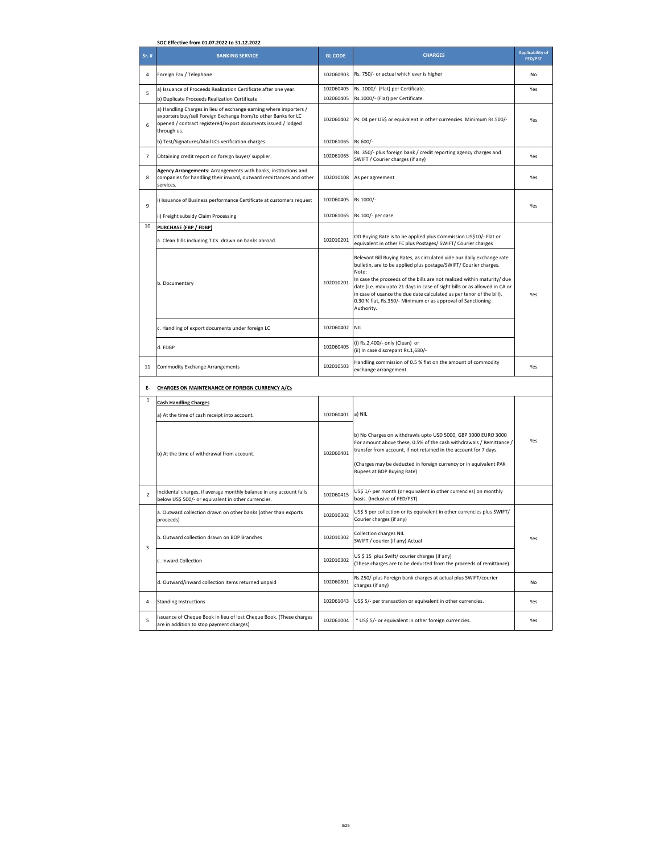|                | SOC Effective from 01.07.2022 to 31.12.2022                                                                                                                                                                         |                |                                                                                                                                                                                                                                                                                                                                                                                                                                                                  |                                           |
|----------------|---------------------------------------------------------------------------------------------------------------------------------------------------------------------------------------------------------------------|----------------|------------------------------------------------------------------------------------------------------------------------------------------------------------------------------------------------------------------------------------------------------------------------------------------------------------------------------------------------------------------------------------------------------------------------------------------------------------------|-------------------------------------------|
| Sr. #          | <b>BANKING SERVICE</b>                                                                                                                                                                                              | <b>GL CODE</b> | <b>CHARGES</b>                                                                                                                                                                                                                                                                                                                                                                                                                                                   | <b>Applicability of</b><br><b>FED/PST</b> |
| 4              | Foreign Fax / Telephone                                                                                                                                                                                             | 102060903      | Rs. 750/- or actual which ever is higher                                                                                                                                                                                                                                                                                                                                                                                                                         | No                                        |
|                | a) Issuance of Proceeds Realization Certificate after one year.                                                                                                                                                     | 102060405      | Rs. 1000/- (Flat) per Certificate.                                                                                                                                                                                                                                                                                                                                                                                                                               | Yes                                       |
| 5              | b) Duplicate Proceeds Realization Certificate                                                                                                                                                                       | 102060405      | Rs.1000/- (Flat) per Certificate.                                                                                                                                                                                                                                                                                                                                                                                                                                |                                           |
| 6              | a) Handling Charges in lieu of exchange earning where importers /<br>exporters buy/sell Foreign Exchange from/to other Banks for LC<br>opened / contract registered/export documents issued / lodged<br>through us. | 102060402      | Ps. 04 per US\$ or equivalent in other currencies. Minimum Rs.500/-                                                                                                                                                                                                                                                                                                                                                                                              | Yes                                       |
|                | b) Test/Signatures/Mail LCs verification charges                                                                                                                                                                    | 102061065      | Rs.600/-                                                                                                                                                                                                                                                                                                                                                                                                                                                         |                                           |
| $\overline{7}$ | Obtaining credit report on foreign buyer/ supplier.                                                                                                                                                                 | 102061065      | Rs. 350/- plus foreign bank / credit reporting agency charges and<br>SWIFT / Courier charges (if any)                                                                                                                                                                                                                                                                                                                                                            | Yes                                       |
| 8              | Agency Arrangements: Arrangements with banks, institutions and<br>companies for handling their inward, outward remittances and other<br>services.                                                                   | 102010108      | As per agreement                                                                                                                                                                                                                                                                                                                                                                                                                                                 | Yes                                       |
| 9              | i) Issuance of Business performance Certificate at customers request                                                                                                                                                | 102060405      | Rs.1000/-                                                                                                                                                                                                                                                                                                                                                                                                                                                        | Yes                                       |
|                | ii) Freight subsidy Claim Processing                                                                                                                                                                                | 102061065      | Rs.100/- per case                                                                                                                                                                                                                                                                                                                                                                                                                                                |                                           |
| 10             | PURCHASE (FBP / FDBP)                                                                                                                                                                                               |                |                                                                                                                                                                                                                                                                                                                                                                                                                                                                  |                                           |
|                | a. Clean bills including T.Cs. drawn on banks abroad.                                                                                                                                                               | 102010201      | OD Buying Rate is to be applied plus Commission US\$10/- Flat or<br>equivalent in other FC plus Postages/ SWIFT/ Courier charges                                                                                                                                                                                                                                                                                                                                 |                                           |
|                | b. Documentary                                                                                                                                                                                                      | 102010201      | Relevant Bill Buying Rates, as circulated vide our daily exchange rate<br>bulletin, are to be applied plus postage/SWIFT/ Courier charges.<br>Note:<br>In case the proceeds of the bills are not realized within maturity/ due<br>date (i.e. max upto 21 days in case of sight bills or as allowed in CA or<br>in case of usance the due date calculated as per tenor of the bill).<br>0.30 % flat, Rs.350/- Minimum or as approval of Sanctioning<br>Authority. | Yes                                       |
|                | c. Handling of export documents under foreign LC                                                                                                                                                                    | 102060402      | <b>NIL</b>                                                                                                                                                                                                                                                                                                                                                                                                                                                       |                                           |
|                | d. FDBP                                                                                                                                                                                                             | 102060405      | (i) Rs.2,400/- only (Clean) or<br>(ii) In case discrepant Rs.1,680/-                                                                                                                                                                                                                                                                                                                                                                                             |                                           |
| 11             | Commodity Exchange Arrangements                                                                                                                                                                                     | 102010503      | Handling commission of 0.5 % flat on the amount of commodity<br>exchange arrangement.                                                                                                                                                                                                                                                                                                                                                                            | Yes                                       |
| Е-             | <b>CHARGES ON MAINTENANCE OF FOREIGN CURRENCY A/Cs</b>                                                                                                                                                              |                |                                                                                                                                                                                                                                                                                                                                                                                                                                                                  |                                           |
| $\mathbf{1}$   | <b>Cash Handling Charges</b>                                                                                                                                                                                        |                |                                                                                                                                                                                                                                                                                                                                                                                                                                                                  |                                           |
|                | a) At the time of cash receipt into account.                                                                                                                                                                        | 102060401      | a) NIL                                                                                                                                                                                                                                                                                                                                                                                                                                                           |                                           |
|                | b) At the time of withdrawal from account.                                                                                                                                                                          | 102060401      | b) No Charges on withdrawls upto USD 5000, GBP 3000 EURO 3000<br>For amount above these, 0.5% of the cash withdrawals / Remittance /<br>transfer from account, if not retained in the account for 7 days.<br>(Charges may be deducted in foreign currency or in equivalent PAK<br>Rupees at BOP Buying Rate)                                                                                                                                                     | Yes                                       |
| 2              | Incidental charges, if average monthly balance in any account falls<br>below US\$ 500/- or equivalent in other currencies.                                                                                          | 102060415      | US\$ 1/- per month (or equivalent in other currencies) on monthly<br>basis. (Inclusive of FED/PST)                                                                                                                                                                                                                                                                                                                                                               |                                           |
|                | a. Outward collection drawn on other banks (other than exports<br>proceeds]                                                                                                                                         | 102010302      | US\$ 5 per collection or its equivalent in other currencies plus SWIFT/<br>Courier charges (if any)                                                                                                                                                                                                                                                                                                                                                              |                                           |
| 3              | b. Outward collection drawn on BOP Branches                                                                                                                                                                         | 102010302      | <b>Collection charges NIL</b><br>SWIFT / courier (if any) Actual                                                                                                                                                                                                                                                                                                                                                                                                 | Yes                                       |
|                | c. Inward Collection                                                                                                                                                                                                | 102010302      | US \$ 15 plus Swift/ courier charges (if any)<br>(These charges are to be deducted from the proceeds of remittance)                                                                                                                                                                                                                                                                                                                                              |                                           |
|                | d. Outward/inward collection items returned unpaid                                                                                                                                                                  | 102060801      | Rs.250/-plus Foreign bank charges at actual plus SWIFT/courier<br>charges (if any)                                                                                                                                                                                                                                                                                                                                                                               | No                                        |
| 4              | <b>Standing Instructions</b>                                                                                                                                                                                        | 102061043      | US\$ 5/- per transaction or equivalent in other currencies.                                                                                                                                                                                                                                                                                                                                                                                                      | Yes                                       |
| 5              | Issuance of Cheque Book in lieu of lost Cheque Book. (These charges<br>are in addition to stop payment charges)                                                                                                     | 102061004      | * US\$ 5/- or equivalent in other foreign currencies.                                                                                                                                                                                                                                                                                                                                                                                                            | Yes                                       |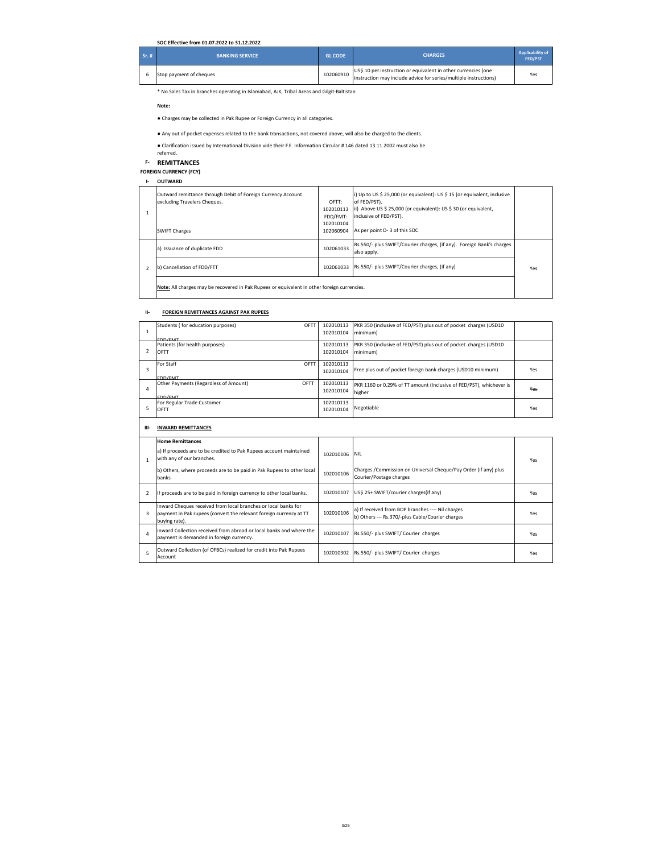## **SOC Effective from 01.07.2022 to 31.12.2022**

| Sr.4t | <b>BANKING SERVICE</b>  | <b>GL CODE</b> | <b>CHARGES</b>                                                                                                                     | Applicability of<br>FED/PST |
|-------|-------------------------|----------------|------------------------------------------------------------------------------------------------------------------------------------|-----------------------------|
|       | Stop payment of cheques | 102060910      | US\$ 10 per instruction or equivalent in other currencies (one<br>instruction may include advice for series/multiple instructions) | Yes                         |

\* No Sales Tax in branches operating in Islamabad, AJK, Tribal Areas and Gilgit-Baltistan

**Note:** 

 $\lfloor$ 

- $\bullet$  Charges may be collected in Pak Rupee or Foreign Currency in all categories.
- Any out of pocket expenses related to the bank transactions, not covered above, will also be charged to the clients.
- Clarification issued by International Division vide their F.E. Information Circular # 146 dated 13.11.2002 must also be<br>referred.

**F- REMITTANCES**

**FOREIGN CURRENCY (FCY)**

**I- OUTWARD**

|               | Outward remittance through Debit of Foreign Currency Account<br>excluding Travelers Cheques.<br><b>SWIFT Charges</b> | OFTT:<br>102010113<br>FDD/FMT:<br>102010104<br>102060904 | i) Up to US \$ 25,000 (or equivalent): US \$ 15 (or equivalent, inclusive<br>of FED/PST).<br>ii) Above US \$ 25,000 (or equivalent): US \$ 30 (or equivalent,<br>inclusive of FED/PST).<br>As per point D-3 of this SOC |     |
|---------------|----------------------------------------------------------------------------------------------------------------------|----------------------------------------------------------|-------------------------------------------------------------------------------------------------------------------------------------------------------------------------------------------------------------------------|-----|
|               | a) Issuance of duplicate FDD                                                                                         | 102061033                                                | Rs.550/- plus SWIFT/Courier charges, (if any). Foreign Bank's charges<br>also apply.                                                                                                                                    |     |
| $\mathcal{P}$ | b) Cancellation of FDD/FTT                                                                                           | 102061033                                                | Rs.550/- plus SWIFT/Courier charges, (if any)                                                                                                                                                                           | Yes |
|               | Note: All charges may be recovered in Pak Rupees or equivalent in other foreign currencies.                          |                                                          |                                                                                                                                                                                                                         |     |

#### **II- FOREIGN REMITTANCES AGAINST PAK RUPEES**

|   | Students (for education purposes)     | OFTI | 102010113 | PKR 350 (inclusive of FED/PST) plus out of pocket charges (USD10    |     |
|---|---------------------------------------|------|-----------|---------------------------------------------------------------------|-----|
|   |                                       |      | 102010104 | minimum)                                                            |     |
|   | EDD/EMT                               |      |           |                                                                     |     |
|   | Patients (for health purposes)        |      | 102010113 | PKR 350 (inclusive of FED/PST) plus out of pocket charges (USD10    |     |
|   | OFTT                                  |      | 102010104 | minimum)                                                            |     |
|   |                                       |      |           |                                                                     |     |
|   | For Staff                             | OFTT | 102010113 |                                                                     |     |
| 3 |                                       |      | 102010104 | Free plus out of pocket foreign bank charges (USD10 minimum)        | Yes |
|   | <b>EDD/EMT</b>                        |      |           |                                                                     |     |
|   | Other Payments (Regardless of Amount) | OFTT | 102010113 | PKR 1160 or 0.29% of TT amount (Inclusive of FED/PST), whichever is |     |
| 4 |                                       |      | 102010104 | higher                                                              | Yes |
|   | EDD/EMT                               |      |           |                                                                     |     |
|   | For Regular Trade Customer            |      | 102010113 |                                                                     |     |
|   | OFTT                                  |      | 102010104 | Negotiable                                                          | Yes |
|   |                                       |      |           |                                                                     |     |

## **III- INWARD REMITTANCES**

|               | <b>Home Remittances</b>                                                                                                                               |           |                                                                                                       |     |
|---------------|-------------------------------------------------------------------------------------------------------------------------------------------------------|-----------|-------------------------------------------------------------------------------------------------------|-----|
|               | a) If proceeds are to be credited to Pak Rupees account maintained<br>with any of our branches.                                                       | 102010106 | <b>NII</b>                                                                                            | Yes |
|               | b) Others, where proceeds are to be paid in Pak Rupees to other local<br>banks                                                                        | 102010106 | Charges / Commission on Universal Cheque/Pay Order (if any) plus<br>Courier/Postage charges           |     |
| $\mathcal{P}$ | If proceeds are to be paid in foreign currency to other local banks.                                                                                  | 102010107 | US\$ 25+ SWIFT/courier charges(if any)                                                                | Yes |
| 3             | Inward Cheques received from local branches or local banks for<br>payment in Pak rupees (convert the relevant foreign currency at TT<br>buving rate). | 102010106 | a) If received from BOP branches ---- Nil charges<br>b) Others --- Rs.370/-plus Cable/Courier charges | Yes |
| 4             | Inward Collection received from abroad or local banks and where the<br>payment is demanded in foreign currency.                                       | 102010107 | Rs.550/- plus SWIFT/ Courier charges                                                                  | Yes |
| 5             | Outward Collection (of OFBCs) realized for credit into Pak Rupees<br>Account                                                                          | 102010302 | Rs.550/- plus SWIFT/ Courier charges                                                                  | Yes |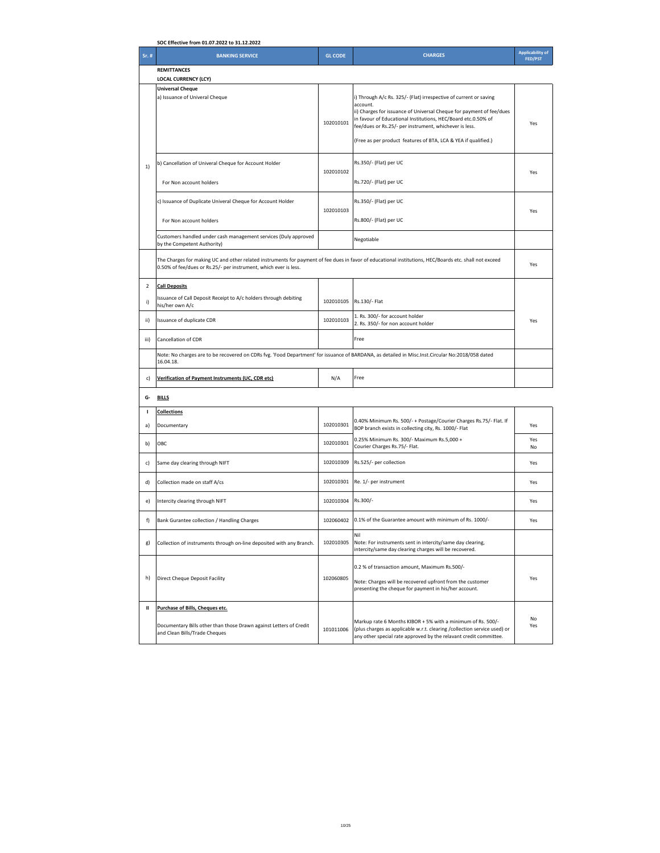|                | SOC Effective from 01.07.2022 to 31.12.2022                                                                                                                                                                                |                |                                                                                                                                                                                                                                                                                                                                                    |                                           |
|----------------|----------------------------------------------------------------------------------------------------------------------------------------------------------------------------------------------------------------------------|----------------|----------------------------------------------------------------------------------------------------------------------------------------------------------------------------------------------------------------------------------------------------------------------------------------------------------------------------------------------------|-------------------------------------------|
| $Sr.$ #        | <b>BANKING SERVICE</b>                                                                                                                                                                                                     | <b>GL CODE</b> | <b>CHARGES</b>                                                                                                                                                                                                                                                                                                                                     | <b>Applicability of</b><br><b>FED/PST</b> |
|                | <b>REMITTANCES</b>                                                                                                                                                                                                         |                |                                                                                                                                                                                                                                                                                                                                                    |                                           |
|                | <b>LOCAL CURRENCY (LCY)</b><br><b>Universal Cheque</b><br>a) Issuance of Univeral Cheque                                                                                                                                   | 102010101      | i) Through A/c Rs. 325/- (Flat) irrespective of current or saving<br>account.<br>ii) Charges for issuance of Universal Cheque for payment of fee/dues<br>in favour of Educational Institutions, HEC/Board etc.0.50% of<br>fee/dues or Rs.25/- per instrument, whichever is less.<br>(Free as per product features of BTA, LCA & YEA if qualified.) | Yes                                       |
| 1)             | b) Cancellation of Univeral Cheque for Account Holder<br>For Non account holders                                                                                                                                           | 102010102      | Rs.350/- (Flat) per UC<br>Rs.720/- (Flat) per UC                                                                                                                                                                                                                                                                                                   | Yes                                       |
|                | c) Issuance of Duplicate Univeral Cheque for Account Holder<br>For Non account holders                                                                                                                                     | 102010103      | Rs.350/- (Flat) per UC<br>Rs.800/- (Flat) per UC                                                                                                                                                                                                                                                                                                   | Yes                                       |
|                | Customers handled under cash management services (Duly approved<br>by the Competent Authority)                                                                                                                             |                | Negotiable                                                                                                                                                                                                                                                                                                                                         |                                           |
|                | The Charges for making UC and other related instruments for payment of fee dues in favor of educational institutions, HEC/Boards etc. shall not exceed<br>0.50% of fee/dues or Rs.25/- per instrument, which ever is less. |                |                                                                                                                                                                                                                                                                                                                                                    | Yes                                       |
| $\overline{2}$ | <b>Call Deposits</b>                                                                                                                                                                                                       |                |                                                                                                                                                                                                                                                                                                                                                    |                                           |
| i)             | Issuance of Call Deposit Receipt to A/c holders through debiting<br>his/her own A/c                                                                                                                                        | 102010105      | Rs.130/- Flat                                                                                                                                                                                                                                                                                                                                      |                                           |
| ii)            | Issuance of duplicate CDR                                                                                                                                                                                                  | 102010103      | 1. Rs. 300/- for account holder<br>2. Rs. 350/- for non account holder                                                                                                                                                                                                                                                                             | Yes                                       |
| iii)           | Cancellation of CDR                                                                                                                                                                                                        |                | Free                                                                                                                                                                                                                                                                                                                                               |                                           |
|                | Note: No charges are to be recovered on CDRs fvg. 'Food Department' for issuance of BARDANA, as detailed in Misc.Inst.Circular No:2018/058 dated<br>16.04.18.                                                              |                |                                                                                                                                                                                                                                                                                                                                                    |                                           |
| c)             | Verification of Payment Instruments (UC, CDR etc)                                                                                                                                                                          | N/A            | Free                                                                                                                                                                                                                                                                                                                                               |                                           |
| G-             | <b>BILLS</b>                                                                                                                                                                                                               |                |                                                                                                                                                                                                                                                                                                                                                    |                                           |
| л.             | <b>Collections</b>                                                                                                                                                                                                         |                |                                                                                                                                                                                                                                                                                                                                                    |                                           |
| a)             | Documentary                                                                                                                                                                                                                | 102010301      | 0.40% Minimum Rs. 500/- + Postage/Courier Charges Rs.75/- Flat. If<br>BOP branch exists in collecting city, Rs. 1000/- Flat                                                                                                                                                                                                                        | Yes                                       |
| b)             | OBC                                                                                                                                                                                                                        | 102010301      | 0.25% Minimum Rs. 300/- Maximum Rs.5,000 +<br>Courier Charges Rs.75/- Flat.                                                                                                                                                                                                                                                                        | Yes<br>No                                 |
| c)             | Same day clearing through NIFT                                                                                                                                                                                             | 102010309      | Rs.525/- per collection                                                                                                                                                                                                                                                                                                                            | Yes                                       |
| d)             | Collection made on staff A/cs                                                                                                                                                                                              | 102010301      | Re. 1/- per instrument                                                                                                                                                                                                                                                                                                                             | Yes                                       |
| e)             | Intercity clearing through NIFT                                                                                                                                                                                            | 102010304      | Rs.300/-                                                                                                                                                                                                                                                                                                                                           | Yes                                       |
| f)             | Bank Gurantee collection / Handling Charges                                                                                                                                                                                |                | 102060402 0.1% of the Guarantee amount with minimum of Rs. 1000/-                                                                                                                                                                                                                                                                                  | Yes                                       |
| g)             | Collection of instruments through on-line deposited with any Branch.                                                                                                                                                       | 102010305      | Nil<br>Note: For instruments sent in intercity/same day clearing,<br>intercity/same day clearing charges will be recovered.                                                                                                                                                                                                                        |                                           |
| h)             | Direct Cheque Deposit Facility                                                                                                                                                                                             | 102060805      | 0.2 % of transaction amount, Maximum Rs.500/-<br>Note: Charges will be recovered upfront from the customer<br>presenting the cheque for payment in his/her account.                                                                                                                                                                                | Yes                                       |
| Ш              | Purchase of Bills, Cheques etc.                                                                                                                                                                                            |                |                                                                                                                                                                                                                                                                                                                                                    |                                           |
|                | Documentary Bills other than those Drawn against Letters of Credit<br>and Clean Bills/Trade Cheques                                                                                                                        | 101011006      | Markup rate 6 Months KIBOR + 5% with a minimum of Rs. 500/-<br>(plus charges as applicable w.r.t. clearing / collection service used) or<br>any other special rate approved by the relavant credit committee.                                                                                                                                      | No<br>Yes                                 |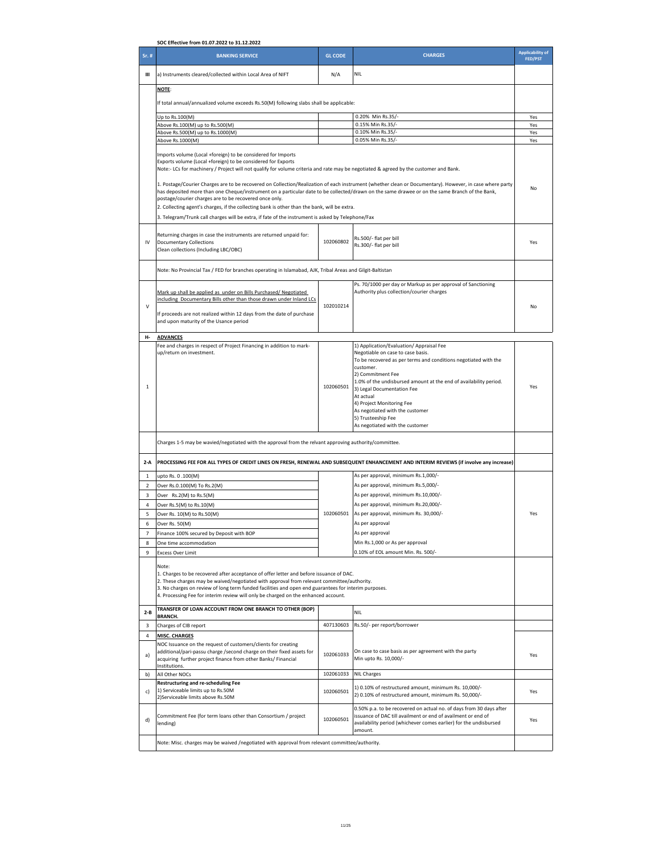| SOC Effective from 01.07.2022 to 31.12.2022 |                                                                                                                                                                                                                                                                                                            |                |                                                                                                                                   |                                           |  |
|---------------------------------------------|------------------------------------------------------------------------------------------------------------------------------------------------------------------------------------------------------------------------------------------------------------------------------------------------------------|----------------|-----------------------------------------------------------------------------------------------------------------------------------|-------------------------------------------|--|
| Sr. #                                       | <b>BANKING SERVICE</b>                                                                                                                                                                                                                                                                                     | <b>GL CODE</b> | <b>CHARGES</b>                                                                                                                    | <b>Applicability of</b><br><b>FED/PST</b> |  |
| Ш                                           | a) Instruments cleared/collected within Local Area of NIFT                                                                                                                                                                                                                                                 | N/A            | <b>NIL</b>                                                                                                                        |                                           |  |
|                                             | <b>NOTE:</b>                                                                                                                                                                                                                                                                                               |                |                                                                                                                                   |                                           |  |
|                                             | If total annual/annualized volume exceeds Rs.50(M) following slabs shall be applicable:                                                                                                                                                                                                                    |                |                                                                                                                                   |                                           |  |
|                                             | Up to Rs.100(M)                                                                                                                                                                                                                                                                                            |                | 0.20% Min Rs.35/-                                                                                                                 | Yes                                       |  |
|                                             | Above Rs.100(M) up to Rs.500(M)                                                                                                                                                                                                                                                                            |                | 0.15% Min Rs.35/-                                                                                                                 | Yes                                       |  |
|                                             | Above Rs.500(M) up to Rs.1000(M)<br>Above Rs.1000(M)                                                                                                                                                                                                                                                       |                | 0.10% Min Rs.35/-<br>0.05% Min Rs.35/-                                                                                            | Yes<br>Yes                                |  |
|                                             | Imports volume (Local +foreign) to be considered for Imports                                                                                                                                                                                                                                               |                |                                                                                                                                   |                                           |  |
|                                             | Exports volume (Local +foreign) to be considered for Exports<br>Note:- LCs for machinery / Project will not qualify for volume criteria and rate may be negotiated & agreed by the customer and Bank.                                                                                                      |                |                                                                                                                                   |                                           |  |
|                                             | 1. Postage/Courier Charges are to be recovered on Collection/Realization of each instrument (whether clean or Documentary). However, in case where party<br>has deposited more than one Cheque/instrument on a particular date to be collected/drawn on the same drawee or on the same Branch of the Bank, |                |                                                                                                                                   |                                           |  |
|                                             | postage/courier charges are to be recovered once only.<br>2. Collecting agent's charges, if the collecting bank is other than the bank, will be extra.                                                                                                                                                     |                |                                                                                                                                   |                                           |  |
|                                             | 3. Telegram/Trunk call charges will be extra, if fate of the instrument is asked by Telephone/Fax                                                                                                                                                                                                          |                |                                                                                                                                   |                                           |  |
|                                             |                                                                                                                                                                                                                                                                                                            |                |                                                                                                                                   |                                           |  |
|                                             | Returning charges in case the instruments are returned unpaid for:                                                                                                                                                                                                                                         | 102060802      | Rs.500/- flat per bill                                                                                                            |                                           |  |
| IV                                          | <b>Documentary Collections</b><br>Clean collections (Including LBC/OBC)                                                                                                                                                                                                                                    |                | Rs.300/- flat per bill                                                                                                            | Yes                                       |  |
|                                             |                                                                                                                                                                                                                                                                                                            |                |                                                                                                                                   |                                           |  |
|                                             | Note: No Provincial Tax / FED for branches operating in Islamabad, AJK, Tribal Areas and Gilgit-Baltistan                                                                                                                                                                                                  |                |                                                                                                                                   |                                           |  |
|                                             | Mark up shall be applied as under on Bills Purchased/ Negotiated                                                                                                                                                                                                                                           |                | Ps. 70/1000 per day or Markup as per approval of Sanctioning<br>Authority plus collection/courier charges                         |                                           |  |
| $\vee$                                      | including Documentary Bills other than those drawn under Inland LCs                                                                                                                                                                                                                                        | 102010214      |                                                                                                                                   | No                                        |  |
|                                             | If proceeds are not realized within 12 days from the date of purchase                                                                                                                                                                                                                                      |                |                                                                                                                                   |                                           |  |
|                                             | and upon maturity of the Usance period                                                                                                                                                                                                                                                                     |                |                                                                                                                                   |                                           |  |
| н-                                          | <b>ADVANCES</b>                                                                                                                                                                                                                                                                                            |                |                                                                                                                                   |                                           |  |
|                                             | Fee and charges in respect of Project Financing in addition to mark-<br>up/return on investment.                                                                                                                                                                                                           |                | 1) Application/Evaluation/ Appraisal Fee<br>Negotiable on case to case basis.                                                     |                                           |  |
|                                             |                                                                                                                                                                                                                                                                                                            |                | To be recovered as per terms and conditions negotiated with the                                                                   |                                           |  |
|                                             |                                                                                                                                                                                                                                                                                                            |                | customer.<br>2) Commitment Fee                                                                                                    |                                           |  |
| $\mathbf{1}$                                |                                                                                                                                                                                                                                                                                                            | 102060501      | 1.0% of the undisbursed amount at the end of availability period.                                                                 | Yes                                       |  |
|                                             |                                                                                                                                                                                                                                                                                                            |                | 3) Legal Documentation Fee<br>At actual                                                                                           |                                           |  |
|                                             |                                                                                                                                                                                                                                                                                                            |                | 4) Project Monitoring Fee                                                                                                         |                                           |  |
|                                             |                                                                                                                                                                                                                                                                                                            |                | As negotiated with the customer<br>5) Trusteeship Fee                                                                             |                                           |  |
|                                             |                                                                                                                                                                                                                                                                                                            |                | As negotiated with the customer                                                                                                   |                                           |  |
|                                             | Charges 1-5 may be wavied/negotiated with the approval from the relvant approving authority/committee.                                                                                                                                                                                                     |                |                                                                                                                                   |                                           |  |
| 2-A                                         | PROCESSING FEE FOR ALL TYPES OF CREDIT LINES ON FRESH, RENEWAL AND SUBSEQUENT ENHANCEMENT AND INTERIM REVIEWS (if involve any increase)                                                                                                                                                                    |                |                                                                                                                                   |                                           |  |
|                                             |                                                                                                                                                                                                                                                                                                            |                | As per approval, minimum Rs.1,000/-                                                                                               |                                           |  |
| 1<br>$\overline{2}$                         | upto Rs. 0.100(M)<br>Over Rs.0.100(M) To Rs.2(M)                                                                                                                                                                                                                                                           |                | As per approval, minimum Rs.5,000/-                                                                                               |                                           |  |
| 3                                           | Over Rs.2(M) to Rs.5(M)                                                                                                                                                                                                                                                                                    |                | As per approval, minimum Rs.10,000/-                                                                                              |                                           |  |
| $\overline{4}$                              | Over Rs.5(M) to Rs.10(M)                                                                                                                                                                                                                                                                                   |                | As per approval, minimum Rs.20,000/-                                                                                              |                                           |  |
| 5                                           | Over Rs. 10(M) to Rs.50(M)                                                                                                                                                                                                                                                                                 | 102060501      | As per approval, minimum Rs. 30,000/-                                                                                             | Yes                                       |  |
| 6                                           | Over Rs. 50(M)                                                                                                                                                                                                                                                                                             |                | As per approval                                                                                                                   |                                           |  |
| 7<br>8                                      | Finance 100% secured by Deposit with BOP<br>One time accommodation                                                                                                                                                                                                                                         |                | As per approval<br>Min Rs.1,000 or As per approval                                                                                |                                           |  |
| 9                                           | <b>Excess Over Limit</b>                                                                                                                                                                                                                                                                                   |                | 0.10% of EOL amount Min. Rs. 500/-                                                                                                |                                           |  |
|                                             |                                                                                                                                                                                                                                                                                                            |                |                                                                                                                                   |                                           |  |
|                                             | Note:<br>1. Charges to be recovered after acceptance of offer letter and before issuance of DAC.                                                                                                                                                                                                           |                |                                                                                                                                   |                                           |  |
|                                             | 2. These charges may be waived/negotiated with approval from relevant committee/authority.<br>3. No charges on review of long term funded facilities and open end guarantees for interim purposes.                                                                                                         |                |                                                                                                                                   |                                           |  |
|                                             | 4. Processing Fee for interim review will only be charged on the enhanced account.                                                                                                                                                                                                                         |                |                                                                                                                                   |                                           |  |
| $2 - B$                                     | TRANSFER OF LOAN ACCOUNT FROM ONE BRANCH TO OTHER (BOP)<br><b>BRANCH.</b>                                                                                                                                                                                                                                  |                | <b>NIL</b>                                                                                                                        |                                           |  |
| 3                                           | Charges of CIB report                                                                                                                                                                                                                                                                                      | 407130603      | Rs.50/- per report/borrower                                                                                                       |                                           |  |
| 4                                           | <b>MISC. CHARGES</b>                                                                                                                                                                                                                                                                                       |                |                                                                                                                                   |                                           |  |
|                                             | NOC Issuance on the request of customers/clients for creating<br>additional/pari-passu charge /second charge on their fixed assets for                                                                                                                                                                     |                | On case to case basis as per agreement with the party                                                                             |                                           |  |
| a)                                          | acquiring further project finance from other Banks/ Financial                                                                                                                                                                                                                                              | 102061033      | Min upto Rs. 10,000/-                                                                                                             | Yes                                       |  |
| b)                                          | Institutions.<br>All Other NOCs                                                                                                                                                                                                                                                                            | 102061033      | <b>NIL Charges</b>                                                                                                                |                                           |  |
|                                             | Restructuring and re-scheduling Fee                                                                                                                                                                                                                                                                        |                | 1) 0.10% of restructured amount, minimum Rs. 10,000/-                                                                             |                                           |  |
| c)                                          | 1) Serviceable limits up to Rs.50M<br>2) Serviceable limits above Rs.50M                                                                                                                                                                                                                                   | 102060501      | 2) 0.10% of restructured amount, minimum Rs. 50,000/-                                                                             | Yes                                       |  |
|                                             |                                                                                                                                                                                                                                                                                                            |                | 0.50% p.a. to be recovered on actual no. of days from 30 days after                                                               |                                           |  |
| d)                                          | Commitment Fee (for term loans other than Consortium / project                                                                                                                                                                                                                                             | 102060501      | issuance of DAC till availment or end of availment or end of<br>availability period (whichever comes earlier) for the undisbursed | Yes                                       |  |
|                                             | lending)                                                                                                                                                                                                                                                                                                   |                | amount.                                                                                                                           |                                           |  |
|                                             | Note: Misc. charges may be waived /negotiated with approval from relevant committee/authority.                                                                                                                                                                                                             |                |                                                                                                                                   |                                           |  |
|                                             |                                                                                                                                                                                                                                                                                                            |                |                                                                                                                                   |                                           |  |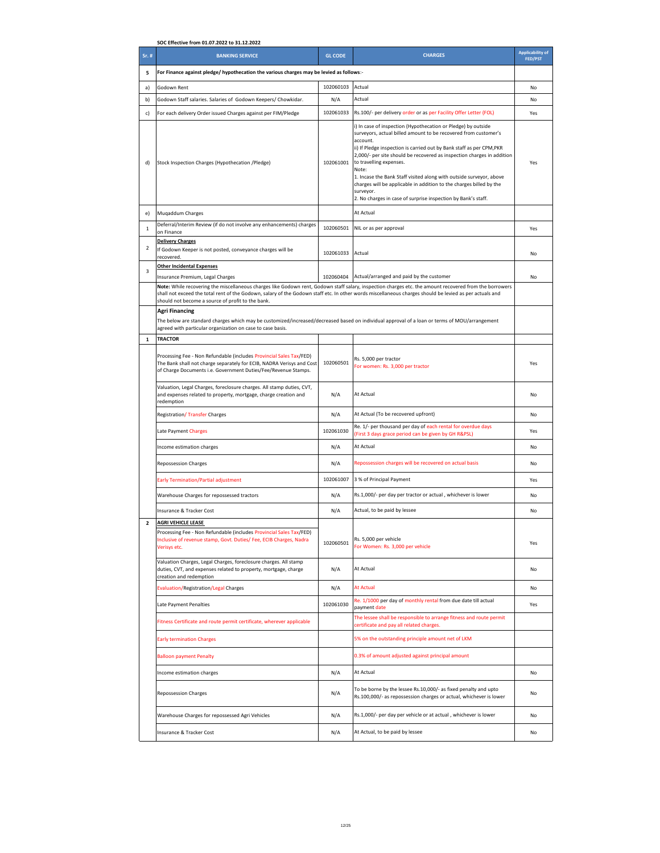|                | SOC Effective from 01.07.2022 to 31.12.2022                                                                                                                                                                    |                                                                                                                                                                                                                                                                                                          |                                                                                                                                                                                                                                                                                                                                                                                                                                                                                                                                                                 |                                    |
|----------------|----------------------------------------------------------------------------------------------------------------------------------------------------------------------------------------------------------------|----------------------------------------------------------------------------------------------------------------------------------------------------------------------------------------------------------------------------------------------------------------------------------------------------------|-----------------------------------------------------------------------------------------------------------------------------------------------------------------------------------------------------------------------------------------------------------------------------------------------------------------------------------------------------------------------------------------------------------------------------------------------------------------------------------------------------------------------------------------------------------------|------------------------------------|
| Sr. #          | <b>BANKING SERVICE</b>                                                                                                                                                                                         | <b>GL CODE</b>                                                                                                                                                                                                                                                                                           | <b>CHARGES</b>                                                                                                                                                                                                                                                                                                                                                                                                                                                                                                                                                  | <b>Applicability of</b><br>FED/PST |
| 5              | For Finance against pledge/ hypothecation the various charges may be levied as follows:-                                                                                                                       |                                                                                                                                                                                                                                                                                                          |                                                                                                                                                                                                                                                                                                                                                                                                                                                                                                                                                                 |                                    |
| a)             | Godown Rent                                                                                                                                                                                                    | 102060103                                                                                                                                                                                                                                                                                                | Actual                                                                                                                                                                                                                                                                                                                                                                                                                                                                                                                                                          | No                                 |
| b)             | Godown Staff salaries. Salaries of Godown Keepers/ Chowkidar.                                                                                                                                                  | N/A                                                                                                                                                                                                                                                                                                      | Actual                                                                                                                                                                                                                                                                                                                                                                                                                                                                                                                                                          | No                                 |
| c)             | For each delivery Order issued Charges against per FIM/Pledge                                                                                                                                                  | 102061033                                                                                                                                                                                                                                                                                                | Rs.100/- per delivery order or as per Facility Offer Letter (FOL)                                                                                                                                                                                                                                                                                                                                                                                                                                                                                               | Yes                                |
| d)             | Stock Inspection Charges (Hypothecation /Pledge)                                                                                                                                                               | 102061001                                                                                                                                                                                                                                                                                                | i) In case of inspection (Hypothecation or Pledge) by outside<br>surveyors, actual billed amount to be recovered from customer's<br>account.<br>ii) If Pledge inspection is carried out by Bank staff as per CPM, PKR<br>2,000/- per site should be recovered as inspection charges in addition<br>to travelling expenses.<br>Note:<br>1. Incase the Bank Staff visited along with outside surveyor, above<br>charges will be applicable in addition to the charges billed by the<br>surveyor.<br>2. No charges in case of surprise inspection by Bank's staff. | Yes                                |
| e)             | Muqaddum Charges                                                                                                                                                                                               |                                                                                                                                                                                                                                                                                                          | At Actual                                                                                                                                                                                                                                                                                                                                                                                                                                                                                                                                                       |                                    |
| 1              | Deferral/Interim Review (if do not involve any enhancements) charges<br>on Finance                                                                                                                             | 102060501                                                                                                                                                                                                                                                                                                | NIL or as per approval                                                                                                                                                                                                                                                                                                                                                                                                                                                                                                                                          | Yes                                |
|                | <b>Delivery Charges</b>                                                                                                                                                                                        |                                                                                                                                                                                                                                                                                                          |                                                                                                                                                                                                                                                                                                                                                                                                                                                                                                                                                                 |                                    |
| $\overline{2}$ | If Godown Keeper is not posted, conveyance charges will be<br>recovered.                                                                                                                                       | 102061033                                                                                                                                                                                                                                                                                                | Actual                                                                                                                                                                                                                                                                                                                                                                                                                                                                                                                                                          | No                                 |
| 3              | <b>Other Incidental Expenses</b><br>Insurance Premium, Legal Charges                                                                                                                                           | 102060404                                                                                                                                                                                                                                                                                                | Actual/arranged and paid by the customer                                                                                                                                                                                                                                                                                                                                                                                                                                                                                                                        | No                                 |
|                | Note: While recovering the miscellaneous charges like Godown rent, Godown staff salary, inspection charges etc. the amount recovered from the borrowers                                                        |                                                                                                                                                                                                                                                                                                          |                                                                                                                                                                                                                                                                                                                                                                                                                                                                                                                                                                 |                                    |
|                | should not become a source of profit to the bank.<br><b>Agri Financing</b><br>agreed with particular organization on case to case basis.                                                                       | shall not exceed the total rent of the Godown, salary of the Godown staff etc. In other words miscellaneous charges should be levied as per actuals and<br>The below are standard charges which may be customized/increased/decreased based on individual approval of a loan or terms of MOU/arrangement |                                                                                                                                                                                                                                                                                                                                                                                                                                                                                                                                                                 |                                    |
| $\mathbf 1$    | <b>TRACTOR</b>                                                                                                                                                                                                 |                                                                                                                                                                                                                                                                                                          |                                                                                                                                                                                                                                                                                                                                                                                                                                                                                                                                                                 |                                    |
|                | Processing Fee - Non Refundable (includes Provincial Sales Tax/FED)<br>The Bank shall not charge separately for ECIB, NADRA Verisys and Cost<br>of Charge Documents i.e. Government Duties/Fee/Revenue Stamps. | 102060501                                                                                                                                                                                                                                                                                                | Rs. 5,000 per tractor<br>For women: Rs. 3,000 per tractor                                                                                                                                                                                                                                                                                                                                                                                                                                                                                                       | Yes                                |
|                | Valuation, Legal Charges, foreclosure charges. All stamp duties, CVT,<br>and expenses related to property, mortgage, charge creation and<br>redemption                                                         | N/A                                                                                                                                                                                                                                                                                                      | At Actual                                                                                                                                                                                                                                                                                                                                                                                                                                                                                                                                                       | No                                 |
|                | <b>Registration/ Transfer Charges</b>                                                                                                                                                                          | N/A                                                                                                                                                                                                                                                                                                      | At Actual (To be recovered upfront)                                                                                                                                                                                                                                                                                                                                                                                                                                                                                                                             | No                                 |
|                | Late Payment Charges                                                                                                                                                                                           | 102061030                                                                                                                                                                                                                                                                                                | Re. 1/- per thousand per day of each rental for overdue days<br>(First 3 days grace period can be given by GH R&PSL)                                                                                                                                                                                                                                                                                                                                                                                                                                            | Yes                                |
|                | Income estimation charges                                                                                                                                                                                      | N/A                                                                                                                                                                                                                                                                                                      | At Actual                                                                                                                                                                                                                                                                                                                                                                                                                                                                                                                                                       | No                                 |
|                | <b>Repossession Charges</b>                                                                                                                                                                                    | N/A                                                                                                                                                                                                                                                                                                      | Repossession charges will be recovered on actual basis                                                                                                                                                                                                                                                                                                                                                                                                                                                                                                          | No                                 |
|                | <b>Early Termination/Partial adjustment</b>                                                                                                                                                                    | 102061007                                                                                                                                                                                                                                                                                                | 3 % of Principal Payment                                                                                                                                                                                                                                                                                                                                                                                                                                                                                                                                        | Yes                                |
|                | Warehouse Charges for repossessed tractors                                                                                                                                                                     | N/A                                                                                                                                                                                                                                                                                                      | Rs.1,000/- per day per tractor or actual, whichever is lower                                                                                                                                                                                                                                                                                                                                                                                                                                                                                                    | No                                 |
|                | <b>Insurance &amp; Tracker Cost</b>                                                                                                                                                                            | N/A                                                                                                                                                                                                                                                                                                      | Actual, to be paid by lessee                                                                                                                                                                                                                                                                                                                                                                                                                                                                                                                                    | No                                 |
|                | <b>AGRI VEHICLE LEASE</b><br>Processing Fee - Non Refundable (includes Provincial Sales Tax/FED)<br>Inclusive of revenue stamp, Govt. Duties/ Fee, ECIB Charges, Nadra<br>Verisys etc.                         | 102060501                                                                                                                                                                                                                                                                                                | Rs. 5,000 per vehicle<br>For Women: Rs. 3,000 per vehicle                                                                                                                                                                                                                                                                                                                                                                                                                                                                                                       | Yes                                |
|                | Valuation Charges, Legal Charges, foreclosure charges. All stamp<br>duties, CVT, and expenses related to property, mortgage, charge<br>creation and redemption                                                 | N/A                                                                                                                                                                                                                                                                                                      | At Actual                                                                                                                                                                                                                                                                                                                                                                                                                                                                                                                                                       | No                                 |
|                | <b>Evaluation/Registration/Legal Charges</b>                                                                                                                                                                   | N/A                                                                                                                                                                                                                                                                                                      | At Actual                                                                                                                                                                                                                                                                                                                                                                                                                                                                                                                                                       | No                                 |
|                | Late Payment Penalties                                                                                                                                                                                         | 102061030                                                                                                                                                                                                                                                                                                | Re. 1/1000 per day of monthly rental from due date till actual<br>payment date                                                                                                                                                                                                                                                                                                                                                                                                                                                                                  | Yes                                |
|                | Fitness Certificate and route permit certificate, wherever applicable                                                                                                                                          |                                                                                                                                                                                                                                                                                                          | The lessee shall be responsible to arrange fitness and route permit<br>certificate and pay all related charges.                                                                                                                                                                                                                                                                                                                                                                                                                                                 |                                    |
|                | <b>Early termination Charges</b>                                                                                                                                                                               |                                                                                                                                                                                                                                                                                                          | 5% on the outstanding principle amount net of LKM                                                                                                                                                                                                                                                                                                                                                                                                                                                                                                               |                                    |
|                | <b>Balloon payment Penalty</b>                                                                                                                                                                                 |                                                                                                                                                                                                                                                                                                          | 0.3% of amount adjusted against principal amount                                                                                                                                                                                                                                                                                                                                                                                                                                                                                                                |                                    |
|                | Income estimation charges                                                                                                                                                                                      | At Actual<br>N/A                                                                                                                                                                                                                                                                                         |                                                                                                                                                                                                                                                                                                                                                                                                                                                                                                                                                                 | No                                 |
|                | <b>Repossession Charges</b>                                                                                                                                                                                    | N/A                                                                                                                                                                                                                                                                                                      | To be borne by the lessee Rs.10,000/- as fixed penalty and upto<br>Rs.100,000/- as repossession charges or actual, whichever is lower                                                                                                                                                                                                                                                                                                                                                                                                                           | No                                 |
|                | Warehouse Charges for repossessed Agri Vehicles                                                                                                                                                                | N/A                                                                                                                                                                                                                                                                                                      | Rs.1,000/- per day per vehicle or at actual, whichever is lower                                                                                                                                                                                                                                                                                                                                                                                                                                                                                                 | No                                 |
|                | Insurance & Tracker Cost                                                                                                                                                                                       | N/A                                                                                                                                                                                                                                                                                                      | At Actual, to be paid by lessee                                                                                                                                                                                                                                                                                                                                                                                                                                                                                                                                 | No                                 |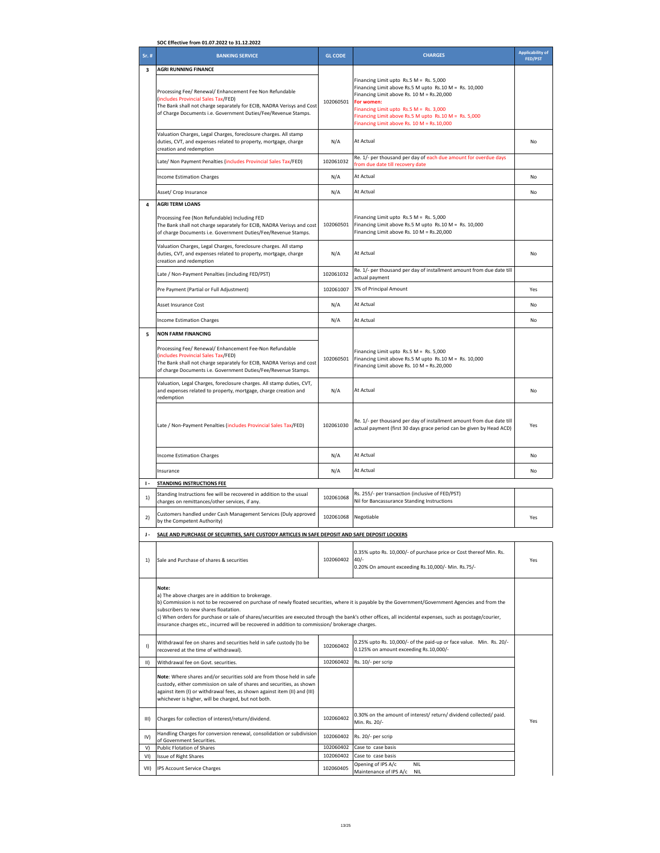| SOC Effective from 01.07.2022 to 31.12.2022 |                                                                                                                                                                                                                                                                                    |                                                                                                                                                                                                                                                                                                                                                                                                                       |                                                                                                                                                                                                                                                                                                                   |                                           |
|---------------------------------------------|------------------------------------------------------------------------------------------------------------------------------------------------------------------------------------------------------------------------------------------------------------------------------------|-----------------------------------------------------------------------------------------------------------------------------------------------------------------------------------------------------------------------------------------------------------------------------------------------------------------------------------------------------------------------------------------------------------------------|-------------------------------------------------------------------------------------------------------------------------------------------------------------------------------------------------------------------------------------------------------------------------------------------------------------------|-------------------------------------------|
| Sr. #                                       | <b>BANKING SERVICE</b>                                                                                                                                                                                                                                                             | <b>GL CODE</b>                                                                                                                                                                                                                                                                                                                                                                                                        | <b>CHARGES</b>                                                                                                                                                                                                                                                                                                    | <b>Applicability of</b><br><b>FED/PST</b> |
| 3                                           | <b>AGRI RUNNING FINANCE</b>                                                                                                                                                                                                                                                        |                                                                                                                                                                                                                                                                                                                                                                                                                       |                                                                                                                                                                                                                                                                                                                   |                                           |
|                                             | Processing Fee/ Renewal/ Enhancement Fee Non Refundable<br>(includes Provincial Sales Tax/FED)<br>The Bank shall not charge separately for ECIB, NADRA Verisys and Cost<br>of Charge Documents i.e. Government Duties/Fee/Revenue Stamps.                                          | 102060501                                                                                                                                                                                                                                                                                                                                                                                                             | Financing Limit upto Rs.5 M = Rs. 5,000<br>Financing Limit above Rs.5 M upto Rs.10 M = Rs. 10,000<br>Financing Limit above Rs. 10 M = Rs.20,000<br>For women:<br>Financing Limit upto $Rs.5 M = Rs. 3,000$<br>Financing Limit above Rs.5 M upto Rs.10 M = Rs. 5,000<br>Financing Limit above Rs. 10 M = Rs.10,000 |                                           |
|                                             | Valuation Charges, Legal Charges, foreclosure charges. All stamp<br>duties, CVT, and expenses related to property, mortgage, charge<br>creation and redemption                                                                                                                     | N/A                                                                                                                                                                                                                                                                                                                                                                                                                   | At Actual                                                                                                                                                                                                                                                                                                         | No                                        |
|                                             | Late/ Non Payment Penalties (includes Provincial Sales Tax/FED)                                                                                                                                                                                                                    | 102061032                                                                                                                                                                                                                                                                                                                                                                                                             | Re. 1/- per thousand per day of each due amount for overdue days<br>from due date till recovery date                                                                                                                                                                                                              |                                           |
|                                             | <b>Income Estimation Charges</b>                                                                                                                                                                                                                                                   | N/A                                                                                                                                                                                                                                                                                                                                                                                                                   | At Actual                                                                                                                                                                                                                                                                                                         | No                                        |
|                                             | Asset/ Crop Insurance                                                                                                                                                                                                                                                              | N/A                                                                                                                                                                                                                                                                                                                                                                                                                   | At Actual                                                                                                                                                                                                                                                                                                         | No                                        |
| 4                                           | <b>AGRI TERM LOANS</b><br>Processing Fee (Non Refundable) Including FED<br>The Bank shall not charge separately for ECIB, NADRA Verisys and cost<br>of charge Documents i.e. Government Duties/Fee/Revenue Stamps.                                                                 | 102060501                                                                                                                                                                                                                                                                                                                                                                                                             | Financing Limit upto Rs.5 M = Rs. 5,000<br>Financing Limit above Rs.5 M upto Rs.10 M = Rs. 10,000<br>Financing Limit above Rs. 10 M = Rs.20,000                                                                                                                                                                   |                                           |
|                                             | Valuation Charges, Legal Charges, foreclosure charges. All stamp<br>duties, CVT, and expenses related to property, mortgage, charge<br>creation and redemption                                                                                                                     | N/A                                                                                                                                                                                                                                                                                                                                                                                                                   | At Actual                                                                                                                                                                                                                                                                                                         | No                                        |
|                                             | Late / Non-Payment Penalties (including FED/PST)                                                                                                                                                                                                                                   | 102061032                                                                                                                                                                                                                                                                                                                                                                                                             | Re. 1/- per thousand per day of installment amount from due date till<br>actual payment                                                                                                                                                                                                                           |                                           |
|                                             | Pre Payment (Partial or Full Adjustment)                                                                                                                                                                                                                                           | 102061007                                                                                                                                                                                                                                                                                                                                                                                                             | 3% of Principal Amount                                                                                                                                                                                                                                                                                            | Yes                                       |
|                                             | Asset Insurance Cost                                                                                                                                                                                                                                                               | N/A                                                                                                                                                                                                                                                                                                                                                                                                                   | At Actual                                                                                                                                                                                                                                                                                                         | No                                        |
|                                             | <b>Income Estimation Charges</b>                                                                                                                                                                                                                                                   | N/A                                                                                                                                                                                                                                                                                                                                                                                                                   | At Actual                                                                                                                                                                                                                                                                                                         | No                                        |
| 5                                           | <b>NON FARM FINANCING</b>                                                                                                                                                                                                                                                          |                                                                                                                                                                                                                                                                                                                                                                                                                       |                                                                                                                                                                                                                                                                                                                   |                                           |
|                                             | Processing Fee/ Renewal/ Enhancement Fee-Non Refundable<br>(includes Provincial Sales Tax/FED)<br>The Bank shall not charge separately for ECIB, NADRA Verisys and cost<br>of charge Documents i.e. Government Duties/Fee/Revenue Stamps.                                          | 102060501                                                                                                                                                                                                                                                                                                                                                                                                             | Financing Limit upto Rs.5 M = Rs. 5,000<br>Financing Limit above Rs.5 M upto Rs.10 M = Rs. 10,000<br>Financing Limit above Rs. 10 M = Rs.20,000                                                                                                                                                                   |                                           |
|                                             | Valuation, Legal Charges, foreclosure charges. All stamp duties, CVT,<br>and expenses related to property, mortgage, charge creation and<br>redemption                                                                                                                             | N/A                                                                                                                                                                                                                                                                                                                                                                                                                   | At Actual                                                                                                                                                                                                                                                                                                         | No                                        |
|                                             | Late / Non-Payment Penalties (includes Provincial Sales Tax/FED)                                                                                                                                                                                                                   | 102061030                                                                                                                                                                                                                                                                                                                                                                                                             | Re. 1/- per thousand per day of installment amount from due date till<br>actual payment (first 30 days grace period can be given by Head ACD)                                                                                                                                                                     | Yes                                       |
|                                             | <b>Income Estimation Charges</b>                                                                                                                                                                                                                                                   | N/A                                                                                                                                                                                                                                                                                                                                                                                                                   | At Actual                                                                                                                                                                                                                                                                                                         | No                                        |
|                                             | Insurance                                                                                                                                                                                                                                                                          | N/A                                                                                                                                                                                                                                                                                                                                                                                                                   | At Actual                                                                                                                                                                                                                                                                                                         | No                                        |
| $\mathbf{I}$                                | <b>STANDING INSTRUCTIONS FEE</b>                                                                                                                                                                                                                                                   |                                                                                                                                                                                                                                                                                                                                                                                                                       |                                                                                                                                                                                                                                                                                                                   |                                           |
| 1)                                          | Standing Instructions fee will be recovered in addition to the usual<br>charges on remittances/other services, if any.                                                                                                                                                             | 102061068                                                                                                                                                                                                                                                                                                                                                                                                             | Rs. 255/- per transaction (inclusive of FED/PST)<br>Nil for Bancassurance Standing Instructions                                                                                                                                                                                                                   |                                           |
| 2)                                          | Customers handled under Cash Management Services (Duly approved<br>by the Competent Authority)                                                                                                                                                                                     | 102061068                                                                                                                                                                                                                                                                                                                                                                                                             | Negotiable                                                                                                                                                                                                                                                                                                        | Yes                                       |
| J-                                          | SALE AND PURCHASE OF SECURITIES, SAFE CUSTODY ARTICLES IN SAFE DEPOSIT AND SAFE DEPOSIT LOCKERS                                                                                                                                                                                    |                                                                                                                                                                                                                                                                                                                                                                                                                       |                                                                                                                                                                                                                                                                                                                   |                                           |
| 1)                                          | Sale and Purchase of shares & securities                                                                                                                                                                                                                                           | 102060402                                                                                                                                                                                                                                                                                                                                                                                                             | 0.35% upto Rs. 10,000/- of purchase price or Cost thereof Min. Rs.<br>$40/-$<br>0.20% On amount exceeding Rs.10,000/- Min. Rs.75/-                                                                                                                                                                                | Yes                                       |
|                                             | Note:<br>a) The above charges are in addition to brokerage.<br>subscribers to new shares floatation.                                                                                                                                                                               | b) Commission is not to be recovered on purchase of newly floated securities, where it is payable by the Government/Government Agencies and from the<br>c) When orders for purchase or sale of shares/securities are executed through the bank's other offices, all incidental expenses, such as postage/courier,<br>insurance charges etc., incurred will be recovered in addition to commission/ brokerage charges. |                                                                                                                                                                                                                                                                                                                   |                                           |
| I)                                          | Withdrawal fee on shares and securities held in safe custody (to be<br>recovered at the time of withdrawal).                                                                                                                                                                       | 102060402                                                                                                                                                                                                                                                                                                                                                                                                             | 0.25% upto Rs. 10,000/- of the paid-up or face value. Min. Rs. 20/-<br>0.125% on amount exceeding Rs.10,000/-                                                                                                                                                                                                     |                                           |
| $\parallel$                                 | Withdrawal fee on Govt. securities.                                                                                                                                                                                                                                                | 102060402                                                                                                                                                                                                                                                                                                                                                                                                             | Rs. 10/- per scrip                                                                                                                                                                                                                                                                                                |                                           |
|                                             | Note: Where shares and/or securities sold are from those held in safe<br>custody, either commission on sale of shares and securities, as shown<br>against item (I) or withdrawal fees, as shown against item (II) and (III)<br>whichever is higher, will be charged, but not both. |                                                                                                                                                                                                                                                                                                                                                                                                                       |                                                                                                                                                                                                                                                                                                                   |                                           |
| III)                                        | Charges for collection of interest/return/dividend.                                                                                                                                                                                                                                | 102060402                                                                                                                                                                                                                                                                                                                                                                                                             | 0.30% on the amount of interest/return/dividend collected/paid.<br>Min. Rs. 20/-                                                                                                                                                                                                                                  | Yes                                       |
| IV)                                         | Handling Charges for conversion renewal, consolidation or subdivision<br>of Government Securities.                                                                                                                                                                                 | 102060402                                                                                                                                                                                                                                                                                                                                                                                                             | Rs. 20/- per scrip                                                                                                                                                                                                                                                                                                |                                           |
| V)<br>VI)                                   | Public Flotation of Shares<br>Issue of Right Shares                                                                                                                                                                                                                                | 102060402<br>102060402                                                                                                                                                                                                                                                                                                                                                                                                | Case to case basis<br>Case to case basis                                                                                                                                                                                                                                                                          |                                           |
| VII)                                        | IPS Account Service Charges                                                                                                                                                                                                                                                        | 102060405                                                                                                                                                                                                                                                                                                                                                                                                             | <b>NIL</b><br>Opening of IPS A/c<br>Maintenance of IPS A/c<br><b>NIL</b>                                                                                                                                                                                                                                          |                                           |
|                                             |                                                                                                                                                                                                                                                                                    |                                                                                                                                                                                                                                                                                                                                                                                                                       |                                                                                                                                                                                                                                                                                                                   |                                           |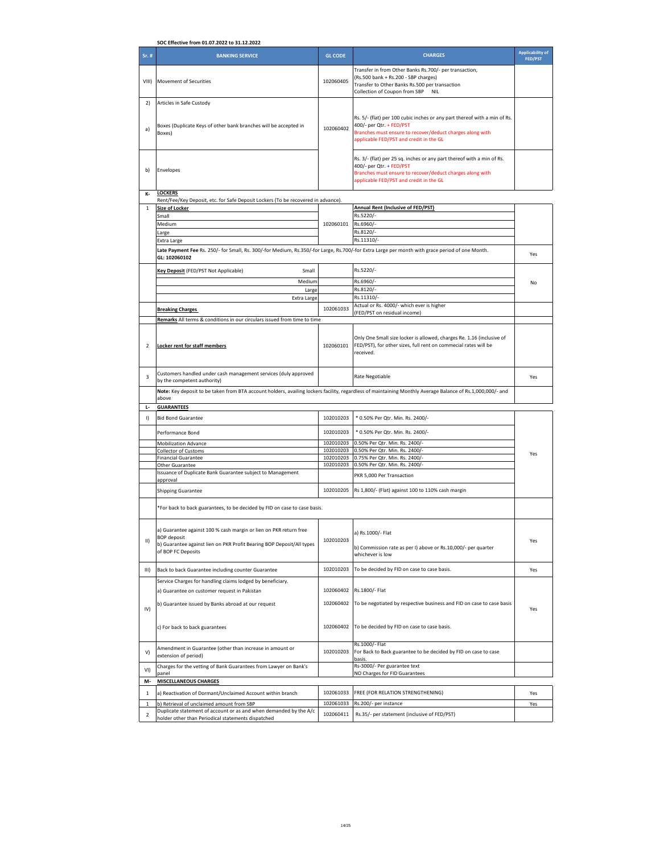| SOC Effective from 01.07.2022 to 31.12.2022 |                                                                                                                                                            |                |                                                                                                                                                  |                         |
|---------------------------------------------|------------------------------------------------------------------------------------------------------------------------------------------------------------|----------------|--------------------------------------------------------------------------------------------------------------------------------------------------|-------------------------|
|                                             |                                                                                                                                                            |                |                                                                                                                                                  | <b>Applicability of</b> |
| Sr. #                                       | <b>BANKING SERVICE</b>                                                                                                                                     | <b>GL CODE</b> | <b>CHARGES</b>                                                                                                                                   | <b>FED/PST</b>          |
| VIII)                                       | Movement of Securities                                                                                                                                     | 102060405      | Transfer in from Other Banks Rs.700/- per transaction,<br>(Rs.500 bank + Rs.200 - SBP charges)<br>Transfer to Other Banks Rs.500 per transaction |                         |
|                                             |                                                                                                                                                            |                | Collection of Coupon from SBP<br><b>NIL</b>                                                                                                      |                         |
|                                             |                                                                                                                                                            |                |                                                                                                                                                  |                         |
| 2)                                          | Articles in Safe Custody                                                                                                                                   |                |                                                                                                                                                  |                         |
|                                             |                                                                                                                                                            |                |                                                                                                                                                  |                         |
|                                             |                                                                                                                                                            |                | Rs. 5/- (flat) per 100 cubic inches or any part thereof with a min of Rs.                                                                        |                         |
|                                             | Boxes (Duplicate Keys of other bank branches will be accepted in                                                                                           |                | 400/- per Qtr. + FED/PST                                                                                                                         |                         |
| a)                                          | Boxes)                                                                                                                                                     | 102060402      | Branches must ensure to recover/deduct charges along with                                                                                        |                         |
|                                             |                                                                                                                                                            |                | applicable FED/PST and credit in the GL                                                                                                          |                         |
|                                             |                                                                                                                                                            |                |                                                                                                                                                  |                         |
|                                             |                                                                                                                                                            |                |                                                                                                                                                  |                         |
|                                             |                                                                                                                                                            |                | Rs. 3/- (flat) per 25 sq. inches or any part thereof with a min of Rs.                                                                           |                         |
|                                             |                                                                                                                                                            |                | 400/- per Qtr. + FED/PST                                                                                                                         |                         |
| b)                                          | Envelopes                                                                                                                                                  |                | Branches must ensure to recover/deduct charges along with                                                                                        |                         |
|                                             |                                                                                                                                                            |                | applicable FED/PST and credit in the GL                                                                                                          |                         |
|                                             |                                                                                                                                                            |                |                                                                                                                                                  |                         |
| К-                                          | <b>LOCKERS</b>                                                                                                                                             |                |                                                                                                                                                  |                         |
|                                             | Rent/Fee/Key Deposit, etc. for Safe Deposit Lockers (To be recovered in advance).                                                                          |                |                                                                                                                                                  |                         |
| $\mathbf 1$                                 | <b>Size of Locker</b>                                                                                                                                      |                | Annual Rent (Inclusive of FED/PST)                                                                                                               |                         |
|                                             | Small                                                                                                                                                      |                | Rs.5220/-                                                                                                                                        |                         |
|                                             | Medium                                                                                                                                                     | 102060101      | Rs.6960/-                                                                                                                                        |                         |
|                                             |                                                                                                                                                            |                | Rs.8120/-                                                                                                                                        |                         |
|                                             | Large                                                                                                                                                      |                |                                                                                                                                                  |                         |
|                                             | Extra Large                                                                                                                                                |                | Rs.11310/-                                                                                                                                       |                         |
|                                             | Late Payment Fee Rs. 250/- for Small, Rs. 300/-for Medium, Rs.350/-for Large, Rs.700/-for Extra Large per month with grace period of one Month.            |                |                                                                                                                                                  |                         |
|                                             | GL: 102060102                                                                                                                                              |                |                                                                                                                                                  | Yes                     |
|                                             |                                                                                                                                                            |                |                                                                                                                                                  |                         |
|                                             | Key Deposit (FED/PST Not Applicable)<br>Small                                                                                                              |                | Rs.5220/-                                                                                                                                        |                         |
|                                             |                                                                                                                                                            |                | Rs.6960/-                                                                                                                                        |                         |
|                                             | Medium                                                                                                                                                     |                |                                                                                                                                                  | No                      |
|                                             | Large                                                                                                                                                      |                | Rs.8120/-                                                                                                                                        |                         |
|                                             | Extra Large                                                                                                                                                |                | Rs.11310/-                                                                                                                                       |                         |
|                                             |                                                                                                                                                            | 102061033      | Actual or Rs. 4000/- which ever is higher                                                                                                        |                         |
|                                             | <b>Breaking Charges</b>                                                                                                                                    |                | (FED/PST on residual income)                                                                                                                     |                         |
|                                             | Remarks All terms & conditions in our circulars issued from time to time                                                                                   |                |                                                                                                                                                  |                         |
|                                             |                                                                                                                                                            |                |                                                                                                                                                  |                         |
|                                             |                                                                                                                                                            |                |                                                                                                                                                  |                         |
|                                             |                                                                                                                                                            |                | Only One Small size locker is allowed, charges Re. 1.16 (inclusive of                                                                            |                         |
| $\mathcal{P}$                               | Locker rent for staff members                                                                                                                              | 102060101      | FED/PST), for other sizes, full rent on commecial rates will be                                                                                  |                         |
|                                             |                                                                                                                                                            |                | received.                                                                                                                                        |                         |
|                                             |                                                                                                                                                            |                |                                                                                                                                                  |                         |
|                                             |                                                                                                                                                            |                |                                                                                                                                                  |                         |
| 3                                           | Customers handled under cash management services (duly approved                                                                                            |                | Rate Negotiable                                                                                                                                  | Yes                     |
|                                             | by the competent authority)                                                                                                                                |                |                                                                                                                                                  |                         |
|                                             | Note: Key deposit to be taken from BTA account holders, availing lockers facility, regardless of maintaining Monthly Average Balance of Rs.1,000,000/- and |                |                                                                                                                                                  |                         |
|                                             | above                                                                                                                                                      |                |                                                                                                                                                  |                         |
| Ъ                                           | <b>GUARANTEES</b>                                                                                                                                          |                |                                                                                                                                                  |                         |
|                                             |                                                                                                                                                            |                |                                                                                                                                                  |                         |
| $\vert$                                     | <b>Bid Bond Guarantee</b>                                                                                                                                  | 102010203      | * 0.50% Per Qtr. Min. Rs. 2400/-                                                                                                                 |                         |
|                                             |                                                                                                                                                            |                |                                                                                                                                                  |                         |
|                                             | Performance Bond                                                                                                                                           | 102010203      | * 0.50% Per Qtr. Min. Rs. 2400/-                                                                                                                 |                         |
|                                             |                                                                                                                                                            |                |                                                                                                                                                  |                         |
|                                             | <b>Mobilization Advance</b>                                                                                                                                | 102010203      | 0.50% Per Qtr. Min. Rs. 2400/-                                                                                                                   |                         |
|                                             | <b>Collector of Customs</b>                                                                                                                                | 102010203      | 0.50% Per Qtr. Min. Rs. 2400/-                                                                                                                   | Yes                     |
|                                             | <b>Financial Guarantee</b>                                                                                                                                 | 102010203      | 0.75% Per Qtr. Min. Rs. 2400/-                                                                                                                   |                         |
|                                             | Other Guarantee                                                                                                                                            | 102010203      | 0.50% Per Qtr. Min. Rs. 2400/-                                                                                                                   |                         |
|                                             | Issuance of Duplicate Bank Guarantee subject to Management                                                                                                 |                | PKR 5,000 Per Transaction                                                                                                                        |                         |
|                                             | approval                                                                                                                                                   |                |                                                                                                                                                  |                         |
|                                             | <b>Shipping Guarantee</b>                                                                                                                                  | 102010205      | Rs 1,800/- (Flat) against 100 to 110% cash margin                                                                                                |                         |
|                                             |                                                                                                                                                            |                |                                                                                                                                                  |                         |
|                                             |                                                                                                                                                            |                |                                                                                                                                                  |                         |
|                                             | *For back to back guarantees, to be decided by FID on case to case basis.                                                                                  |                |                                                                                                                                                  |                         |
|                                             |                                                                                                                                                            |                |                                                                                                                                                  |                         |
|                                             |                                                                                                                                                            |                |                                                                                                                                                  |                         |
|                                             | a) Guarantee against 100 % cash margin or lien on PKR return free                                                                                          |                | a) Rs.1000/- Flat                                                                                                                                |                         |
| $\parallel$                                 | <b>BOP</b> deposit                                                                                                                                         | 102010203      |                                                                                                                                                  | Yes                     |
|                                             | b) Guarantee against lien on PKR Profit Bearing BOP Deposit/All types                                                                                      |                |                                                                                                                                                  |                         |
|                                             | of BOP FC Deposits                                                                                                                                         |                | b) Commission rate as per I) above or Rs.10,000/- per quarter<br>whichever is low                                                                |                         |
|                                             |                                                                                                                                                            |                |                                                                                                                                                  |                         |
|                                             |                                                                                                                                                            |                |                                                                                                                                                  |                         |
| III)                                        | Back to back Guarantee including counter Guarantee                                                                                                         | 102010203      | To be decided by FID on case to case basis.                                                                                                      | Yes                     |
|                                             | Service Charges for handling claims lodged by beneficiary.                                                                                                 |                |                                                                                                                                                  |                         |
|                                             |                                                                                                                                                            |                |                                                                                                                                                  |                         |
|                                             | a) Guarantee on customer request in Pakistan                                                                                                               | 102060402      | Rs.1800/- Flat                                                                                                                                   |                         |
|                                             |                                                                                                                                                            | 102060402      |                                                                                                                                                  |                         |
| IV)                                         | b) Guarantee issued by Banks abroad at our request                                                                                                         |                | To be negotiated by respective business and FID on case to case basis                                                                            | Yes                     |
|                                             |                                                                                                                                                            |                |                                                                                                                                                  |                         |
|                                             |                                                                                                                                                            |                |                                                                                                                                                  |                         |
|                                             | c) For back to back guarantees                                                                                                                             | 102060402      | To be decided by FID on case to case basis.                                                                                                      |                         |
|                                             |                                                                                                                                                            |                |                                                                                                                                                  |                         |
|                                             |                                                                                                                                                            |                | Rs.1000/- Flat                                                                                                                                   |                         |
|                                             | Amendment in Guarantee (other than increase in amount or                                                                                                   |                |                                                                                                                                                  |                         |
| V)                                          | extension of period)                                                                                                                                       | 102010203      | For Back to Back guarantee to be decided by FID on case to case                                                                                  |                         |
|                                             |                                                                                                                                                            |                | basis.                                                                                                                                           |                         |
| VI)                                         | Charges for the vetting of Bank Guarantees from Lawyer on Bank's                                                                                           |                | Rs-3000/- Per guarantee text                                                                                                                     |                         |
|                                             | panel                                                                                                                                                      |                | NO Charges for FID Guarantees                                                                                                                    |                         |
| M-                                          | <b>MISCELLANEOUS CHARGES</b>                                                                                                                               |                |                                                                                                                                                  |                         |
|                                             |                                                                                                                                                            | 102061033      | FREE (FOR RELATION STRENGTHENING)                                                                                                                |                         |
| $\mathbf{1}$                                | a) Reactivation of Dormant/Unclaimed Account within branch                                                                                                 |                |                                                                                                                                                  | Yes                     |
| $\,1\,$                                     | b) Retrieval of unclaimed amount from SBP                                                                                                                  | 102061033      | Rs.200/- per instance                                                                                                                            | Yes                     |
| $\overline{2}$                              | Duplicate statement of account or as and when demanded by the A/c                                                                                          | 102060411      | Rs.35/- per statement (inclusive of FED/PST)                                                                                                     |                         |
|                                             | holder other than Periodical statements dispatched                                                                                                         |                |                                                                                                                                                  |                         |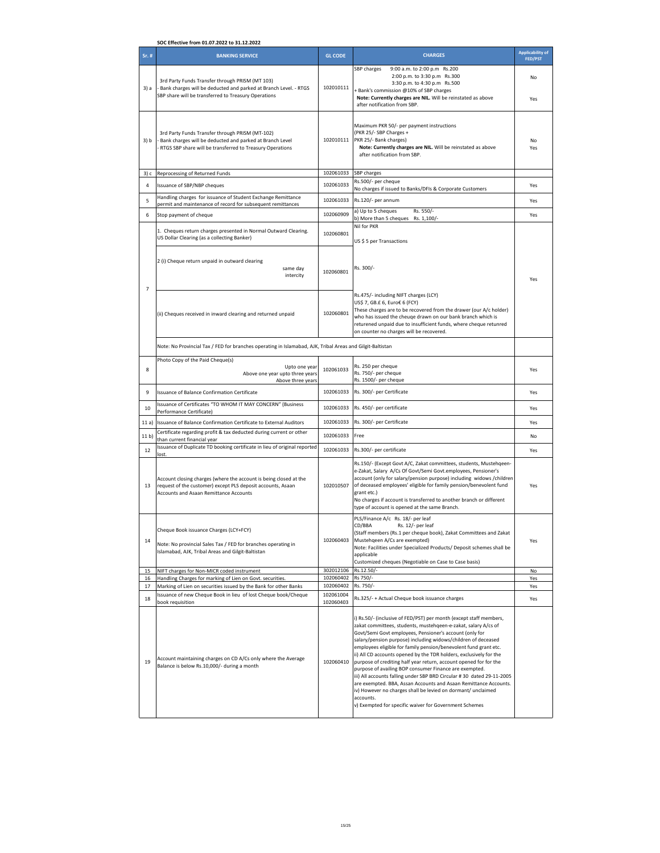| SOC Effective from 01.07.2022 to 31.12.2022 |                                                                                                                                                                                   |                        |                                                                                                                                                                                                                                                                                                                                                                                                                                                                                                                                                                                                                                                                                                                                                                                                                               |                                           |  |  |
|---------------------------------------------|-----------------------------------------------------------------------------------------------------------------------------------------------------------------------------------|------------------------|-------------------------------------------------------------------------------------------------------------------------------------------------------------------------------------------------------------------------------------------------------------------------------------------------------------------------------------------------------------------------------------------------------------------------------------------------------------------------------------------------------------------------------------------------------------------------------------------------------------------------------------------------------------------------------------------------------------------------------------------------------------------------------------------------------------------------------|-------------------------------------------|--|--|
| $Sr.$ #                                     | <b>BANKING SERVICE</b>                                                                                                                                                            | <b>GL CODE</b>         | <b>CHARGES</b>                                                                                                                                                                                                                                                                                                                                                                                                                                                                                                                                                                                                                                                                                                                                                                                                                | <b>Applicability of</b><br><b>FED/PST</b> |  |  |
| 3) a                                        | 3rd Party Funds Transfer through PRISM (MT 103)<br>Bank charges will be deducted and parked at Branch Level. - RTGS<br>SBP share will be transferred to Treasury Operations       | 102010111              | 9:00 a.m. to 2:00 p.m Rs.200<br>SBP charges<br>2:00 p.m. to 3:30 p.m Rs.300<br>3:30 p.m. to 4:30 p.m Rs.500<br>Bank's commission @10% of SBP charges<br>Note: Currently charges are NIL. Will be reinstated as above                                                                                                                                                                                                                                                                                                                                                                                                                                                                                                                                                                                                          | No<br>Yes                                 |  |  |
| 3) b                                        | 3rd Party Funds Transfer through PRISM (MT-102)<br>Bank charges will be deducted and parked at Branch Level<br>RTGS SBP share will be transferred to Treasury Operations          | 102010111              | after notification from SBP.<br>Maximum PKR 50/- per payment instructions<br>(PKR 25/- SBP Charges +<br>PKR 25/- Bank charges)<br>Note: Currently charges are NIL. Will be reinstated as above<br>after notification from SBP.                                                                                                                                                                                                                                                                                                                                                                                                                                                                                                                                                                                                | No<br>Yes                                 |  |  |
| 3) c                                        | Reprocessing of Returned Funds                                                                                                                                                    | 102061033              | SBP charges                                                                                                                                                                                                                                                                                                                                                                                                                                                                                                                                                                                                                                                                                                                                                                                                                   |                                           |  |  |
| $\overline{a}$                              | Issuance of SBP/NBP cheques                                                                                                                                                       | 102061033              | Rs.500/- per cheque<br>No charges if issued to Banks/DFIs & Corporate Customers                                                                                                                                                                                                                                                                                                                                                                                                                                                                                                                                                                                                                                                                                                                                               | Yes                                       |  |  |
| 5                                           | Handling charges for issuance of Student Exchange Remittance<br>permit and maintenance of record for subsequent remittances                                                       | 102061033              | Rs.120/- per annum                                                                                                                                                                                                                                                                                                                                                                                                                                                                                                                                                                                                                                                                                                                                                                                                            | Yes                                       |  |  |
| 6                                           | Stop payment of cheque                                                                                                                                                            | 102060909              | a) Up to 5 cheques<br>Rs. 550/-<br>b) More than 5 cheques Rs. 1,100/-                                                                                                                                                                                                                                                                                                                                                                                                                                                                                                                                                                                                                                                                                                                                                         | Yes                                       |  |  |
|                                             | 1. Cheques return charges presented in Normal Outward Clearing.<br>US Dollar Clearing (as a collecting Banker)                                                                    | 102060801              | Nil for PKR<br>US \$ 5 per Transactions                                                                                                                                                                                                                                                                                                                                                                                                                                                                                                                                                                                                                                                                                                                                                                                       |                                           |  |  |
| $\overline{7}$                              | 2 (i) Cheque return unpaid in outward clearing<br>same day<br>intercity                                                                                                           | 102060801              | Rs. 300/-                                                                                                                                                                                                                                                                                                                                                                                                                                                                                                                                                                                                                                                                                                                                                                                                                     | Yes                                       |  |  |
|                                             | (ii) Cheques received in inward clearing and returned unpaid                                                                                                                      | 102060801              | Rs.475/- including NIFT charges (LCY)<br>US\$ 7, GB.£ 6, Euro€ 6 (FCY)<br>These charges are to be recovered from the drawer (our A/c holder)<br>who has issued the cheuge drawn on our bank branch which is<br>returened unpaid due to insufficient funds, where cheque retunred<br>on counter no charges will be recovered.                                                                                                                                                                                                                                                                                                                                                                                                                                                                                                  |                                           |  |  |
|                                             | Note: No Provincial Tax / FED for branches operating in Islamabad, AJK, Tribal Areas and Gilgit-Baltistan                                                                         |                        |                                                                                                                                                                                                                                                                                                                                                                                                                                                                                                                                                                                                                                                                                                                                                                                                                               |                                           |  |  |
| 8                                           | Photo Copy of the Paid Cheque(s)<br>Upto one year<br>Above one year upto three years<br>Above three years                                                                         | 102061033              | Rs. 250 per cheque<br>Rs. 750/- per cheque<br>Rs. 1500/- per cheque                                                                                                                                                                                                                                                                                                                                                                                                                                                                                                                                                                                                                                                                                                                                                           | Yes                                       |  |  |
| 9                                           | Issuance of Balance Confirmation Certificate                                                                                                                                      | 102061033              | Rs. 300/- per Certificate                                                                                                                                                                                                                                                                                                                                                                                                                                                                                                                                                                                                                                                                                                                                                                                                     | Yes                                       |  |  |
| 10                                          | Issuance of Certificates "TO WHOM IT MAY CONCERN" (Business<br>Performance Certificate)                                                                                           | 102061033              | Rs. 450/- per certificate                                                                                                                                                                                                                                                                                                                                                                                                                                                                                                                                                                                                                                                                                                                                                                                                     | Yes                                       |  |  |
| 11a)                                        | Issuance of Balance Confirmation Certificate to External Auditors                                                                                                                 | 102061033              | Rs. 300/- per Certificate                                                                                                                                                                                                                                                                                                                                                                                                                                                                                                                                                                                                                                                                                                                                                                                                     | Yes                                       |  |  |
| 11 b)                                       | Certificate regarding profit & tax deducted during current or other<br>than current financial year                                                                                | 102061033              | Free                                                                                                                                                                                                                                                                                                                                                                                                                                                                                                                                                                                                                                                                                                                                                                                                                          | No                                        |  |  |
| 12                                          | Issuance of Duplicate TD booking certificate in lieu of original reported<br>lost.                                                                                                | 102061033              | Rs.300/- per certificate                                                                                                                                                                                                                                                                                                                                                                                                                                                                                                                                                                                                                                                                                                                                                                                                      | Yes                                       |  |  |
| 13                                          | Account closing charges (where the account is being closed at the<br>request of the customer) except PLS deposit accounts, Asaan<br><b>Accounts and Asaan Remittance Accounts</b> | 102010507              | Rs.150/- (Except Govt A/C, Zakat committees, students, Mustehgeen-<br>e-Zakat, Salary A/Cs Of Govt/Semi Govt.employees, Pensioner's<br>account (only for salary/pension purpose) including widows /children<br>of deceased employees' eligible for family pension/benevolent fund<br>grant etc.)<br>No charges if account is transferred to another branch or different<br>type of account is opened at the same Branch.                                                                                                                                                                                                                                                                                                                                                                                                      | Yes                                       |  |  |
| 14                                          | Cheque Book issuance Charges (LCY+FCY)<br>Note: No provincial Sales Tax / FED for branches operating in<br>Islamabad, AJK, Tribal Areas and Gilgit-Baltistan                      | 102060403              | PLS/Finance A/c Rs. 18/- per leaf<br>CD/BBA<br>Rs. 12/- per leaf<br>(Staff members (Rs.1 per cheque book), Zakat Committees and Zakat<br>Mustehqeen A/Cs are exempted)<br>Note: Facilities under Specialized Products/ Deposit schemes shall be<br>applicable<br>Customized cheques (Negotiable on Case to Case basis)                                                                                                                                                                                                                                                                                                                                                                                                                                                                                                        | Yes                                       |  |  |
| 15<br>16                                    | NIFT charges for Non-MICR coded instrument<br>Handling Charges for marking of Lien on Govt. securities.                                                                           | 302012106<br>102060402 | Rs.12.50/<br>Rs 750/-                                                                                                                                                                                                                                                                                                                                                                                                                                                                                                                                                                                                                                                                                                                                                                                                         | No<br>Yes                                 |  |  |
| 17                                          | Marking of Lien on securities issued by the Bank for other Banks                                                                                                                  | 102060402              | Rs. 750/-                                                                                                                                                                                                                                                                                                                                                                                                                                                                                                                                                                                                                                                                                                                                                                                                                     | Yes                                       |  |  |
| 18                                          | Issuance of new Cheque Book in lieu of lost Cheque book/Cheque<br>book requisition                                                                                                | 102061004<br>102060403 | Rs.325/- + Actual Cheque book issuance charges                                                                                                                                                                                                                                                                                                                                                                                                                                                                                                                                                                                                                                                                                                                                                                                | Yes                                       |  |  |
| 19                                          | Account maintaining charges on CD A/Cs only where the Average<br>Balance is below Rs.10,000/- during a month                                                                      | 102060410              | i) Rs.50/- (inclusive of FED/PST) per month (except staff members,<br>zakat committees, students, mustehqeen-e-zakat, salary A/cs of<br>Govt/Semi Govt employees, Pensioner's account (only for<br>salary/pension purpose) including widows/children of deceased<br>employees eligible for family pension/benevolent fund grant etc.<br>ii) All CD accounts opened by the TDR holders, exclusively for the<br>purpose of crediting half year return, account opened for for the<br>purpose of availing BOP consumer Finance are exempted.<br>iii) All accounts falling under SBP BRD Circular #30 dated 29-11-2005<br>are exempted. BBA, Assan Accounts and Asaan Remittance Accounts.<br>iv) However no charges shall be levied on dormant/ unclaimed<br>accounts.<br>v) Exempted for specific waiver for Government Schemes |                                           |  |  |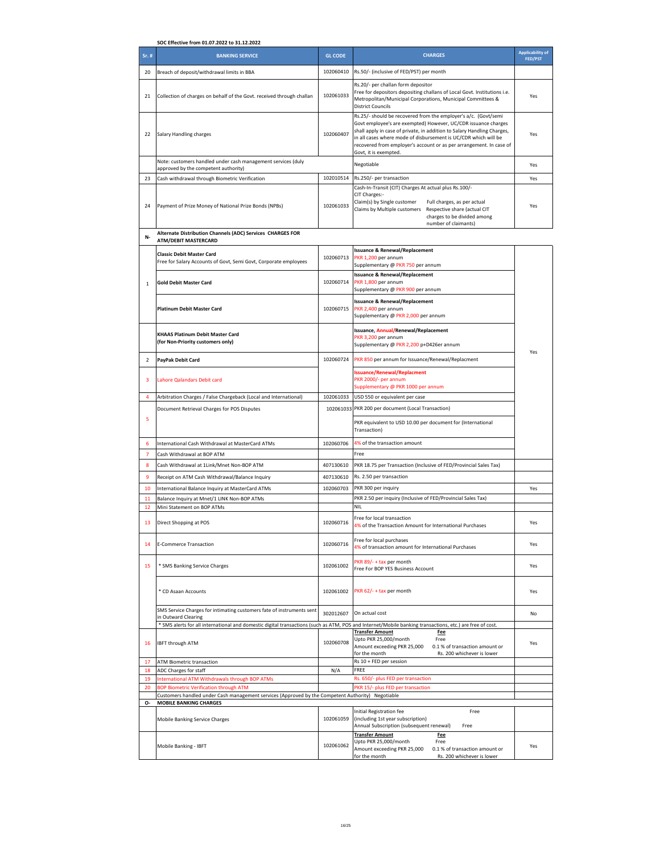|                         | SOC Effective from 01.07.2022 to 31.12.2022                                                                                                              |                |                                                                                                                                                                                                                                                                                                                                                                                 |                                           |
|-------------------------|----------------------------------------------------------------------------------------------------------------------------------------------------------|----------------|---------------------------------------------------------------------------------------------------------------------------------------------------------------------------------------------------------------------------------------------------------------------------------------------------------------------------------------------------------------------------------|-------------------------------------------|
| Sr. #                   | <b>BANKING SERVICE</b>                                                                                                                                   | <b>GL CODE</b> | <b>CHARGES</b>                                                                                                                                                                                                                                                                                                                                                                  | <b>Applicability</b> of<br><b>FED/PST</b> |
| 20                      | Breach of deposit/withdrawal limits in BBA                                                                                                               | 102060410      | Rs.50/- (inclusive of FED/PST) per month                                                                                                                                                                                                                                                                                                                                        |                                           |
| 21                      | Collection of charges on behalf of the Govt. received through challan                                                                                    | 102061033      | Rs.20/- per challan form depositor<br>Free for depositors depositing challans of Local Govt. Institutions i.e.<br>Metropolitan/Municipal Corporations, Municipal Committees &<br><b>District Councils</b>                                                                                                                                                                       | Yes                                       |
| 22                      | Salary Handling charges                                                                                                                                  | 102060407      | Rs.25/- should be recovered from the employer's a/c. (Govt/semi<br>Govt employee's are exempted) However, UC/CDR issuance charges<br>shall apply in case of private, in addition to Salary Handling Charges,<br>in all cases where mode of disbursement is UC/CDR which will be<br>recovered from employer's account or as per arrangement. In case of<br>Govt, it is exempted. | Yes                                       |
|                         | Note: customers handled under cash management services (duly<br>approved by the competent authority)                                                     |                | Negotiable                                                                                                                                                                                                                                                                                                                                                                      | Yes                                       |
| 23                      | Cash withdrawal through Biometric Verification                                                                                                           | 102010514      | Rs.250/- per transaction                                                                                                                                                                                                                                                                                                                                                        | Yes                                       |
| 24                      | Payment of Prize Money of National Prize Bonds (NPBs)                                                                                                    | 102061033      | Cash-In-Transit (CIT) Charges At actual plus Rs.100/-<br>CIT Charges:-<br>Claim(s) by Single customer<br>Full charges, as per actual<br>Claims by Multiple customers<br>Respective share (actual CIT<br>charges to be divided among<br>number of claimants)                                                                                                                     | Yes                                       |
| N-                      | Alternate Distribution Channels (ADC) Services CHARGES FOR<br>ATM/DEBIT MASTERCARD                                                                       |                |                                                                                                                                                                                                                                                                                                                                                                                 |                                           |
|                         | <b>Classic Debit Master Card</b><br>Free for Salary Accounts of Govt, Semi Govt, Corporate employees                                                     | 102060713      | <b>Issuance &amp; Renewal/Replacement</b><br>PKR 1,200 per annum<br>Supplementary @ PKR 750 per annum                                                                                                                                                                                                                                                                           |                                           |
| $\mathbf 1$             | <b>Gold Debit Master Card</b>                                                                                                                            | 102060714      | <b>Issuance &amp; Renewal/Replacement</b><br>PKR 1,800 per annum<br>Supplementary @ PKR 900 per annum                                                                                                                                                                                                                                                                           |                                           |
|                         | <b>Platinum Debit Master Card</b>                                                                                                                        | 102060715      | <b>Issuance &amp; Renewal/Replacement</b><br>PKR 2,400 per annum<br>Supplementary @ PKR 2,000 per annum                                                                                                                                                                                                                                                                         |                                           |
|                         | KHAAS Platinum Debit Master Card<br>(for Non-Priority customers only)                                                                                    |                | Issuance, Annual/Renewal/Replacement<br>PKR 3,200 per annum<br>Supplementary @ PKR 2,200 p+D426er annum                                                                                                                                                                                                                                                                         |                                           |
| $\overline{\mathbf{c}}$ | PayPak Debit Card                                                                                                                                        | 102060724      | PKR 850 per annum for Issuance/Renewal/Replacment                                                                                                                                                                                                                                                                                                                               | Yes                                       |
| 3                       | Lahore Qalandars Debit card                                                                                                                              |                | <b>Issuance/Renewal/Replacment</b><br>PKR 2000/- per annum<br>Supplementary @ PKR 1000 per annum                                                                                                                                                                                                                                                                                |                                           |
| 4                       | Arbitration Charges / False Chargeback (Local and International)                                                                                         | 102061033      | USD 550 or equivalent per case                                                                                                                                                                                                                                                                                                                                                  |                                           |
|                         | Document Retrieval Charges for POS Disputes                                                                                                              | 102061033      | PKR 200 per document (Local Transaction)                                                                                                                                                                                                                                                                                                                                        |                                           |
| 5                       |                                                                                                                                                          |                | PKR equivalent to USD 10.00 per document for (International<br>Transaction)                                                                                                                                                                                                                                                                                                     |                                           |
| 6                       | International Cash Withdrawal at MasterCard ATMs                                                                                                         | 102060706      | 4% of the transaction amount                                                                                                                                                                                                                                                                                                                                                    |                                           |
| 7<br>8                  | Cash Withdrawal at BOP ATM<br>Cash Withdrawal at 1Link/Mnet Non-BOP ATM                                                                                  | 407130610      | Free<br>PKR 18.75 per Transaction (Inclusive of FED/Provincial Sales Tax)                                                                                                                                                                                                                                                                                                       |                                           |
| 9                       | Receipt on ATM Cash Withdrawal/Balance Inquiry                                                                                                           | 407130610      | Rs. 2.50 per transaction                                                                                                                                                                                                                                                                                                                                                        |                                           |
| 10                      | International Balance Inquiry at MasterCard ATMs                                                                                                         | 102060703      | PKR 300 per inquiry                                                                                                                                                                                                                                                                                                                                                             | Yes                                       |
| 11                      | Balance Inquiry at Mnet/1 LINK Non-BOP ATMs                                                                                                              |                | PKR 2.50 per inquiry (Inclusive of FED/Provincial Sales Tax)                                                                                                                                                                                                                                                                                                                    |                                           |
| 12                      | Mini Statement on BOP ATMs                                                                                                                               |                | NII                                                                                                                                                                                                                                                                                                                                                                             |                                           |
|                         | Direct Shopping at POS                                                                                                                                   | 102060716      | Free for local transaction<br>4% of the Transaction Amount for International Purchases                                                                                                                                                                                                                                                                                          | Yes                                       |
| 14                      | E-Commerce Transaction                                                                                                                                   | 102060716      | Free for local purchases<br>4% of transaction amount for International Purchases                                                                                                                                                                                                                                                                                                | Yes                                       |
| 15                      | * SMS Banking Service Charges                                                                                                                            | 102061002      | PKR 89/- + tax per month<br>Free For BOP YES Business Account                                                                                                                                                                                                                                                                                                                   | Yes                                       |
|                         | * CD Asaan Accounts                                                                                                                                      | 102061002      | PKR 62/- + tax per month                                                                                                                                                                                                                                                                                                                                                        | Yes                                       |
|                         | SMS Service Charges for intimating customers fate of instruments sent<br>in Outward Clearing                                                             | 302012607      | On actual cost                                                                                                                                                                                                                                                                                                                                                                  | No                                        |
|                         | * SMS alerts for all international and domestic digital transactions (such as ATM, POS and Internet/Mobile banking transactions, etc.) are free of cost. |                | <b>Transfer Amount</b><br><b>Fee</b>                                                                                                                                                                                                                                                                                                                                            |                                           |
| 16                      | <b>IBFT through ATM</b>                                                                                                                                  | 102060708      | Upto PKR 25,000/month<br>Free<br>Amount exceeding PKR 25,000<br>0.1 % of transaction amount or<br>for the month<br>Rs. 200 whichever is lower                                                                                                                                                                                                                                   | Yes                                       |
| 17<br>18                | <b>ATM Biometric transaction</b><br>ADC Charges for staff                                                                                                | N/A            | Rs 10 + FED per session<br>FREE                                                                                                                                                                                                                                                                                                                                                 |                                           |
| 19                      | International ATM Withdrawals through BOP ATMs                                                                                                           |                | Rs. 650/- plus FED per transaction                                                                                                                                                                                                                                                                                                                                              |                                           |
| 20                      | <b>BOP Biometric Verification through ATM</b>                                                                                                            |                | PKR 15/- plus FED per transaction                                                                                                                                                                                                                                                                                                                                               |                                           |
| о-                      | Customers handled under Cash management services (Approved by the Competent Authority) Negotiable<br><b>MOBILE BANKING CHARGES</b>                       |                |                                                                                                                                                                                                                                                                                                                                                                                 |                                           |
|                         | Mobile Banking Service Charges                                                                                                                           | 102061059      | Initial Registration fee<br>Free<br>(including 1st year subscription)<br>Annual Subscription (subsequent renewal)<br>Free                                                                                                                                                                                                                                                       |                                           |
|                         | Mobile Banking - IBFT                                                                                                                                    | 102061062      | <b>Transfer Amount</b><br>Fee<br>Upto PKR 25,000/month<br>Free<br>Amount exceeding PKR 25,000<br>0.1 % of transaction amount or<br>for the month<br>Rs. 200 whichever is lower                                                                                                                                                                                                  | Yes                                       |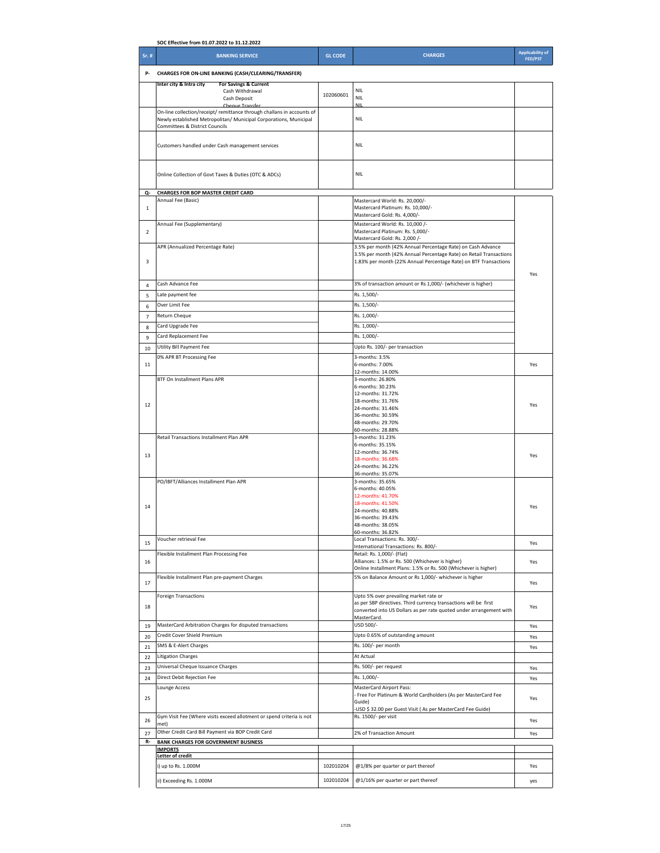|                | SOC Effective from 01.07.2022 to 31.12.2022                                                                                                 |                |                                                                                                                                   |                                           |  |
|----------------|---------------------------------------------------------------------------------------------------------------------------------------------|----------------|-----------------------------------------------------------------------------------------------------------------------------------|-------------------------------------------|--|
| Sr. #          | <b>BANKING SERVICE</b>                                                                                                                      | <b>GL CODE</b> | <b>CHARGES</b>                                                                                                                    | <b>Applicability of</b><br><b>FED/PST</b> |  |
| р.             | CHARGES FOR ON-LINE BANKING (CASH/CLEARING/TRANSFER)                                                                                        |                |                                                                                                                                   |                                           |  |
|                | For Savings & Current<br>Inter city & Intra city                                                                                            |                |                                                                                                                                   |                                           |  |
|                | Cash Withdrawal                                                                                                                             | 102060601      | <b>NIL</b><br><b>NIL</b>                                                                                                          |                                           |  |
|                | Cash Deposit<br>Chanua Transfar                                                                                                             |                | <b>NIL</b>                                                                                                                        |                                           |  |
|                | On-line collection/receipt/ remittance through challans in accounts of<br>Newly established Metropolitan/ Municipal Corporations, Municipal | <b>NIL</b>     |                                                                                                                                   |                                           |  |
|                | <b>Committees &amp; District Councils</b>                                                                                                   |                |                                                                                                                                   |                                           |  |
|                |                                                                                                                                             |                |                                                                                                                                   |                                           |  |
|                | Customers handled under Cash management services                                                                                            |                | <b>NIL</b>                                                                                                                        |                                           |  |
|                |                                                                                                                                             |                |                                                                                                                                   |                                           |  |
|                | Online Collection of Govt Taxes & Duties (OTC & ADCs)                                                                                       |                | <b>NIL</b>                                                                                                                        |                                           |  |
|                |                                                                                                                                             |                |                                                                                                                                   |                                           |  |
| Q-             | <b>CHARGES FOR BOP MASTER CREDIT CARD</b>                                                                                                   |                |                                                                                                                                   |                                           |  |
| $\mathbf 1$    | Annual Fee (Basic)                                                                                                                          |                | Mastercard World: Rs. 20,000/-<br>Mastercard Platinum: Rs. 10,000/-                                                               |                                           |  |
|                |                                                                                                                                             |                | Mastercard Gold: Rs. 4,000/-                                                                                                      |                                           |  |
| $\overline{2}$ | Annual Fee (Supplementary)                                                                                                                  |                | Mastercard World: Rs. 10,000 /-<br>Mastercard Platinum: Rs. 5,000/-                                                               |                                           |  |
|                |                                                                                                                                             |                | Mastercard Gold: Rs. 2,000 /-                                                                                                     |                                           |  |
|                | APR (Annualized Percentage Rate)                                                                                                            |                | 3.5% per month (42% Annual Percentage Rate) on Cash Advance<br>3.5% per month (42% Annual Percentage Rate) on Retail Transactions |                                           |  |
| 3              |                                                                                                                                             |                | 1.83% per month (22% Annual Percentage Rate) on BTF Transactions                                                                  |                                           |  |
|                |                                                                                                                                             |                | Yes                                                                                                                               |                                           |  |
| 4              | Cash Advance Fee                                                                                                                            |                | 3% of transaction amount or Rs 1,000/- (whichever is higher)                                                                      |                                           |  |
| 5              | Late payment fee                                                                                                                            | Rs. 1,500/-    |                                                                                                                                   |                                           |  |
| 6              | Rs. 1,500/-<br>Over Limit Fee                                                                                                               |                |                                                                                                                                   |                                           |  |
| $\overline{7}$ | Return Cheque                                                                                                                               | Rs. 1,000/-    |                                                                                                                                   |                                           |  |
| 8              | Card Upgrade Fee                                                                                                                            |                | Rs. 1,000/-                                                                                                                       |                                           |  |
| 9              | Card Replacement Fee                                                                                                                        |                | Rs. 1,000/-                                                                                                                       |                                           |  |
| 10             | Utility Bill Payment Fee                                                                                                                    |                | Upto Rs. 100/- per transaction                                                                                                    |                                           |  |
| 11             | 0% APR BT Processing Fee                                                                                                                    |                | 3-months: 3.5%<br>6-months: 7.00%                                                                                                 | Yes                                       |  |
|                |                                                                                                                                             |                | 12-months: 14.00%                                                                                                                 |                                           |  |
|                | BTF On Installment Plans APR                                                                                                                |                | 3-months: 26.80%<br>6-months: 30.23%                                                                                              |                                           |  |
|                |                                                                                                                                             |                | 12-months: 31.72%                                                                                                                 |                                           |  |
| 12             |                                                                                                                                             |                | 18-months: 31.76%<br>24-months: 31.46%                                                                                            | Yes                                       |  |
|                |                                                                                                                                             |                | 36-months: 30.59%                                                                                                                 |                                           |  |
|                |                                                                                                                                             |                | 48-months: 29.70%<br>60-months: 28.88%                                                                                            |                                           |  |
|                | Retail Transactions Installment Plan APR                                                                                                    |                | 3-months: 31.23%                                                                                                                  |                                           |  |
|                |                                                                                                                                             |                | 6-months: 35.15%<br>12-months: 36.74%                                                                                             |                                           |  |
| 13             |                                                                                                                                             |                | 18-months: 36.68%                                                                                                                 | Yes                                       |  |
|                |                                                                                                                                             |                | 24-months: 36.22%<br>36-months: 35.07%                                                                                            |                                           |  |
|                | PO/IBFT/Alliances Installment Plan APR                                                                                                      |                | 3-months: 35.65%                                                                                                                  |                                           |  |
|                |                                                                                                                                             |                | 6-months: 40.05%<br>12-months: 41.70%                                                                                             |                                           |  |
| 14             |                                                                                                                                             |                | 18-months: 41.50%                                                                                                                 | Yes                                       |  |
|                |                                                                                                                                             |                | 24-months: 40.88%<br>36-months: 39.43%                                                                                            |                                           |  |
|                |                                                                                                                                             |                | 48-montns: 38.05%                                                                                                                 |                                           |  |
|                | Voucher retrieval Fee                                                                                                                       |                | 60-months: 36.82%<br>Local Transactions: Rs. 300/-                                                                                |                                           |  |
| 15             |                                                                                                                                             |                | International Transactions: Rs. 800/-                                                                                             | Yes                                       |  |
| 16             | Flexible Installment Plan Processing Fee                                                                                                    |                | Retail: Rs. 1,000/- (Flat)<br>Alliances: 1.5% or Rs. 500 (Whichever is higher)                                                    | Yes                                       |  |
|                |                                                                                                                                             |                | Online Installment Plans: 1.5% or Rs. 500 (Whichever is higher)                                                                   |                                           |  |
| 17             | Flexible Installment Plan pre-payment Charges                                                                                               |                | 5% on Balance Amount or Rs 1,000/- whichever is higher                                                                            | Yes                                       |  |
|                |                                                                                                                                             |                |                                                                                                                                   |                                           |  |
|                | <b>Foreign Transactions</b>                                                                                                                 |                | Upto 5% over prevailing market rate or<br>as per SBP directives. Third currency transactions will be first                        |                                           |  |
| 18             |                                                                                                                                             |                | converted into US Dollars as per rate quoted under arrangement with                                                               | Yes                                       |  |
| 19             | MasterCard Arbitration Charges for disputed transactions                                                                                    |                | MasterCard.<br>USD 500/-                                                                                                          | Yes                                       |  |
| 20             | Credit Cover Shield Premium                                                                                                                 |                | Upto 0.65% of outstanding amount                                                                                                  | Yes                                       |  |
| 21             | SMS & E-Alert Charges                                                                                                                       |                | Rs. 100/- per month                                                                                                               | Yes                                       |  |
| 22             | <b>Litigation Charges</b>                                                                                                                   |                | At Actual                                                                                                                         |                                           |  |
| 23             | Universal Cheque Issuance Charges                                                                                                           |                | Rs. 500/- per request                                                                                                             | Yes                                       |  |
| 24             | Direct Debit Rejection Fee                                                                                                                  |                | Rs. 1,000/-                                                                                                                       | Yes                                       |  |
|                | Lounge Access                                                                                                                               |                | MasterCard Airport Pass:                                                                                                          |                                           |  |
| 25             |                                                                                                                                             |                | Free For Platinum & World Cardholders (As per MasterCard Fee<br>Guide)                                                            | Yes                                       |  |
|                |                                                                                                                                             |                | -USD \$32.00 per Guest Visit (As per MasterCard Fee Guide)                                                                        |                                           |  |
| 26             | Gym Visit Fee (Where visits exceed allotment or spend criteria is not<br>met)                                                               |                | Rs. 1500/- per visit                                                                                                              | Yes                                       |  |
| 27             | Other Credit Card Bill Payment via BOP Credit Card                                                                                          |                | 2% of Transaction Amount                                                                                                          | Yes                                       |  |
| R-             | <b>BANK CHARGES FOR GOVERNMENT BUSINESS</b>                                                                                                 |                |                                                                                                                                   |                                           |  |
|                | <b>IMPORTS</b><br>Letter of credit                                                                                                          |                |                                                                                                                                   |                                           |  |
|                | i) up to Rs. 1.000M                                                                                                                         | 102010204      | @1/8% per quarter or part thereof                                                                                                 | Yes                                       |  |
|                | ii) Exceeding Rs. 1.000M                                                                                                                    | 102010204      | @1/16% per quarter or part thereof                                                                                                | yes                                       |  |
|                |                                                                                                                                             |                |                                                                                                                                   |                                           |  |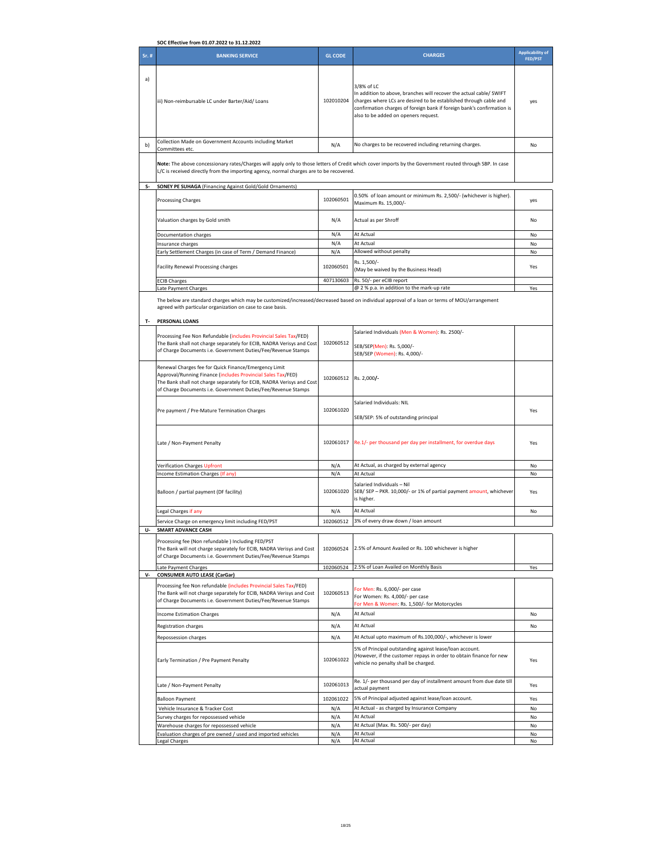| SOC Effective from 01.07.2022 to 31.12.2022 |                                                                                                                                                                                                                                                                 |                        |                                                                                                                                                                                                                                                                          |                                           |
|---------------------------------------------|-----------------------------------------------------------------------------------------------------------------------------------------------------------------------------------------------------------------------------------------------------------------|------------------------|--------------------------------------------------------------------------------------------------------------------------------------------------------------------------------------------------------------------------------------------------------------------------|-------------------------------------------|
| Sr. #                                       | <b>BANKING SERVICE</b>                                                                                                                                                                                                                                          | <b>GL CODE</b>         | <b>CHARGES</b>                                                                                                                                                                                                                                                           | <b>Applicability of</b><br><b>FED/PST</b> |
| a)                                          | iii) Non-reimbursable LC under Barter/Aid/ Loans                                                                                                                                                                                                                | 102010204              | 3/8% of LC<br>In addition to above, branches will recover the actual cable/ SWIFT<br>charges where LCs are desired to be established through cable and<br>confirmation charges of foreign bank if foreign bank's confirmation is<br>also to be added on openers request. | yes                                       |
| b)                                          | Collection Made on Government Accounts including Market<br>Committees etc.                                                                                                                                                                                      | N/A                    | No charges to be recovered including returning charges.                                                                                                                                                                                                                  | No                                        |
|                                             | Note: The above concessionary rates/Charges will apply only to those letters of Credit which cover imports by the Government routed through SBP. In case<br>L/C is received directly from the importing agency, normal charges are to be recovered.             |                        |                                                                                                                                                                                                                                                                          |                                           |
| S-                                          | SONEY PE SUHAGA (Financing Against Gold/Gold Ornaments)                                                                                                                                                                                                         |                        |                                                                                                                                                                                                                                                                          |                                           |
|                                             | <b>Processing Charges</b>                                                                                                                                                                                                                                       | 102060501              | 0.50% of loan amount or minimum Rs. 2,500/- (whichever is higher).<br>Maximum Rs. 15,000/-                                                                                                                                                                               | yes                                       |
|                                             | Valuation charges by Gold smith                                                                                                                                                                                                                                 | N/A                    | Actual as per Shroff                                                                                                                                                                                                                                                     | No                                        |
|                                             | Documentation charges                                                                                                                                                                                                                                           | N/A                    | At Actual                                                                                                                                                                                                                                                                | No                                        |
|                                             | Insurance charges<br>Early Settlement Charges (in case of Term / Demand Finance)                                                                                                                                                                                | N/A<br>N/A             | At Actual<br>Allowed without penalty                                                                                                                                                                                                                                     | No<br>No                                  |
|                                             |                                                                                                                                                                                                                                                                 |                        | Rs. 1,500/-                                                                                                                                                                                                                                                              |                                           |
|                                             | Facility Renewal Processing charges                                                                                                                                                                                                                             | 102060501<br>407130603 | (May be waived by the Business Head)<br>Rs. 50/- per eCIB report                                                                                                                                                                                                         | Yes                                       |
|                                             | <b>ECIB Charges</b><br>Late Payment Charges                                                                                                                                                                                                                     |                        | @ 2 % p.a. in addition to the mark-up rate                                                                                                                                                                                                                               | Yes                                       |
|                                             | The below are standard charges which may be customized/increased/decreased based on individual approval of a loan or terms of MOU/arrangement<br>agreed with particular organization on case to case basis.                                                     |                        |                                                                                                                                                                                                                                                                          |                                           |
| т.                                          | <b>PERSONAL LOANS</b>                                                                                                                                                                                                                                           |                        |                                                                                                                                                                                                                                                                          |                                           |
|                                             | Processing Fee Non Refundable (includes Provincial Sales Tax/FED)<br>The Bank shall not charge separately for ECIB, NADRA Verisys and Cost                                                                                                                      | 102060512              | Salaried Individuals (Men & Women): Rs. 2500/-<br>SEB/SEP(Men): Rs. 5,000/-                                                                                                                                                                                              |                                           |
|                                             | of Charge Documents i.e. Government Duties/Fee/Revenue Stamps                                                                                                                                                                                                   |                        | SEB/SEP (Women): Rs. 4,000/-                                                                                                                                                                                                                                             |                                           |
|                                             | Renewal Charges fee for Quick Finance/Emergency Limit<br>Approval/Running Finance (includes Provincial Sales Tax/FED)<br>The Bank shall not charge separately for ECIB, NADRA Verisys and Cost<br>of Charge Documents i.e. Government Duties/Fee/Revenue Stamps | 102060512              | Rs. 2,000/-                                                                                                                                                                                                                                                              |                                           |
|                                             | Pre payment / Pre-Mature Termination Charges                                                                                                                                                                                                                    | 102061020              | Salaried Individuals: NIL<br>SEB/SEP: 5% of outstanding principal                                                                                                                                                                                                        | Yes                                       |
|                                             | Late / Non-Payment Penalty                                                                                                                                                                                                                                      | 102061017              | Re.1/- per thousand per day per installment, for overdue days                                                                                                                                                                                                            | Yes                                       |
|                                             | Verification Charges Upfront                                                                                                                                                                                                                                    | N/A                    | At Actual, as charged by external agency                                                                                                                                                                                                                                 | No                                        |
|                                             | Income Estimation Charges (If any)                                                                                                                                                                                                                              | N/A                    | At Actual                                                                                                                                                                                                                                                                | No                                        |
|                                             | Balloon / partial payment (DF facility)                                                                                                                                                                                                                         | 102061020              | Salaried Individuals - Nil<br>SEB/ SEP - PKR. 10,000/- or 1% of partial payment amount, whichever<br>is higher.                                                                                                                                                          | Yes                                       |
|                                             | Legal Charges if any                                                                                                                                                                                                                                            | N/A                    | At Actual                                                                                                                                                                                                                                                                | No                                        |
| U-                                          | Service Charge on emergency limit including FED/PST<br><b>SMART ADVANCE CASH</b>                                                                                                                                                                                | 102060512              | 3% of every draw down / loan amount                                                                                                                                                                                                                                      |                                           |
|                                             | Processing fee (Non refundable) Including FED/PST<br>The Bank will not charge separately for ECIB, NADRA Verisys and Cost<br>of Charge Documents i.e. Government Duties/Fee/Revenue Stamps                                                                      | 102060524              | 2.5% of Amount Availed or Rs. 100 whichever is higher                                                                                                                                                                                                                    |                                           |
| ν-                                          | Late Payment Charges<br><b>CONSUMER AUTO LEASE (CarGar)</b>                                                                                                                                                                                                     | 102060524              | 2.5% of Loan Availed on Monthly Basis                                                                                                                                                                                                                                    | Yes                                       |
|                                             | Processing fee Non refundable (includes Provincial Sales Tax/FED)<br>The Bank will not charge separately for ECIB, NADRA Verisys and Cost<br>of Charge Documents i.e. Government Duties/Fee/Revenue Stamps                                                      | 102060513              | For Men: Rs. 6,000/- per case<br>For Women: Rs. 4,000/- per case<br>For Men & Women: Rs. 1,500/- for Motorcycles                                                                                                                                                         |                                           |
|                                             | <b>Income Estimation Charges</b>                                                                                                                                                                                                                                | N/A                    | At Actual                                                                                                                                                                                                                                                                | No                                        |
|                                             | <b>Registration charges</b>                                                                                                                                                                                                                                     | N/A                    | At Actual                                                                                                                                                                                                                                                                | No                                        |
|                                             | Repossession charges                                                                                                                                                                                                                                            | N/A                    | At Actual upto maximum of Rs.100,000/-, whichever is lower                                                                                                                                                                                                               |                                           |
|                                             | Early Termination / Pre Payment Penalty                                                                                                                                                                                                                         | 102061022              | 5% of Principal outstanding against lease/loan account.<br>(However, if the customer repays in order to obtain finance for new<br>vehicle no penalty shall be charged.                                                                                                   | Yes                                       |
|                                             | Late / Non-Payment Penalty                                                                                                                                                                                                                                      | 102061013              | Re. 1/- per thousand per day of installment amount from due date till<br>actual payment                                                                                                                                                                                  | Yes                                       |
|                                             | <b>Balloon Payment</b>                                                                                                                                                                                                                                          | 102061022              | 5% of Principal adjusted against lease/loan account.                                                                                                                                                                                                                     | Yes                                       |
|                                             | Vehicle Insurance & Tracker Cost                                                                                                                                                                                                                                | N/A                    | At Actual - as charged by Insurance Company                                                                                                                                                                                                                              | No                                        |
|                                             | Survey charges for repossessed vehicle<br>Warehouse charges for repossessed vehicle                                                                                                                                                                             | N/A<br>N/A             | At Actual<br>At Actual (Max. Rs. 500/- per day)                                                                                                                                                                                                                          | No<br>No                                  |
|                                             | Evaluation charges of pre owned / used and imported vehicles                                                                                                                                                                                                    | N/A                    | At Actual                                                                                                                                                                                                                                                                | No                                        |
|                                             | Legal Charges                                                                                                                                                                                                                                                   | N/A                    | At Actual                                                                                                                                                                                                                                                                | No                                        |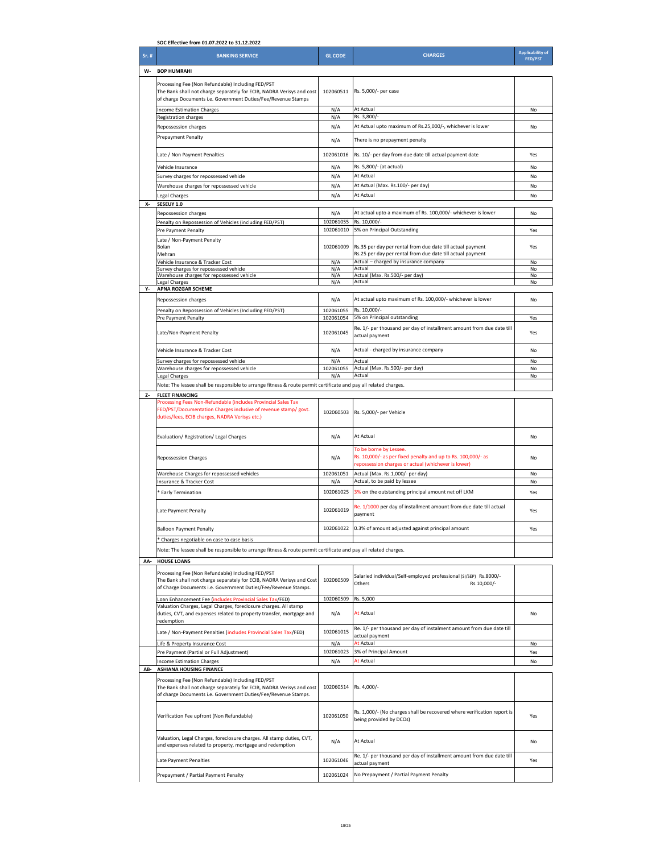|       | SOC Effective from 01.07.2022 to 31.12.2022                                                                                                                                                                                 |                                                    |                                                                                                                                               |                                           |
|-------|-----------------------------------------------------------------------------------------------------------------------------------------------------------------------------------------------------------------------------|----------------------------------------------------|-----------------------------------------------------------------------------------------------------------------------------------------------|-------------------------------------------|
| Sr. # | <b>BANKING SERVICE</b>                                                                                                                                                                                                      | <b>GL CODE</b>                                     | <b>CHARGES</b>                                                                                                                                | <b>Applicability of</b><br><b>FED/PST</b> |
| W-    | <b>BOP HUMRAHI</b>                                                                                                                                                                                                          |                                                    |                                                                                                                                               |                                           |
|       | Processing Fee (Non Refundable) Including FED/PST<br>The Bank shall not charge separately for ECIB, NADRA Verisys and cost<br>of charge Documents i.e. Government Duties/Fee/Revenue Stamps                                 | 102060511                                          | Rs. 5,000/- per case                                                                                                                          |                                           |
|       | <b>Income Estimation Charges</b>                                                                                                                                                                                            | N/A                                                | At Actual                                                                                                                                     | No                                        |
|       | Registration charges                                                                                                                                                                                                        | N/A                                                | Rs. 3,800/<br>At Actual upto maximum of Rs.25,000/-, whichever is lower                                                                       |                                           |
|       | Repossession charges<br><b>Prepayment Penalty</b>                                                                                                                                                                           | N/A                                                |                                                                                                                                               | No                                        |
|       |                                                                                                                                                                                                                             | N/A<br>102061016                                   | There is no prepayment penalty<br>Rs. 10/- per day from due date till actual payment date                                                     | Yes                                       |
|       | Late / Non Payment Penalties                                                                                                                                                                                                |                                                    |                                                                                                                                               |                                           |
|       | Vehicle Insurance<br>Survey charges for repossessed vehicle                                                                                                                                                                 | Rs. 5,800/- (at actual)<br>N/A<br>N/A<br>At Actual |                                                                                                                                               | No<br>No                                  |
|       | Warehouse charges for repossessed vehicle                                                                                                                                                                                   | N/A                                                | At Actual (Max. Rs.100/- per day)                                                                                                             | No                                        |
|       | Legal Charges                                                                                                                                                                                                               | N/A                                                | At Actual                                                                                                                                     | No                                        |
| X-    | SESEUY 1.0                                                                                                                                                                                                                  |                                                    |                                                                                                                                               |                                           |
|       | Repossession charges                                                                                                                                                                                                        | N/A                                                | At actual upto a maximum of Rs. 100,000/- whichever is lower                                                                                  | No                                        |
|       | Penalty on Repossession of Vehicles (including FED/PST)<br>Pre Payment Penalty                                                                                                                                              | 102061055<br>102061010                             | Rs. 10,000/-<br>5% on Principal Outstanding                                                                                                   | Yes                                       |
|       | Late / Non-Payment Penalty<br>Bolan<br>Mehran                                                                                                                                                                               | 102061009                                          | Rs.35 per day per rental from due date till actual payment<br>Rs.25 per day per rental from due date till actual payment                      | Yes                                       |
|       | Vehicle Insurance & Tracker Cost                                                                                                                                                                                            | N/A<br>N/A                                         | Actual - charged by insurance company                                                                                                         | No                                        |
|       | Survey charges for repossessed vehicle<br>Warehouse charges for repossessed vehicle                                                                                                                                         |                                                    | Actual<br>Actual (Max. Rs.500/- per day)                                                                                                      | No<br>No                                  |
| γ.    | Legal Charges<br>APNA ROZGAR SCHEME                                                                                                                                                                                         | N/A                                                | Actual                                                                                                                                        | No                                        |
|       | Repossession charges                                                                                                                                                                                                        | N/A                                                | At actual upto maximum of Rs. 100,000/- whichever is lower                                                                                    | No                                        |
|       | Penalty on Repossession of Vehicles (Including FED/PST)                                                                                                                                                                     | 102061055                                          | Rs. 10,000/                                                                                                                                   |                                           |
|       | Pre Payment Penalty                                                                                                                                                                                                         | 102061054                                          | 5% on Principal outstanding                                                                                                                   | Yes                                       |
|       | Late/Non-Payment Penalty                                                                                                                                                                                                    | 102061045                                          | Re. 1/- per thousand per day of installment amount from due date till<br>actual payment                                                       | Yes                                       |
|       | Vehicle Insurance & Tracker Cost                                                                                                                                                                                            | N/A                                                | Actual - charged by insurance company                                                                                                         | No                                        |
|       | Survey charges for repossessed vehicle                                                                                                                                                                                      | N/A                                                | Actual                                                                                                                                        | No                                        |
|       | Warehouse charges for repossessed vehicle                                                                                                                                                                                   | 102061055<br>N/A                                   | Actual (Max. Rs.500/- per day)<br>Actual                                                                                                      | No<br>No                                  |
|       | <b>Legal Charges</b><br>Note: The lessee shall be responsible to arrange fitness & route permit certificate and pay all related charges.                                                                                    |                                                    |                                                                                                                                               |                                           |
| Z-    | <b>FLEET FINANCING</b>                                                                                                                                                                                                      |                                                    |                                                                                                                                               |                                           |
|       | Processing Fees Non-Refundable (includes Provincial Sales Tax<br>FED/PST/Documentation Charges inclusive of revenue stamp/ govt.<br>duties/fees, ECIB charges, NADRA Verisys etc.)                                          | 102060503                                          | Rs. 5,000/- per Vehicle                                                                                                                       |                                           |
|       | Evaluation/ Registration/ Legal Charges                                                                                                                                                                                     | N/A                                                | At Actual                                                                                                                                     | No                                        |
|       | <b>Repossession Charges</b>                                                                                                                                                                                                 | N/A                                                | To be borne by Lessee.<br>Rs. 10,000/- as per fixed penalty and up to Rs. 100,000/- as<br>repossession charges or actual (whichever is lower) | No                                        |
|       | Warehouse Charges for repossessed vehicles                                                                                                                                                                                  | 102061051                                          | Actual (Max. Rs.1,000/- per day)<br>Actual, to be paid by lessee                                                                              | No                                        |
|       | Insurance & Tracker Cost                                                                                                                                                                                                    | N/A<br>102061025                                   |                                                                                                                                               | No                                        |
|       | * Early Termination                                                                                                                                                                                                         | 102061019                                          | 3% on the outstanding principal amount net off LKM<br>Re. 1/1000 per day of installment amount from due date till actual                      | Yes                                       |
|       | Late Payment Penalty                                                                                                                                                                                                        |                                                    | payment                                                                                                                                       | Yes                                       |
|       | <b>Balloon Payment Penalty</b>                                                                                                                                                                                              | 102061022                                          | 0.3% of amount adjusted against principal amount                                                                                              | Yes                                       |
| AA-   | * Charges negotiable on case to case basis<br>Note: The lessee shall be responsible to arrange fitness & route permit certificate and pay all related charges.<br><b>HOUSE LOANS</b>                                        |                                                    |                                                                                                                                               |                                           |
|       | Processing Fee (Non Refundable) Including FED/PST<br>The Bank shall not charge separately for ECIB, NADRA Verisys and Cost<br>of Charge Documents i.e. Government Duties/Fee/Revenue Stamps.                                | 102060509                                          | Salaried individual/Self-employed professional (SI/SEP) Rs.8000/-<br>Others<br>Rs.10,000/-                                                    |                                           |
|       | Loan Enhancement Fee (includes Provincial Sales Tax/FED)                                                                                                                                                                    | 102060509                                          | Rs. 5,000                                                                                                                                     |                                           |
|       | Valuation Charges, Legal Charges, foreclosure charges. All stamp<br>duties, CVT, and expenses related to property transfer, mortgage and<br>redemption                                                                      | N/A                                                | At Actual                                                                                                                                     | No                                        |
|       | Late / Non-Payment Penalties (includes Provincial Sales Tax/FED)                                                                                                                                                            | 102061015                                          | Re. 1/- per thousand per day of instalment amount from due date till<br>actual payment                                                        |                                           |
|       | Life & Property Insurance Cost<br>Pre Payment (Partial or Full Adjustment)                                                                                                                                                  | N/A<br>102061023                                   | At Actual<br>3% of Principal Amount                                                                                                           | No<br>Yes                                 |
|       | <b>Income Estimation Charges</b>                                                                                                                                                                                            | N/A                                                | At Actual                                                                                                                                     | No                                        |
|       | AB- ASHIANA HOUSING FINANCE<br>Processing Fee (Non Refundable) Including FED/PST<br>The Bank shall not charge separately for ECIB, NADRA Verisys and cost<br>of charge Documents i.e. Government Duties/Fee/Revenue Stamps. | 102060514                                          | Rs. 4,000/-                                                                                                                                   |                                           |
|       | Verification Fee upfront (Non Refundable)                                                                                                                                                                                   | 102061050                                          | Rs. 1,000/- (No charges shall be recovered where verification report is<br>being provided by DCOs)                                            | Yes                                       |
|       | Valuation, Legal Charges, foreclosure charges. All stamp duties, CVT,<br>and expenses related to property, mortgage and redemption                                                                                          | N/A                                                | At Actual                                                                                                                                     | No                                        |
|       | Late Payment Penalties                                                                                                                                                                                                      | 102061046                                          | Re. 1/- per thousand per day of installment amount from due date till<br>actual payment                                                       | Yes                                       |
|       | Prepayment / Partial Payment Penalty                                                                                                                                                                                        | 102061024                                          | No Prepayment / Partial Payment Penalty                                                                                                       |                                           |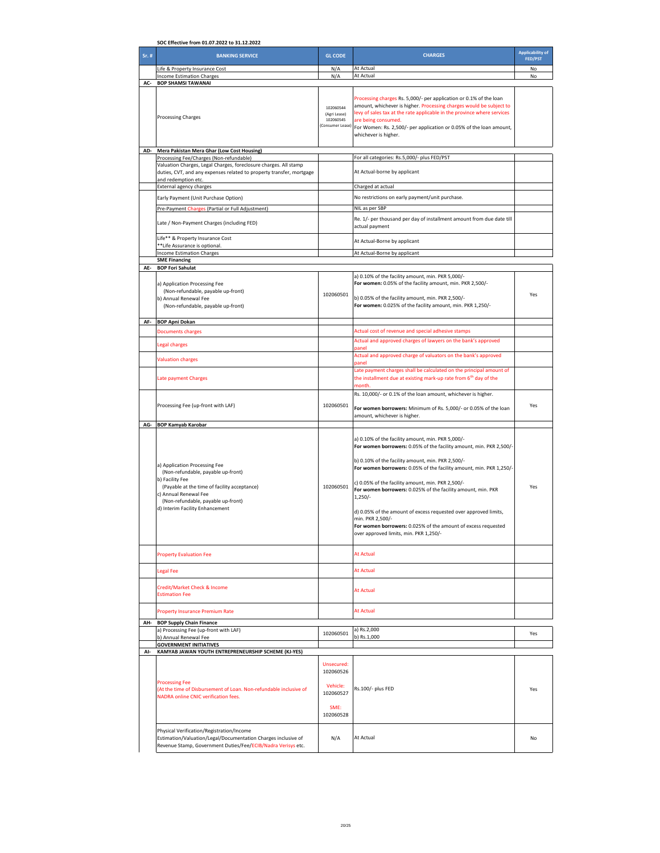| SOC Effective from 01.07.2022 to 31.12.2022 |                                                                                                                                                                                                                                          |                                                            |                                                                                                                                                                                                                                                                                                                                                                                                                                                                                                                                                                                           |                                           |
|---------------------------------------------|------------------------------------------------------------------------------------------------------------------------------------------------------------------------------------------------------------------------------------------|------------------------------------------------------------|-------------------------------------------------------------------------------------------------------------------------------------------------------------------------------------------------------------------------------------------------------------------------------------------------------------------------------------------------------------------------------------------------------------------------------------------------------------------------------------------------------------------------------------------------------------------------------------------|-------------------------------------------|
| Sr. #                                       | <b>BANKING SERVICE</b>                                                                                                                                                                                                                   | <b>GL CODE</b>                                             | <b>CHARGES</b>                                                                                                                                                                                                                                                                                                                                                                                                                                                                                                                                                                            | <b>Applicability of</b><br><b>FED/PST</b> |
|                                             | Life & Property Insurance Cost                                                                                                                                                                                                           | N/A                                                        | At Actual                                                                                                                                                                                                                                                                                                                                                                                                                                                                                                                                                                                 | No                                        |
|                                             | <b>Income Estimation Charges</b>                                                                                                                                                                                                         | N/A                                                        | At Actual                                                                                                                                                                                                                                                                                                                                                                                                                                                                                                                                                                                 | No                                        |
| AC-                                         | <b>BOP SHAMSI TAWANAI</b>                                                                                                                                                                                                                |                                                            |                                                                                                                                                                                                                                                                                                                                                                                                                                                                                                                                                                                           |                                           |
|                                             | <b>Processing Charges</b>                                                                                                                                                                                                                | 102060544<br>(Agri Lease)<br>102060545<br>(Consumer Lease) | Processing charges Rs. 5,000/- per application or 0.1% of the loan<br>amount, whichever is higher. Processing charges would be subject to<br>levy of sales tax at the rate applicable in the province where services<br>are being consumed.<br>For Women: Rs. 2,500/- per application or 0.05% of the loan amount,<br>whichever is higher.                                                                                                                                                                                                                                                |                                           |
| AD-                                         | Mera Pakistan Mera Ghar (Low Cost Housing)                                                                                                                                                                                               |                                                            |                                                                                                                                                                                                                                                                                                                                                                                                                                                                                                                                                                                           |                                           |
|                                             | Processing Fee/Charges (Non-refundable)                                                                                                                                                                                                  |                                                            | For all categories: Rs.5,000/- plus FED/PST                                                                                                                                                                                                                                                                                                                                                                                                                                                                                                                                               |                                           |
|                                             | Valuation Charges, Legal Charges, foreclosure charges. All stamp<br>duties, CVT, and any expenses related to property transfer, mortgage                                                                                                 |                                                            | At Actual-borne by applicant                                                                                                                                                                                                                                                                                                                                                                                                                                                                                                                                                              |                                           |
|                                             | and redemption etc.<br>External agency charges                                                                                                                                                                                           |                                                            | Charged at actual                                                                                                                                                                                                                                                                                                                                                                                                                                                                                                                                                                         |                                           |
|                                             | Early Payment (Unit Purchase Option)                                                                                                                                                                                                     |                                                            | No restrictions on early payment/unit purchase.                                                                                                                                                                                                                                                                                                                                                                                                                                                                                                                                           |                                           |
|                                             | Pre-Payment Charges (Partial or Full Adjustment)                                                                                                                                                                                         |                                                            | NIL as per SBP                                                                                                                                                                                                                                                                                                                                                                                                                                                                                                                                                                            |                                           |
|                                             | Late / Non-Payment Charges (including FED)                                                                                                                                                                                               |                                                            | Re. 1/- per thousand per day of installment amount from due date till<br>actual payment                                                                                                                                                                                                                                                                                                                                                                                                                                                                                                   |                                           |
|                                             | Life** & Property Insurance Cost<br>**Life Assurance is optional                                                                                                                                                                         |                                                            | At Actual-Borne by applicant                                                                                                                                                                                                                                                                                                                                                                                                                                                                                                                                                              |                                           |
|                                             | <b>Income Estimation Charges</b>                                                                                                                                                                                                         |                                                            | At Actual-Borne by applicant                                                                                                                                                                                                                                                                                                                                                                                                                                                                                                                                                              |                                           |
| AE-                                         | <b>SME Financing</b><br><b>BOP Fori Sahulat</b>                                                                                                                                                                                          |                                                            |                                                                                                                                                                                                                                                                                                                                                                                                                                                                                                                                                                                           |                                           |
|                                             |                                                                                                                                                                                                                                          |                                                            | a) 0.10% of the facility amount, min. PKR 5,000/-                                                                                                                                                                                                                                                                                                                                                                                                                                                                                                                                         |                                           |
|                                             | a) Application Processing Fee                                                                                                                                                                                                            |                                                            | For women: 0.05% of the facility amount, min. PKR 2,500/-                                                                                                                                                                                                                                                                                                                                                                                                                                                                                                                                 |                                           |
|                                             | (Non-refundable, payable up-front)<br>b) Annual Renewal Fee                                                                                                                                                                              | 102060501                                                  | b) 0.05% of the facility amount, min. PKR 2,500/-                                                                                                                                                                                                                                                                                                                                                                                                                                                                                                                                         | Yes                                       |
|                                             | (Non-refundable, payable up-front)                                                                                                                                                                                                       |                                                            | For women: 0.025% of the facility amount, min. PKR 1,250/-                                                                                                                                                                                                                                                                                                                                                                                                                                                                                                                                |                                           |
|                                             |                                                                                                                                                                                                                                          |                                                            |                                                                                                                                                                                                                                                                                                                                                                                                                                                                                                                                                                                           |                                           |
| AF-                                         | <b>BOP Apni Dokan</b>                                                                                                                                                                                                                    |                                                            |                                                                                                                                                                                                                                                                                                                                                                                                                                                                                                                                                                                           |                                           |
|                                             | <b>Documents charges</b>                                                                                                                                                                                                                 |                                                            | Actual cost of revenue and special adhesive stamps<br>Actual and approved charges of lawyers on the bank's approved                                                                                                                                                                                                                                                                                                                                                                                                                                                                       |                                           |
|                                             | <b>Legal charges</b>                                                                                                                                                                                                                     |                                                            | panel                                                                                                                                                                                                                                                                                                                                                                                                                                                                                                                                                                                     |                                           |
|                                             | <b>Valuation charges</b>                                                                                                                                                                                                                 |                                                            | Actual and approved charge of valuators on the bank's approved<br>panel                                                                                                                                                                                                                                                                                                                                                                                                                                                                                                                   |                                           |
|                                             | Late payment Charges                                                                                                                                                                                                                     |                                                            | Late payment charges shall be calculated on the principal amount of<br>the installment due at existing mark-up rate from 6 <sup>th</sup> day of the                                                                                                                                                                                                                                                                                                                                                                                                                                       |                                           |
|                                             |                                                                                                                                                                                                                                          |                                                            | month.<br>Rs. 10,000/- or 0.1% of the loan amount, whichever is higher.                                                                                                                                                                                                                                                                                                                                                                                                                                                                                                                   |                                           |
|                                             | Processing Fee (up-front with LAF)                                                                                                                                                                                                       | 102060501                                                  |                                                                                                                                                                                                                                                                                                                                                                                                                                                                                                                                                                                           | Yes                                       |
|                                             |                                                                                                                                                                                                                                          |                                                            | For women borrowers: Minimum of Rs. 5,000/- or 0.05% of the loan<br>amount, whichever is higher.                                                                                                                                                                                                                                                                                                                                                                                                                                                                                          |                                           |
| AG-                                         | <b>BOP Kamyab Karobar</b>                                                                                                                                                                                                                |                                                            |                                                                                                                                                                                                                                                                                                                                                                                                                                                                                                                                                                                           |                                           |
|                                             | a) Application Processing Fee<br>(Non-refundable, payable up-front)<br>b) Facility Fee<br>(Payable at the time of facility acceptance)<br>c) Annual Renewal Fee<br>(Non-refundable, payable up-front)<br>d) Interim Facility Enhancement | 102060501                                                  | a) 0.10% of the facility amount, min. PKR 5,000/-<br>For women borrowers: 0.05% of the facility amount, min. PKR 2,500/-<br>b) 0.10% of the facility amount, min. PKR 2,500/-<br>For women borrowers: 0.05% of the facility amount, min. PKR 1,250/-<br>c) 0.05% of the facility amount, min. PKR 2,500/-<br>For women borrowers: 0.025% of the facility amount, min. PKR<br>$1,250/-$<br>d) 0.05% of the amount of excess requested over approved limits,<br>min. PKR 2,500/-<br>For women borrowers: 0.025% of the amount of excess requested<br>over approved limits, min. PKR 1,250/- | Yes                                       |
|                                             | <b>Property Evaluation Fee</b>                                                                                                                                                                                                           |                                                            | <b>At Actual</b>                                                                                                                                                                                                                                                                                                                                                                                                                                                                                                                                                                          |                                           |
|                                             | <b>Legal Fee</b>                                                                                                                                                                                                                         |                                                            | At Actual                                                                                                                                                                                                                                                                                                                                                                                                                                                                                                                                                                                 |                                           |
|                                             | Credit/Market Check & Income<br><b>Estimation Fee</b>                                                                                                                                                                                    |                                                            | At Actual                                                                                                                                                                                                                                                                                                                                                                                                                                                                                                                                                                                 |                                           |
|                                             | <b>Property Insurance Premium Rate</b>                                                                                                                                                                                                   |                                                            | <b>At Actual</b>                                                                                                                                                                                                                                                                                                                                                                                                                                                                                                                                                                          |                                           |
|                                             | AH- BOP Supply Chain Finance                                                                                                                                                                                                             |                                                            |                                                                                                                                                                                                                                                                                                                                                                                                                                                                                                                                                                                           |                                           |
|                                             | a) Processing Fee (up-front with LAF)<br>b) Annual Renewal Fee                                                                                                                                                                           | 102060501                                                  | a) Rs.2,000<br>b) Rs.1,000                                                                                                                                                                                                                                                                                                                                                                                                                                                                                                                                                                | Yes                                       |
|                                             | <b>GOVERNMENT INITIATIVES</b>                                                                                                                                                                                                            |                                                            |                                                                                                                                                                                                                                                                                                                                                                                                                                                                                                                                                                                           |                                           |
| AI-                                         | KAMYAB JAWAN YOUTH ENTREPRENEURSHIP SCHEME (KJ-YES)                                                                                                                                                                                      |                                                            |                                                                                                                                                                                                                                                                                                                                                                                                                                                                                                                                                                                           |                                           |
|                                             |                                                                                                                                                                                                                                          | Unsecured:<br>102060526                                    |                                                                                                                                                                                                                                                                                                                                                                                                                                                                                                                                                                                           |                                           |
|                                             | <b>Processing Fee</b>                                                                                                                                                                                                                    |                                                            |                                                                                                                                                                                                                                                                                                                                                                                                                                                                                                                                                                                           |                                           |
|                                             | (At the time of Disbursement of Loan. Non-refundable inclusive of<br>NADRA online CNIC verification fees.                                                                                                                                | Vehicle:<br>102060527                                      | Rs.100/- plus FED                                                                                                                                                                                                                                                                                                                                                                                                                                                                                                                                                                         | Yes                                       |
|                                             |                                                                                                                                                                                                                                          | SME:<br>102060528                                          |                                                                                                                                                                                                                                                                                                                                                                                                                                                                                                                                                                                           |                                           |
|                                             | Physical Verification/Registration/Income<br>Estimation/Valuation/Legal/Documentation Charges inclusive of<br>Revenue Stamp, Government Duties/Fee/ECIB/Nadra Verisys etc.                                                               | N/A                                                        | At Actual                                                                                                                                                                                                                                                                                                                                                                                                                                                                                                                                                                                 | No                                        |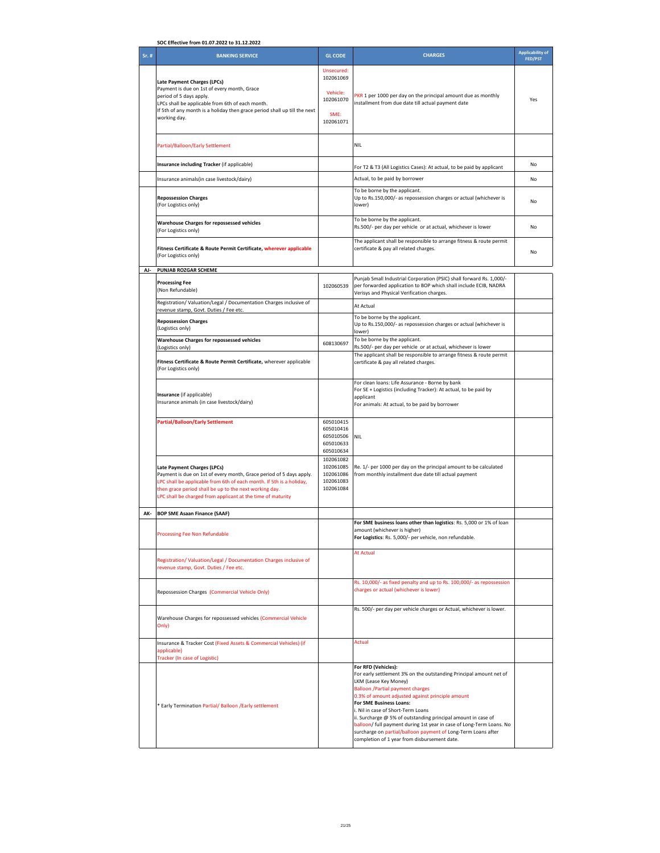| SOC Effective from 01.07.2022 to 31.12.2022 |                                                                                                                                                                                                                                                                                                     |                                                                       |                                                                                                                                                                                                                                                                                                                                                                                                                                                                                                                                              |                                           |
|---------------------------------------------|-----------------------------------------------------------------------------------------------------------------------------------------------------------------------------------------------------------------------------------------------------------------------------------------------------|-----------------------------------------------------------------------|----------------------------------------------------------------------------------------------------------------------------------------------------------------------------------------------------------------------------------------------------------------------------------------------------------------------------------------------------------------------------------------------------------------------------------------------------------------------------------------------------------------------------------------------|-------------------------------------------|
| Sr. #                                       | <b>BANKING SERVICE</b>                                                                                                                                                                                                                                                                              | <b>GL CODE</b>                                                        | <b>CHARGES</b>                                                                                                                                                                                                                                                                                                                                                                                                                                                                                                                               | <b>Applicability of</b><br><b>FED/PST</b> |
|                                             | Late Payment Charges (LPCs)<br>Payment is due on 1st of every month, Grace<br>period of 5 days apply.<br>LPCs shall be applicable from 6th of each month.<br>If 5th of any month is a holiday then grace period shall up till the next<br>working day.                                              | Unsecured:<br>102061069<br>Vehicle:<br>102061070<br>SME:<br>102061071 | PKR 1 per 1000 per day on the principal amount due as monthly<br>installment from due date till actual payment date                                                                                                                                                                                                                                                                                                                                                                                                                          | Yes                                       |
|                                             | Partial/Balloon/Early Settlement                                                                                                                                                                                                                                                                    |                                                                       | <b>NIL</b>                                                                                                                                                                                                                                                                                                                                                                                                                                                                                                                                   |                                           |
|                                             | Insurance including Tracker (if applicable)                                                                                                                                                                                                                                                         |                                                                       | For T2 & T3 (All Logistics Cases): At actual, to be paid by applicant                                                                                                                                                                                                                                                                                                                                                                                                                                                                        | No                                        |
|                                             | Insurance animals(in case livestock/dairy)                                                                                                                                                                                                                                                          |                                                                       | Actual, to be paid by borrower                                                                                                                                                                                                                                                                                                                                                                                                                                                                                                               | No                                        |
|                                             | <b>Repossession Charges</b><br>(For Logistics only)                                                                                                                                                                                                                                                 |                                                                       | To be borne by the applicant.<br>Up to Rs.150,000/- as repossession charges or actual (whichever is<br>lower)                                                                                                                                                                                                                                                                                                                                                                                                                                | No                                        |
|                                             | Warehouse Charges for repossessed vehicles<br>(For Logistics only)                                                                                                                                                                                                                                  |                                                                       | To be borne by the applicant.<br>Rs.500/- per day per vehicle or at actual, whichever is lower                                                                                                                                                                                                                                                                                                                                                                                                                                               | No                                        |
|                                             | Fitness Certificate & Route Permit Certificate, wherever applicable<br>(For Logistics only)                                                                                                                                                                                                         |                                                                       | The applicant shall be responsible to arrange fitness & route permit<br>certificate & pay all related charges.                                                                                                                                                                                                                                                                                                                                                                                                                               | No                                        |
| AJ-                                         | PUNJAB ROZGAR SCHEME                                                                                                                                                                                                                                                                                |                                                                       |                                                                                                                                                                                                                                                                                                                                                                                                                                                                                                                                              |                                           |
|                                             | <b>Processing Fee</b><br>(Non Refundable)                                                                                                                                                                                                                                                           | 102060539                                                             | Punjab Small Industrial Corporation (PSIC) shall forward Rs. 1,000/-<br>per forwarded application to BOP which shall include ECIB, NADRA<br>Verisys and Physical Verification charges.                                                                                                                                                                                                                                                                                                                                                       |                                           |
|                                             | Registration/Valuation/Legal / Documentation Charges inclusive of<br>revenue stamp, Govt. Duties / Fee etc.                                                                                                                                                                                         |                                                                       | At Actual                                                                                                                                                                                                                                                                                                                                                                                                                                                                                                                                    |                                           |
|                                             | <b>Repossession Charges</b><br>(Logistics only)                                                                                                                                                                                                                                                     |                                                                       | To be borne by the applicant.<br>Up to Rs.150,000/- as repossession charges or actual (whichever is<br>lower)                                                                                                                                                                                                                                                                                                                                                                                                                                |                                           |
|                                             | Warehouse Charges for repossessed vehicles<br>(Logistics only)                                                                                                                                                                                                                                      | 608130697                                                             | To be borne by the applicant.<br>Rs.500/- per day per vehicle or at actual, whichever is lower                                                                                                                                                                                                                                                                                                                                                                                                                                               |                                           |
|                                             | Fitness Certificate & Route Permit Certificate, wherever applicable<br>(For Logistics only)                                                                                                                                                                                                         |                                                                       | The applicant shall be responsible to arrange fitness & route permit<br>certificate & pay all related charges.                                                                                                                                                                                                                                                                                                                                                                                                                               |                                           |
|                                             | Insurance (if applicable)<br>Insurance animals (in case livestock/dairy)                                                                                                                                                                                                                            |                                                                       | For clean loans: Life Assurance - Borne by bank<br>For SE + Logistics (including Tracker): At actual, to be paid by<br>applicant<br>For animals: At actual, to be paid by borrower                                                                                                                                                                                                                                                                                                                                                           |                                           |
|                                             | <b>Partial/Balloon/Early Settlement</b>                                                                                                                                                                                                                                                             | 605010415<br>605010416<br>605010506<br>605010633<br>605010634         | <b>NIL</b>                                                                                                                                                                                                                                                                                                                                                                                                                                                                                                                                   |                                           |
|                                             | Late Payment Charges (LPCs)<br>Payment is due on 1st of every month, Grace period of 5 days apply.<br>LPC shall be applicable from 6th of each month. If 5th is a holiday,<br>then grace period shall be up to the next working day.<br>LPC shall be charged from applicant at the time of maturity | 102061082<br>102061085<br>102061086<br>102061083<br>102061084         | Re. 1/- per 1000 per day on the principal amount to be calculated<br>from monthly installment due date till actual payment                                                                                                                                                                                                                                                                                                                                                                                                                   |                                           |
| AK-                                         | <b>BOP SME Asaan Finance (SAAF)</b>                                                                                                                                                                                                                                                                 |                                                                       |                                                                                                                                                                                                                                                                                                                                                                                                                                                                                                                                              |                                           |
|                                             | Processing Fee Non Refundable                                                                                                                                                                                                                                                                       |                                                                       | For SME business loans other than logistics: Rs. 5,000 or 1% of loan<br>amount (whichever is higher)<br>For Logistics: Rs. 5,000/- per vehicle, non refundable.                                                                                                                                                                                                                                                                                                                                                                              |                                           |
|                                             | Registration/Valuation/Legal / Documentation Charges inclusive of<br>revenue stamp, Govt. Duties / Fee etc.                                                                                                                                                                                         |                                                                       | <b>At Actual</b>                                                                                                                                                                                                                                                                                                                                                                                                                                                                                                                             |                                           |
|                                             | Repossession Charges (Commercial Vehicle Only)                                                                                                                                                                                                                                                      |                                                                       | Rs. 10,000/- as fixed penalty and up to Rs. 100,000/- as repossession<br>charges or actual (whichever is lower)                                                                                                                                                                                                                                                                                                                                                                                                                              |                                           |
|                                             | Warehouse Charges for repossessed vehicles (Commercial Vehicle<br>Only)                                                                                                                                                                                                                             |                                                                       | Rs. 500/- per day per vehicle charges or Actual, whichever is lower.                                                                                                                                                                                                                                                                                                                                                                                                                                                                         |                                           |
|                                             | Insurance & Tracker Cost (Fixed Assets & Commercial Vehicles) (if<br>applicable)<br>Tracker (In case of Logistic)                                                                                                                                                                                   |                                                                       | Actual                                                                                                                                                                                                                                                                                                                                                                                                                                                                                                                                       |                                           |
|                                             | * Early Termination Partial/ Balloon / Early settlement                                                                                                                                                                                                                                             |                                                                       | For RFD (Vehicles):<br>For early settlement 3% on the outstanding Principal amount net of<br>LKM (Lease Key Money)<br><b>Balloon /Partial payment charges</b><br>0.3% of amount adjusted against principle amount<br>For SME Business Loans:<br>i. Nil in case of Short-Term Loans<br>ii. Surcharge @ 5% of outstanding principal amount in case of<br>balloon/ full payment during 1st year in case of Long-Term Loans. No<br>surcharge on partial/balloon payment of Long-Term Loans after<br>completion of 1 year from disbursement date. |                                           |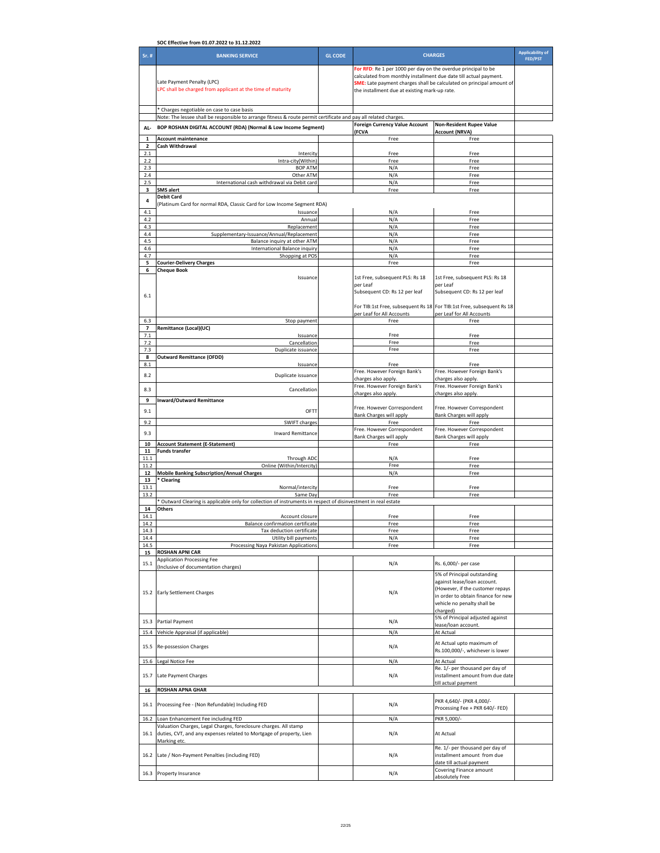| SOC Effective from 01.07.2022 to 31.12.2022 |                                                                                                                                                                |                |                                                                                                                                                                                     |                                                                                                                                                                                 |                                           |
|---------------------------------------------|----------------------------------------------------------------------------------------------------------------------------------------------------------------|----------------|-------------------------------------------------------------------------------------------------------------------------------------------------------------------------------------|---------------------------------------------------------------------------------------------------------------------------------------------------------------------------------|-------------------------------------------|
| Sr. #                                       | <b>BANKING SERVICE</b>                                                                                                                                         | <b>GL CODE</b> | <b>CHARGES</b>                                                                                                                                                                      |                                                                                                                                                                                 | <b>Applicability of</b><br><b>FED/PST</b> |
|                                             | Late Payment Penalty (LPC)<br>LPC shall be charged from applicant at the time of maturity                                                                      |                | For RFD: Re 1 per 1000 per day on the overdue principal to be<br>calculated from monthly installment due date till actual payment.<br>the installment due at existing mark-up rate. | <b>SME:</b> Late payment charges shall be calculated on principal amount of                                                                                                     |                                           |
|                                             | * Charges negotiable on case to case basis<br>Note: The lessee shall be responsible to arrange fitness & route permit certificate and pay all related charges. |                |                                                                                                                                                                                     |                                                                                                                                                                                 |                                           |
| AL-                                         | BOP ROSHAN DIGITAL ACCOUNT (RDA) (Normal & Low Income Segment)                                                                                                 |                | <b>Foreign Currency Value Account</b>                                                                                                                                               | <b>Non-Resident Rupee Value</b>                                                                                                                                                 |                                           |
| $\mathbf{1}$                                | <b>Account maintenance</b>                                                                                                                                     |                | (FCVA<br>Free                                                                                                                                                                       | <b>Account (NRVA)</b><br>Free                                                                                                                                                   |                                           |
| $\overline{2}$                              | Cash Withdrawal                                                                                                                                                |                |                                                                                                                                                                                     |                                                                                                                                                                                 |                                           |
| 2.1<br>2.2                                  | Intercity<br>Intra-city(Within)                                                                                                                                |                | Free<br>Free                                                                                                                                                                        | Free<br>Free                                                                                                                                                                    |                                           |
| 2.3                                         | <b>BOP ATM</b>                                                                                                                                                 |                | N/A                                                                                                                                                                                 | Free                                                                                                                                                                            |                                           |
| 2.4<br>2.5                                  | Other ATM<br>International cash withdrawal via Debit card                                                                                                      |                | N/A<br>N/A                                                                                                                                                                          | Free<br>Free                                                                                                                                                                    |                                           |
| 3                                           | <b>SMS</b> alert<br><b>Debit Card</b>                                                                                                                          |                | Free                                                                                                                                                                                | Free                                                                                                                                                                            |                                           |
| 4                                           | (Platinum Card for normal RDA, Classic Card for Low Income Segment RDA)                                                                                        |                |                                                                                                                                                                                     |                                                                                                                                                                                 |                                           |
| 4.1<br>4.2                                  | Issuance<br>Annual                                                                                                                                             |                | N/A<br>N/A                                                                                                                                                                          | Free<br>Free                                                                                                                                                                    |                                           |
| 4.3                                         | Replacement                                                                                                                                                    |                | N/A                                                                                                                                                                                 | Free                                                                                                                                                                            |                                           |
| 4.4<br>4.5                                  | Supplementary-Issuance/Annual/Replacement<br>Balance inquiry at other ATM                                                                                      |                | N/A<br>N/A                                                                                                                                                                          | Free<br>Free                                                                                                                                                                    |                                           |
| 4.6                                         | International Balance inquiry                                                                                                                                  |                | N/A                                                                                                                                                                                 | Free                                                                                                                                                                            |                                           |
| 4.7<br>5                                    | Shopping at POS<br><b>Courier-Delivery Charges</b>                                                                                                             |                | N/A<br>Free                                                                                                                                                                         | Free<br>Free                                                                                                                                                                    |                                           |
| 6<br>6.1                                    | <b>Cheque Book</b><br>Issuance                                                                                                                                 |                | 1st Free, subsequent PLS: Rs 18<br>per Leaf<br>Subsequent CD: Rs 12 per leaf<br>For TIB:1st Free, subsequent Rs 18                                                                  | 1st Free, subsequent PLS: Rs 18<br>per Leaf<br>Subsequent CD: Rs 12 per leaf<br>For TIB:1st Free, subsequent Rs 18                                                              |                                           |
|                                             |                                                                                                                                                                |                | per Leaf for All Accounts                                                                                                                                                           | per Leaf for All Accounts                                                                                                                                                       |                                           |
| 6.3<br>7                                    | Stop payment<br>Remittance (Local)(UC)                                                                                                                         |                | Free                                                                                                                                                                                | Free                                                                                                                                                                            |                                           |
| 7.1<br>7.2                                  | Issuance<br>Cancellation                                                                                                                                       |                | Free<br>Free                                                                                                                                                                        | Free<br>Free                                                                                                                                                                    |                                           |
| 7.3                                         | Duplicate issuance                                                                                                                                             |                | Free                                                                                                                                                                                | Free                                                                                                                                                                            |                                           |
| 8<br>8.1                                    | <b>Outward Remittance (OFDD)</b><br>Issuance                                                                                                                   |                | Free                                                                                                                                                                                | Free                                                                                                                                                                            |                                           |
| 8.2                                         | Duplicate issuance                                                                                                                                             |                | Free. However Foreign Bank's                                                                                                                                                        | Free. However Foreign Bank's                                                                                                                                                    |                                           |
|                                             |                                                                                                                                                                |                | charges also apply.<br>Free. However Foreign Bank's                                                                                                                                 | charges also apply.<br>Free. However Foreign Bank's                                                                                                                             |                                           |
| 8.3                                         | Cancellation                                                                                                                                                   |                | charges also apply.                                                                                                                                                                 | charges also apply.                                                                                                                                                             |                                           |
| 9<br>9.1                                    | <b>Inward/Outward Remittance</b><br>OFTT                                                                                                                       |                | Free. However Correspondent                                                                                                                                                         | Free. However Correspondent                                                                                                                                                     |                                           |
| 9.2                                         | SWIFT charges                                                                                                                                                  |                | Bank Charges will apply<br>Free                                                                                                                                                     | Bank Charges will apply<br>Free                                                                                                                                                 |                                           |
| 9.3                                         | <b>Inward Remittance</b>                                                                                                                                       |                | Free. However Correspondent                                                                                                                                                         | Free. However Correspondent                                                                                                                                                     |                                           |
| 10                                          | <b>Account Statement (E-Statement)</b>                                                                                                                         |                | Bank Charges will apply<br>Free                                                                                                                                                     | Bank Charges will apply<br>Free                                                                                                                                                 |                                           |
| 11<br>11.1                                  | <b>Funds transfer</b><br>Through ADC                                                                                                                           |                | N/A                                                                                                                                                                                 | Free                                                                                                                                                                            |                                           |
| 11.2                                        | Online (Within/Intercity)                                                                                                                                      |                | Free                                                                                                                                                                                | Free                                                                                                                                                                            |                                           |
| 12<br>13                                    | <b>Mobile Banking Subscription/Annual Charges</b><br>* Clearing                                                                                                |                | N/A                                                                                                                                                                                 | Free                                                                                                                                                                            |                                           |
| 13.1                                        | Normal/intercity                                                                                                                                               |                | Free                                                                                                                                                                                | Free                                                                                                                                                                            |                                           |
| 13.2                                        | Same Day<br>Outward Clearing is applicable only for collection of instruments in respect of disinvestment in real estate                                       |                | Free                                                                                                                                                                                | Free                                                                                                                                                                            |                                           |
| 14<br>14.1                                  | <b>Others</b><br>Account closure                                                                                                                               |                | Free                                                                                                                                                                                | Free                                                                                                                                                                            |                                           |
| 14.2                                        | Balance confirmation certificate                                                                                                                               |                | Free                                                                                                                                                                                | Free                                                                                                                                                                            |                                           |
| 14.3<br>14.4                                | Tax deduction certificate<br>Utility bill payments                                                                                                             |                | Free<br>N/A                                                                                                                                                                         | Free<br>Free                                                                                                                                                                    |                                           |
| 14.5                                        | Processing Naya Pakistan Applications<br><b>ROSHAN APNI CAR</b>                                                                                                |                | Free                                                                                                                                                                                | Free                                                                                                                                                                            |                                           |
| 15<br>15.1                                  | <b>Application Processing Fee</b>                                                                                                                              |                | N/A                                                                                                                                                                                 | Rs. 6,000/- per case                                                                                                                                                            |                                           |
|                                             | (Inclusive of documentation charges)<br>15.2 Early Settlement Charges                                                                                          |                | N/A                                                                                                                                                                                 | 5% of Principal outstanding<br>against lease/loan account.<br>(However, if the customer repays<br>in order to obtain finance for new<br>vehicle no penalty shall be<br>charged) |                                           |
| 15.3                                        | Partial Payment                                                                                                                                                |                | N/A                                                                                                                                                                                 | 5% of Principal adjusted against<br>lease/loan account.                                                                                                                         |                                           |
| 15.4                                        | Vehicle Appraisal (if applicable)                                                                                                                              |                | N/A                                                                                                                                                                                 | At Actual                                                                                                                                                                       |                                           |
| 15.5                                        | Re-possession Charges                                                                                                                                          |                | N/A                                                                                                                                                                                 | At Actual upto maximum of<br>Rs.100,000/-, whichever is lower                                                                                                                   |                                           |
| 15.6                                        | Legal Notice Fee                                                                                                                                               |                | N/A                                                                                                                                                                                 | At Actual<br>Re. 1/- per thousand per day of                                                                                                                                    |                                           |
| 15.7<br>16                                  | Late Payment Charges<br><b>ROSHAN APNA GHAR</b>                                                                                                                |                | N/A                                                                                                                                                                                 | installment amount from due date<br>till actual payment                                                                                                                         |                                           |
|                                             |                                                                                                                                                                |                |                                                                                                                                                                                     | PKR 4,640/- (PKR 4,000/-                                                                                                                                                        |                                           |
| 16.1<br>16.2                                | Processing Fee - (Non Refundable) Including FED<br>Loan Enhancement Fee including FED                                                                          |                | N/A<br>N/A                                                                                                                                                                          | Processing Fee + PKR 640/- FED)<br>PKR 5,000/                                                                                                                                   |                                           |
| 16.1                                        | Valuation Charges, Legal Charges, foreclosure charges. All stamp<br>duties, CVT, and any expenses related to Mortgage of property, Lien<br>Marking etc.        |                | N/A                                                                                                                                                                                 | At Actual                                                                                                                                                                       |                                           |
| 16.2                                        | Late / Non-Payment Penalties (including FED)                                                                                                                   |                | N/A                                                                                                                                                                                 | Re. 1/- per thousand per day of<br>installment amount from due<br>date till actual payment                                                                                      |                                           |
|                                             | 16.3 Property Insurance                                                                                                                                        |                | N/A                                                                                                                                                                                 | Covering Finance amount<br>absolutely Free                                                                                                                                      |                                           |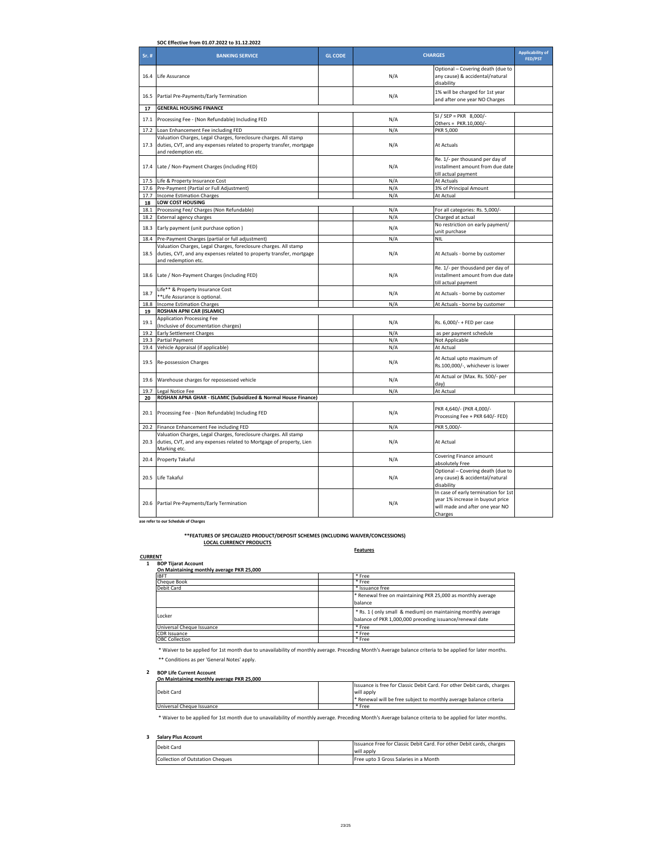|       | SOC Effective from 01.07.2022 to 31.12.2022                                                                                                                          |                |                            |                                                                                                             |                                    |  |  |
|-------|----------------------------------------------------------------------------------------------------------------------------------------------------------------------|----------------|----------------------------|-------------------------------------------------------------------------------------------------------------|------------------------------------|--|--|
| Sr. # | <b>BANKING SERVICE</b>                                                                                                                                               | <b>GL CODE</b> | <b>CHARGES</b>             |                                                                                                             | <b>Applicability of</b><br>FED/PST |  |  |
| 16.4  | Life Assurance                                                                                                                                                       |                | N/A<br>disability          | Optional - Covering death (due to<br>any cause) & accidental/natural                                        |                                    |  |  |
| 16.5  | Partial Pre-Payments/Early Termination                                                                                                                               |                | N/A                        | 1% will be charged for 1st year<br>and after one year NO Charges                                            |                                    |  |  |
| 17    | <b>GENERAL HOUSING FINANCE</b>                                                                                                                                       |                |                            |                                                                                                             |                                    |  |  |
| 17.1  | Processing Fee - (Non Refundable) Including FED                                                                                                                      |                | N/A                        | SI / SEP = PKR $8,000$ /-<br>Others = PKR.10,000/-                                                          |                                    |  |  |
|       | 17.2 Loan Enhancement Fee including FED                                                                                                                              |                | N/A<br>PKR 5,000           |                                                                                                             |                                    |  |  |
|       | Valuation Charges, Legal Charges, foreclosure charges. All stamp<br>17.3 duties, CVT, and any expenses related to property transfer, mortgage<br>and redemption etc. |                | N/A<br>At Actuals          |                                                                                                             |                                    |  |  |
|       | 17.4 Late / Non-Payment Charges (including FED)                                                                                                                      |                | N/A<br>till actual payment | Re. 1/- per thousand per day of<br>installment amount from due date                                         |                                    |  |  |
|       | 17.5 Life & Property Insurance Cost                                                                                                                                  |                | N/A<br>At Actuals          |                                                                                                             |                                    |  |  |
|       | 17.6 Pre-Payment (Partial or Full Adjustment)                                                                                                                        |                | N/A                        | 3% of Principal Amount                                                                                      |                                    |  |  |
|       | 17.7 Income Estimation Charges                                                                                                                                       |                | N/A<br>At Actual           |                                                                                                             |                                    |  |  |
| 18    | LOW COST HOUSING                                                                                                                                                     |                |                            |                                                                                                             |                                    |  |  |
|       | 18.1 Processing Fee/ Charges (Non Refundable)                                                                                                                        |                | N/A                        | For all categories: Rs. 5,000/-                                                                             |                                    |  |  |
|       | 18.2 External agency charges                                                                                                                                         |                | N/A<br>Charged at actual   |                                                                                                             |                                    |  |  |
|       | 18.3 Early payment (unit purchase option)                                                                                                                            |                | N/A<br>unit purchase       | No restriction on early payment/                                                                            |                                    |  |  |
|       | 18.4 Pre-Payment Charges (partial or full adjustment)                                                                                                                |                | N/A<br><b>NIL</b>          |                                                                                                             |                                    |  |  |
| 18.5  | Valuation Charges, Legal Charges, foreclosure charges. All stamp<br>duties, CVT, and any expenses related to property transfer, mortgage<br>and redemption etc.      |                | N/A                        | At Actuals - borne by customer                                                                              |                                    |  |  |
|       | 18.6 Late / Non-Payment Charges (including FED)                                                                                                                      |                | N/A<br>till actual payment | Re. 1/- per thousdand per day of<br>installment amount from due date                                        |                                    |  |  |
| 18.7  | Life** & Property Insurance Cost<br>**Life Assurance is optional                                                                                                     |                | N/A                        | At Actuals - borne by customer                                                                              |                                    |  |  |
|       | 18.8 Income Estimation Charges                                                                                                                                       |                | N/A                        | At Actuals - borne by customer                                                                              |                                    |  |  |
| 19    | <b>ROSHAN APNI CAR (ISLAMIC)</b>                                                                                                                                     |                |                            |                                                                                                             |                                    |  |  |
| 19.1  | <b>Application Processing Fee</b>                                                                                                                                    |                | N/A                        | Rs. 6,000/- + FED per case                                                                                  |                                    |  |  |
|       | (Inclusive of documentation charges)                                                                                                                                 |                |                            |                                                                                                             |                                    |  |  |
| 19.2  | <b>Early Settlement Charges</b>                                                                                                                                      |                | N/A                        | as per payment schedule                                                                                     |                                    |  |  |
|       | 19.3 Partial Payment                                                                                                                                                 |                | N/A<br>Not Applicable      |                                                                                                             |                                    |  |  |
|       | 19.4 Vehicle Appraisal (if applicable)                                                                                                                               |                | N/A<br>At Actual           |                                                                                                             |                                    |  |  |
|       | 19.5 Re-possession Charges                                                                                                                                           |                | N/A                        | At Actual upto maximum of<br>Rs.100,000/-, whichever is lower                                               |                                    |  |  |
| 19.6  | Warehouse charges for repossessed vehicle                                                                                                                            |                | N/A<br>day)                | At Actual or (Max. Rs. 500/- per                                                                            |                                    |  |  |
| 19.7  | Legal Notice Fee                                                                                                                                                     |                | N/A<br>At Actual           |                                                                                                             |                                    |  |  |
| 20    | ROSHAN APNA GHAR - ISLAMIC (Subsidized & Normal House Finance)                                                                                                       |                |                            |                                                                                                             |                                    |  |  |
|       | 20.1 Processing Fee - (Non Refundable) Including FED                                                                                                                 |                | N/A                        | PKR 4,640/- (PKR 4,000/-<br>Processing Fee + PKR 640/- FED)                                                 |                                    |  |  |
|       | 20.2 Finance Enhancement Fee including FED                                                                                                                           |                | N/A<br>PKR 5.000/          |                                                                                                             |                                    |  |  |
| 20.3  | Valuation Charges, Legal Charges, foreclosure charges. All stamp<br>duties, CVT, and any expenses related to Mortgage of property, Lien                              |                | N/A<br>At Actual           |                                                                                                             |                                    |  |  |
|       | Marking etc.                                                                                                                                                         |                |                            | Covering Finance amount                                                                                     |                                    |  |  |
| 20.4  | Property Takaful                                                                                                                                                     |                | N/A<br>absolutely Free     |                                                                                                             |                                    |  |  |
| 20.5  | Life Takaful                                                                                                                                                         |                | N/A<br>disability          | Optional - Covering death (due to<br>any cause) & accidental/natural                                        |                                    |  |  |
|       | 20.6 Partial Pre-Payments/Early Termination                                                                                                                          |                | N/A<br>Charges             | In case of early termination for 1st<br>year 1% increase in buyout price<br>will made and after one year NO |                                    |  |  |

**Note:For other charges please refer to our Schedule of Charges**

**LOCAL CURRENCY PRODUCTS \*\*FEATURES OF SPECIALIZED PRODUCT/DEPOSIT SCHEMES (INCLUDING WAIVER/CONCESSIONS)**

# **A. CURRENT 1 BOP Tijarat Account**

| On Maintaining monthly average PKR 25,000 |                                                                                                                          |  |  |  |
|-------------------------------------------|--------------------------------------------------------------------------------------------------------------------------|--|--|--|
| <b>IBFT</b>                               | * Free                                                                                                                   |  |  |  |
| <b>Cheque Book</b>                        | * Free                                                                                                                   |  |  |  |
| Debit Card                                | * Issuance free                                                                                                          |  |  |  |
|                                           | * Renewal free on maintaining PKR 25,000 as monthly average<br>balance                                                   |  |  |  |
| Locker                                    | * Rs. 1 (only small & medium) on maintaining monthly average<br>balance of PKR 1,000,000 preceding issuance/renewal date |  |  |  |
| Universal Cheque Issuance                 | * Free                                                                                                                   |  |  |  |
| <b>CDR</b> Issuance                       | * Free                                                                                                                   |  |  |  |
| <b>OBC Collection</b>                     | * Free                                                                                                                   |  |  |  |

**Features**

 \* Waiver to be applied for 1st month due to unavailability of monthly average. Preceding Month's Average balance criteria to be applied for later months. \*\* Conditions as per 'General Notes' apply.

# **2 BOP Life Current Account On Maintaining monthly average PKR 25,000**

| <b>UNIVERSITY OVEREST IN A THE STATE OF A THE STATE IN A STATE IN</b> |  |                                                                         |  |  |
|-----------------------------------------------------------------------|--|-------------------------------------------------------------------------|--|--|
|                                                                       |  | Issuance is free for Classic Debit Card. For other Debit cards, charges |  |  |
| Debit Card                                                            |  | will apply                                                              |  |  |
|                                                                       |  | Renewal will be free subject to monthly average balance criteria        |  |  |
| Universal Cheque Issuance                                             |  | ' Free                                                                  |  |  |

\* Waiver to be applied for 1st month due to unavailability of monthly average. Preceding Month's Average balance criteria to be applied for later months.

## **3 Salary Plus Account**

| Debit Card                       |  | Issuance Free for Classic Debit Card. For other Debit cards, charges |  |
|----------------------------------|--|----------------------------------------------------------------------|--|
|                                  |  | will apply                                                           |  |
| Collection of Outstation Cheques |  | Free upto 3 Gross Salaries in a Month                                |  |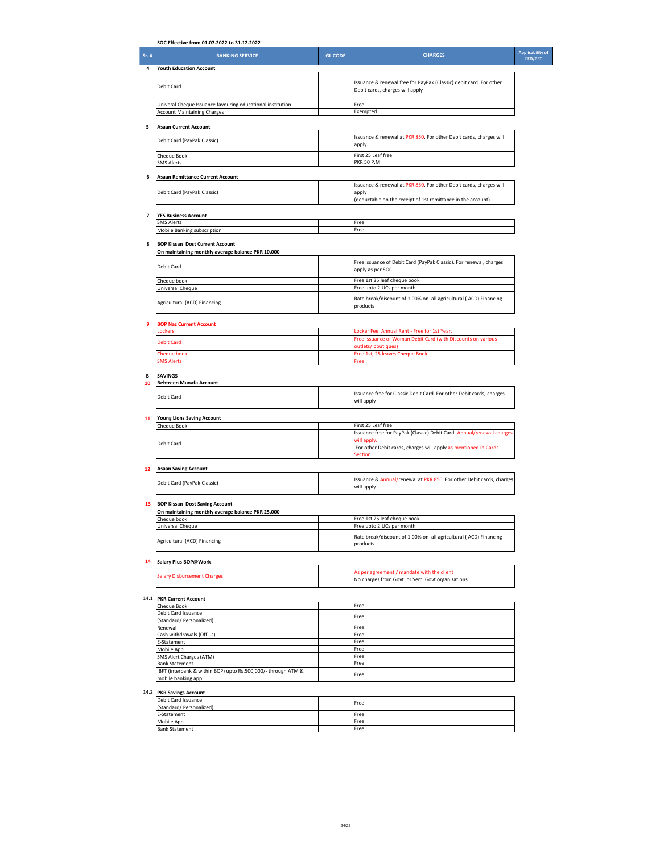|       | SOC Effective from 01.07.2022 to 31.12.2022                                                |                |                                                                                                                                             |                                           |
|-------|--------------------------------------------------------------------------------------------|----------------|---------------------------------------------------------------------------------------------------------------------------------------------|-------------------------------------------|
| Sr. # | <b>BANKING SERVICE</b>                                                                     | <b>GL CODE</b> | <b>CHARGES</b>                                                                                                                              | <b>Applicability of</b><br><b>FED/PST</b> |
| 4     | <b>Youth Education Account</b>                                                             |                |                                                                                                                                             |                                           |
|       | Debit Card                                                                                 |                | Issuance & renewal free for PayPak (Classic) debit card. For other<br>Debit cards, charges will apply                                       |                                           |
|       | Univeral Cheque Issuance favouring educational institution                                 |                | Free<br>Exempted                                                                                                                            |                                           |
|       | <b>Account Maintaining Charges</b>                                                         |                |                                                                                                                                             |                                           |
| 5     | <b>Asaan Current Account</b>                                                               |                |                                                                                                                                             |                                           |
|       | Debit Card (PayPak Classic)                                                                |                | Issuance & renewal at PKR 850. For other Debit cards, charges will<br>apply                                                                 |                                           |
|       | Cheque Book                                                                                |                | First 25 Leaf free                                                                                                                          |                                           |
|       | <b>SMS Alerts</b>                                                                          |                | <b>PKR 50 P.M</b>                                                                                                                           |                                           |
| 6     | <b>Asaan Remittance Current Account</b>                                                    |                |                                                                                                                                             |                                           |
|       | Debit Card (PayPak Classic)                                                                |                | Issuance & renewal at PKR 850. For other Debit cards, charges will<br>apply<br>(deductable on the receipt of 1st remittance in the account) |                                           |
| 7     | <b>YES Business Account</b>                                                                |                |                                                                                                                                             |                                           |
|       | <b>SMS Alerts</b>                                                                          |                | Free<br>Free                                                                                                                                |                                           |
|       | Mobile Banking subscription                                                                |                |                                                                                                                                             |                                           |
| 8     | <b>BOP Kissan Dost Current Account</b>                                                     |                |                                                                                                                                             |                                           |
|       | On maintaining monthly average balance PKR 10,000                                          |                |                                                                                                                                             |                                           |
|       | Debit Card                                                                                 |                | Free issuance of Debit Card (PayPak Classic). For renewal, charges<br>apply as per SOC                                                      |                                           |
|       | Cheque book                                                                                |                | Free 1st 25 leaf cheque book                                                                                                                |                                           |
|       | Universal Cheque                                                                           |                | Free upto 2 UCs per month                                                                                                                   |                                           |
|       | Agricultural (ACD) Financing                                                               |                | Rate break/discount of 1.00% on all agricultural ( ACD) Financing<br>products                                                               |                                           |
| 9     | <b>BOP Naz Current Account</b>                                                             |                |                                                                                                                                             |                                           |
|       | Lockers                                                                                    |                | Locker Fee: Annual Rent - Free for 1st Year.                                                                                                |                                           |
|       | <b>Debit Card</b>                                                                          |                | Free Issuance of Woman Debit Card (with Discounts on various<br>outlets/boutiques)                                                          |                                           |
|       | <b>Cheque book</b>                                                                         |                | Free 1st, 25 leaves Cheque Book                                                                                                             |                                           |
|       | <b>SMS Alerts</b>                                                                          |                | Free                                                                                                                                        |                                           |
| В     | <b>SAVINGS</b>                                                                             |                |                                                                                                                                             |                                           |
| 10    | <b>Behtreen Munafa Account</b>                                                             |                |                                                                                                                                             |                                           |
|       | Debit Card                                                                                 |                | Issuance free for Classic Debit Card. For other Debit cards, charges<br>will apply                                                          |                                           |
|       | 11 Young Lions Saving Account                                                              |                |                                                                                                                                             |                                           |
|       | Cheque Book                                                                                |                | First 25 Leaf free                                                                                                                          |                                           |
|       |                                                                                            |                | Issuance free for PayPak (Classic) Debit Card. Annual/renewal charges<br>will apply.                                                        |                                           |
|       | Debit Card                                                                                 |                | For other Debit cards, charges will apply as mentioned in Cards                                                                             |                                           |
|       |                                                                                            |                | <b>Section</b>                                                                                                                              |                                           |
| 12    | <b>Asaan Saving Account</b>                                                                |                |                                                                                                                                             |                                           |
|       | Debit Card (PayPak Classic)                                                                |                | Issuance & Annual/renewal at PKR 850. For other Debit cards, charges<br>will apply                                                          |                                           |
| 13    |                                                                                            |                |                                                                                                                                             |                                           |
|       | <b>BOP Kissan Dost Saving Account</b><br>On maintaining monthly average balance PKR 25,000 |                |                                                                                                                                             |                                           |
|       | Cheque book                                                                                |                | 1st 25 leaf cheque book                                                                                                                     |                                           |
|       | Universal Cheque                                                                           |                | Free upto 2 UCs per month                                                                                                                   |                                           |
|       | Agricultural (ACD) Financing                                                               |                | Rate break/discount of 1.00% on all agricultural (ACD) Financing<br>products                                                                |                                           |
|       |                                                                                            |                |                                                                                                                                             |                                           |
|       | 14 Salary Plus BOP@Work                                                                    |                |                                                                                                                                             |                                           |
|       | <b>Salary Disbursement Charges</b>                                                         |                | As per agreement / mandate with the client<br>No charges from Govt. or Semi Govt organizations                                              |                                           |
|       | 14.1 PKR Current Account                                                                   |                |                                                                                                                                             |                                           |
|       | Cheque Book                                                                                |                | Free                                                                                                                                        |                                           |
|       | Debit Card Issuance                                                                        |                | Free                                                                                                                                        |                                           |
|       | (Standard/ Personalized)<br>Renewal                                                        |                | Free                                                                                                                                        |                                           |
|       | Cash withdrawals (Off us)                                                                  |                | Free                                                                                                                                        |                                           |
|       | E-Statement                                                                                |                | Free<br>Free                                                                                                                                |                                           |
|       | Mobile App<br>SMS Alert Charges (ATM)                                                      |                | Free                                                                                                                                        |                                           |
|       | <b>Bank Statement</b>                                                                      |                | Free                                                                                                                                        |                                           |
|       | IBFT (interbank & within BOP) upto Rs.500,000/- through ATM &<br>mobile banking app        |                | Free                                                                                                                                        |                                           |
|       |                                                                                            |                |                                                                                                                                             |                                           |
|       | 14.2 PKR Savings Account<br>Debit Card Issuance                                            |                |                                                                                                                                             |                                           |
|       | (Standard/ Personalized)                                                                   |                | Free                                                                                                                                        |                                           |
|       | E-Statement<br>Mobile App                                                                  |                | Free<br>Free                                                                                                                                |                                           |
|       | <b>Bank Statement</b>                                                                      |                | Free                                                                                                                                        |                                           |